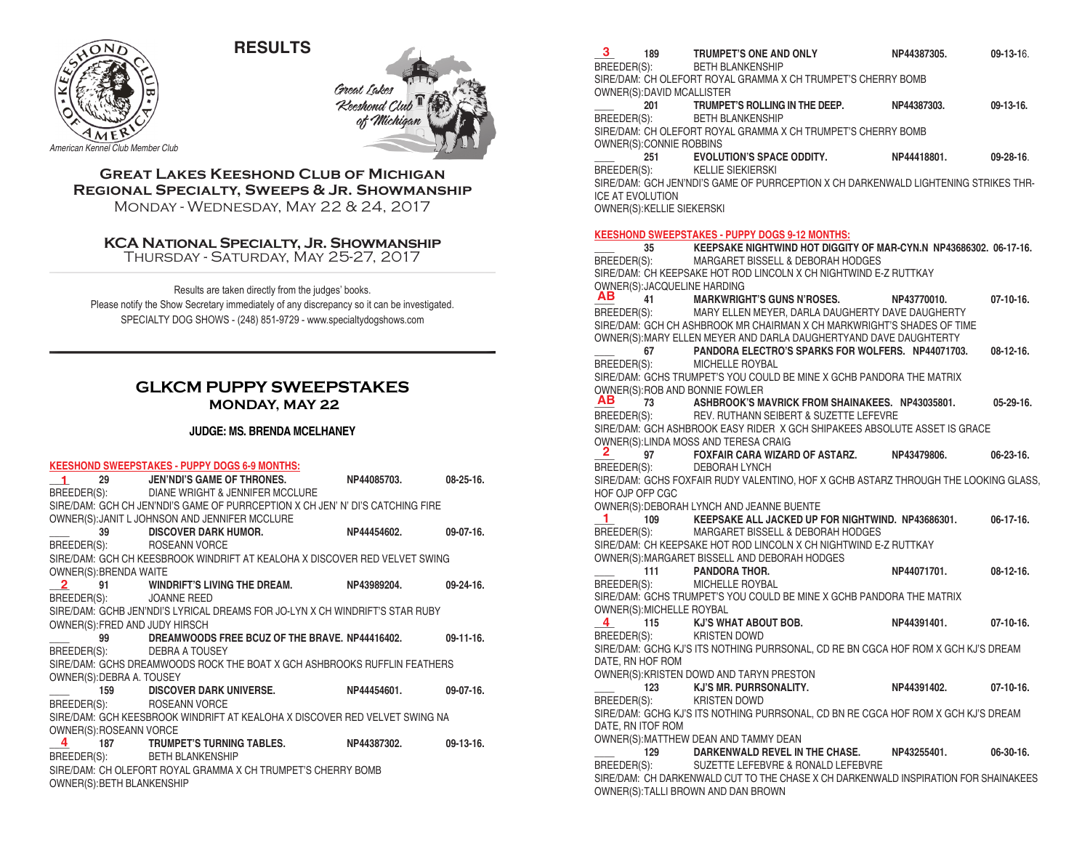**RESULTS**



Great Lak **Keeshond Cl.** oh

*American Kennel Club Member Club*

### **Great Lakes Keeshond Club of Michigan Regional Specialty, Sweeps & Jr. Showmanship** Monday - Wednesday, May 22 & 24, 2017

## **KCA National Specialty, Jr. Showmanship**

Thursday - Saturday, May 25-27, 2017

Results are taken directly from the judges' books. Please notify the Show Secretary immediately of any discrepancy so it can be investigated. SPECIALTY DOG SHOWS - (248) 851-9729 - www.specialtydogshows.com

## **GLKCM PUPPY SWEEPSTAKES MONDAY, MAY 22**

#### **JUDGE: MS. BRENDA MCELHANEY**

#### **KEESHOND SWEEPSTAKES - PUPPY DOGS 6-9 MONTHS:**

| $\sim$ 1.000 $\sim$        | 29 JEN'NDI'S GAME OF THRONES. NP44085703.                                      | $08 - 25 - 16$ . |
|----------------------------|--------------------------------------------------------------------------------|------------------|
|                            | BREEDER(S): DIANE WRIGHT & JENNIFER MCCLURE                                    |                  |
|                            | SIRE/DAM: GCH CH JEN'NDI'S GAME OF PURRCEPTION X CH JEN' N' DI'S CATCHING FIRE |                  |
|                            | OWNER(S): JANIT L JOHNSON AND JENNIFER MCCLURE                                 |                  |
|                            | 39 DISCOVER DARK HUMOR. NP44454602.                                            | $09-07-16.$      |
|                            | BREEDER(S): ROSEANN VORCE                                                      |                  |
|                            | SIRE/DAM: GCH CH KEESBROOK WINDRIFT AT KEALOHA X DISCOVER RED VELVET SWING     |                  |
| OWNER(S): BRENDA WAITE     |                                                                                |                  |
|                            | 2 91 WINDRIFT'S LIVING THE DREAM. NP43989204. 09-24-16.                        |                  |
|                            | BREEDER(S): JOANNE REED                                                        |                  |
|                            | SIRE/DAM: GCHB JEN'NDI'S LYRICAL DREAMS FOR JO-LYN X CH WINDRIFT'S STAR RUBY   |                  |
|                            | OWNER(S): FRED AND JUDY HIRSCH                                                 |                  |
|                            | 99 DREAMWOODS FREE BCUZ OF THE BRAVE. NP44416402. 09-11-16.                    |                  |
|                            | BREEDER(S): DEBRA A TOUSEY                                                     |                  |
|                            | SIRE/DAM: GCHS DREAMWOODS ROCK THE BOAT X GCH ASHBROOKS RUFFLIN FEATHERS       |                  |
| OWNER(S): DEBRA A. TOUSEY  |                                                                                |                  |
|                            | $\hspace{1.5mm}$ 159 DISCOVER DARK UNIVERSE. NP44454601. 09-07-16.             |                  |
|                            | BREEDER(S): ROSEANN VORCE                                                      |                  |
|                            | SIRE/DAM: GCH KEESBROOK WINDRIFT AT KEALOHA X DISCOVER RED VELVET SWING NA     |                  |
| OWNER(S):ROSEANN VORCE     |                                                                                |                  |
|                            | 4 187 TRUMPET'S TURNING TABLES. NP44387302.                                    | $09-13-16.$      |
|                            | BREEDER(S): BETH BLANKENSHIP                                                   |                  |
|                            | SIRE/DAM: CH OLEFORT ROYAL GRAMMA X CH TRUMPET'S CHERRY BOMB                   |                  |
| OWNER(S): BETH BLANKENSHIP |                                                                                |                  |

| OWNER(S):DAVID MCALLISTER    |                                                                                                                           |             |                  |
|------------------------------|---------------------------------------------------------------------------------------------------------------------------|-------------|------------------|
|                              | 201 TRUMPET'S ROLLING IN THE DEEP. NP44387303.<br>BREEDER(S): BETH BLANKENSHIP                                            |             | $09-13-16.$      |
|                              |                                                                                                                           |             |                  |
|                              | SIRE/DAM: CH OLEFORT ROYAL GRAMMA X CH TRUMPET'S CHERRY BOMB                                                              |             |                  |
| OWNER(S): CONNIE ROBBINS     |                                                                                                                           |             |                  |
| 251                          | <b>EVOLUTION'S SPACE ODDITY.</b>                                                                                          | NP44418801. | 09-28-16.        |
| BREEDER(S):                  | KELLIE SIEKIERSKI                                                                                                         |             |                  |
|                              | SIRE/DAM: GCH JEN'NDI'S GAME OF PURRCEPTION X CH DARKENWALD LIGHTENING STRIKES THR-                                       |             |                  |
| ICE AT EVOLUTION             |                                                                                                                           |             |                  |
| OWNER(S): KELLIE SIEKERSKI   |                                                                                                                           |             |                  |
|                              |                                                                                                                           |             |                  |
|                              | <b>KEESHOND SWEEPSTAKES - PUPPY DOGS 9-12 MONTHS:</b>                                                                     |             |                  |
| 35                           | KEEPSAKE NIGHTWIND HOT DIGGITY OF MAR-CYN.N NP43686302. 06-17-16.                                                         |             |                  |
| BREEDER(S):                  | MARGARET BISSELL & DEBORAH HODGES                                                                                         |             |                  |
|                              | SIRE/DAM: CH KEEPSAKE HOT ROD LINCOLN X CH NIGHTWIND E-Z RUTTKAY                                                          |             |                  |
| OWNER(S): JACQUELINE HARDING |                                                                                                                           |             |                  |
|                              | AB 41 MARKWRIGHT'S GUNS N'ROSES.<br>BREEDER(S): MARY ELLEN MEYER. DARI A DALIG                                            | NP43770010. | $07-10-16.$      |
|                              | MARY ELLEN MEYER, DARLA DAUGHERTY DAVE DAUGHERTY                                                                          |             |                  |
|                              | SIRE/DAM: GCH CH ASHBROOK MR CHAIRMAN X CH MARKWRIGHT'S SHADES OF TIME                                                    |             |                  |
|                              | OWNER(S): MARY ELLEN MEYER AND DARLA DAUGHERTYAND DAVE DAUGHTERTY                                                         |             |                  |
|                              | 67 PANDORA ELECTRO'S SPARKS FOR WOLFERS. NP44071703.                                                                      |             | $08-12-16.$      |
| BREEDER(S):                  | MICHELLE ROYBAL                                                                                                           |             |                  |
|                              | SIRE/DAM: GCHS TRUMPET'S YOU COULD BE MINE X GCHB PANDORA THE MATRIX                                                      |             |                  |
|                              | OWNER(S): ROB AND BONNIE FOWLER                                                                                           |             |                  |
| AВ                           | 73 ASHBROOK'S MAVRICK FROM SHAINAKEES. NP43035801.                                                                        |             | 05-29-16.        |
|                              | BREEDER(S): REV. RUTHANN SEIBERT & SUZETTE LEFEVRE                                                                        |             |                  |
|                              | SIRE/DAM: GCH ASHBROOK EASY RIDER X GCH SHIPAKEES ABSOLUTE ASSET IS GRACE                                                 |             |                  |
|                              | OWNER(S): LINDA MOSS AND TERESA CRAIG                                                                                     |             |                  |
| $\mathbf{z}$                 | 97 FOXFAIR CARA WIZARD OF ASTARZ.                                                                                         | NP43479806. | $06 - 23 - 16$ . |
| BREEDER(S):                  | DEBORAH LYNCH                                                                                                             |             |                  |
|                              | SIRE/DAM: GCHS FOXFAIR RUDY VALENTINO, HOF X GCHB ASTARZ THROUGH THE LOOKING GLASS,                                       |             |                  |
| HOF OJP OFP CGC              |                                                                                                                           |             |                  |
|                              | OWNER(S): DEBORAH LYNCH AND JEANNE BUENTE                                                                                 |             |                  |
| 1.                           | 109 KEEPSAKE ALL JACKED UP FOR NIGHTWIND. NP43686301.                                                                     |             | 06-17-16.        |
|                              | BREEDER(S): MARGARET BISSELL & DEBORAH HODGES                                                                             |             |                  |
|                              |                                                                                                                           |             |                  |
|                              | SIRE/DAM: CH KEEPSAKE HOT ROD LINCOLN X CH NIGHTWIND E-Z RUTTKAY                                                          |             |                  |
|                              | OWNER(S): MARGARET BISSELL AND DEBORAH HODGES                                                                             |             |                  |
|                              | 111 PANDORA THOR.                                                                                                         | NP44071701. | $08-12-16.$      |
|                              | MICHELLE ROYBAL                                                                                                           |             |                  |
| BREEDER(S):                  | SIRE/DAM: GCHS TRUMPET'S YOU COULD BE MINE X GCHB PANDORA THE MATRIX                                                      |             |                  |
| OWNER(S): MICHELLE ROYBAL    |                                                                                                                           |             |                  |
| 4                            | 115 KJ'S WHAT ABOUT BOB.                                                                                                  | NP44391401. | $07-10-16.$      |
| BREEDER(S):                  | KRISTEN DOWD                                                                                                              |             |                  |
|                              | SIRE/DAM: GCHG KJ'S ITS NOTHING PURRSONAL, CD RE BN CGCA HOF ROM X GCH KJ'S DREAM                                         |             |                  |
| DATE, RN HOF ROM             |                                                                                                                           |             |                  |
|                              | OWNER(S): KRISTEN DOWD AND TARYN PRESTON                                                                                  |             |                  |
|                              |                                                                                                                           | NP44391402. | $07-10-16.$      |
|                              | 123 KJ'S MR. PURRSONALITY.<br>BREEDER(S): KRISTEN DOWD                                                                    |             |                  |
|                              | SIRE/DAM: GCHG KJ'S ITS NOTHING PURRSONAL, CD BN RE CGCA HOF ROM X GCH KJ'S DREAM                                         |             |                  |
| DATE, RN ITOF ROM            |                                                                                                                           |             |                  |
|                              | OWNER(S): MATTHEW DEAN AND TAMMY DEAN                                                                                     |             |                  |
| 129                          | DARKENWALD REVEL IN THE CHASE.                                                                                            | NP43255401. | $06-30-16.$      |
| BREEDER(S):                  | SUZETTE LEFEBVRE & RONALD LEFEBVRE<br>SIRE/DAM: CH DARKENWALD CUT TO THE CHASE X CH DARKENWALD INSPIRATION FOR SHAINAKEES |             |                  |

**\_\_\_\_ 189 TRUMPET'S ONE AND ONLY NP44387305. 09-13-1**6.

BETH BLANKENSHIP SIRE/DAM: CH OLEFORT ROYAL GRAMMA X CH TRUMPET'S CHERRY BOMB

**3**

OWNER(S):TALLI BROWN AND DAN BROWN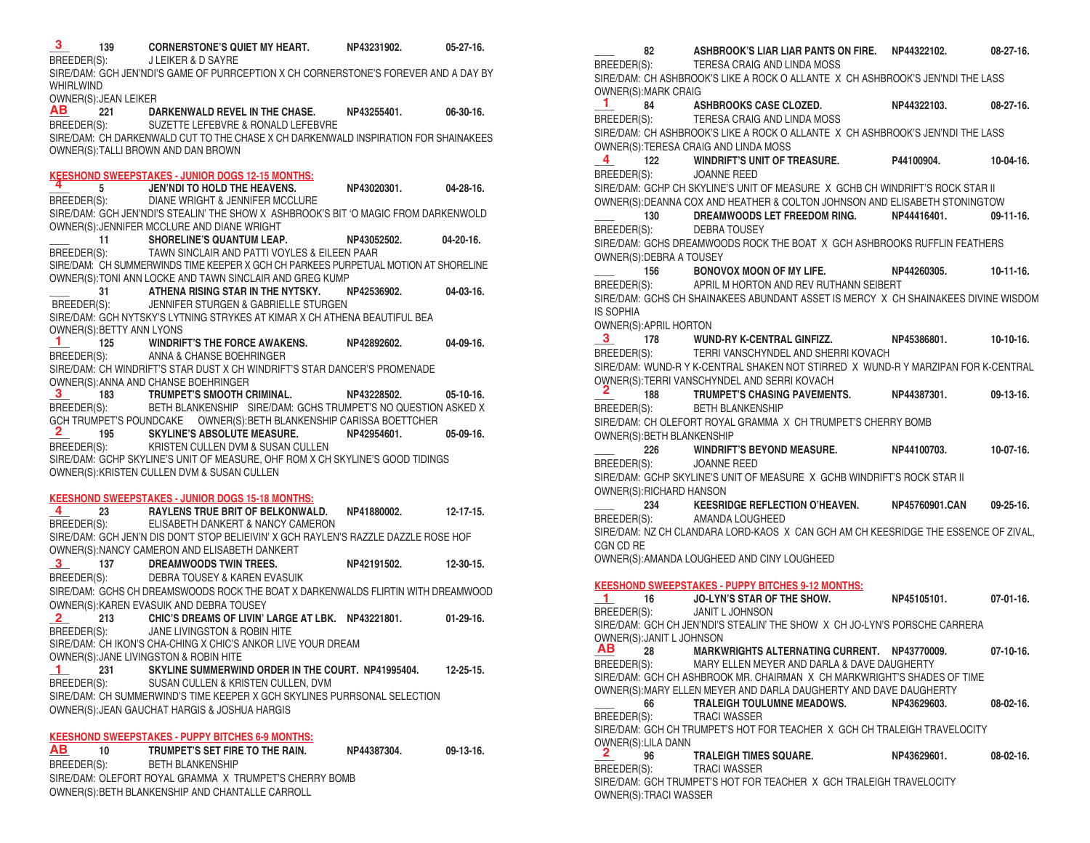**\_\_\_\_ 139 CORNERSTONE'S QUIET MY HEART. NP43231902. 05-27-16.** JI FIKER & D SAYRE SIRE/DAM: GCH JEN'NDI'S GAME OF PURRCEPTION X CH CORNERSTONE'S FOREVER AND A DAY BY WHIRLWIND OWNER(S): JEAN LEIKER<br>AB 221 DA **\_\_\_\_ 221 DARKENWALD REVEL IN THE CHASE. NP43255401. 06-30-16.** BREEDER(S): SUZETTE LEFEBVRE & RONALD LEFEBVRE SIRE/DAM: CH DARKENWALD CUT TO THE CHASE X CH DARKENWALD INSPIRATION FOR SHAINAKEES OWNER(S):TALLI BROWN AND DAN BROWN **KEESHOND SWEEPSTAKES - JUNIOR DOGS 12-15 MONTHS: \_\_\_\_ 5 JEN'NDI TO HOLD THE HEAVENS. NP43020301. 04-28-16. 4** BREEDER(S): DIANE WRIGHT & JENNIFER MCCLURE SIRE/DAM: GCH JEN'NDI'S STEALIN' THE SHOW X ASHBROOK'S BIT 'O MAGIC FROM DARKENWOLD OWNER(S):JENNIFER MCCLURE AND DIANE WRIGHT **\_\_\_\_ 11 SHORELINE'S QUANTUM LEAP. NP43052502. 04-20-16.**  BREEDER(S): TAWN SINCLAIR AND PATTI VOYLES & EILEEN PAAR SIRE/DAM: CH SUMMERWINDS TIME KEEPER X GCH CH PARKEES PURPETUAL MOTION AT SHORELINE OWNER(S):TONI ANN LOCKE AND TAWN SINCLAIR AND GREG KUMP **\_\_\_\_ 31 ATHENA RISING STAR IN THE NYTSKY. NP42536902. 04-03-16.** BREEDER(S): JENNIFER STURGEN & GABRIELLE STURGEN SIRE/DAM: GCH NYTSKY'S LYTNING STRYKES AT KIMAR X CH ATHENA BEAUTIFUL BEA OWNER(S):BETTY ANN LYONS **\_\_\_\_ 125 WINDRIFT'S THE FORCE AWAKENS. NP42892602. 04-09-16.** BREEDER(S): ANNA & CHANSE BOEHRINGER SIRE/DAM: CH WINDRIFT'S STAR DUST X CH WINDRIFT'S STAR DANCER'S PROMENADE OWNER(S): ANNA AND CHANSE BOEHRINGER<br>3 183 TRUMPET'S SMOOTH C **\_\_\_\_ 183 TRUMPET'S SMOOTH CRIMINAL. NP43228502. 05-10-16.** BREEDER(S): BETH BLANKENSHIP SIRE/DAM: GCHS TRUMPET'S NO QUESTION ASKED X GCH TRUMPET'S POUNDCAKE OWNER(S):BETH BLANKENSHIP CARISSA BOETTCHER<br>2 195 SKYLINE'S ABSOLUTE MEASURE. NP42954601. **\_\_\_\_ 195 SKYLINE'S ABSOLUTE MEASURE. NP42954601. 05-09-16.** BREEDER(S): KRISTEN CULLEN DVM & SUSAN CULLEN SIRE/DAM: GCHP SKYLINE'S UNIT OF MEASURE, OHF ROM X CH SKYLINE'S GOOD TIDINGS OWNER(S):KRISTEN CULLEN DVM & SUSAN CULLEN **KEESHOND SWEEPSTAKES - JUNIOR DOGS 15-18 MONTHS: \_\_\_\_ 23 RAYLENS TRUE BRIT OF BELKONWALD. NP41880002. 12-17-15.** BREEDER(S): ELISABETH DANKERT & NANCY CAMERON SIRE/DAM: GCH JEN'N DIS DON'T STOP BELIEIVIN' X GCH RAYLEN'S RAZZLE DAZZLE ROSE HOF OWNER(S):NANCY CAMERON AND ELISABETH DANKERT<br>
3 137 DREAMWOODS TWIN TREES. **DREAMWOODS TWIN TREES.**  $NP42191502.$  12-30-15. BREEDER(S): DEBRA TOUSEY & KAREN EVASUIK SIRE/DAM: GCHS CH DREAMSWOODS ROCK THE BOAT X DARKENWALDS FLIRTIN WITH DREAMWOOD OWNER(S):KAREN EVASUIK AND DEBRA TOUSEY **\_\_\_\_ 213 CHIC'S DREAMS OF LIVIN' LARGE AT LBK. NP43221801. 01-29-16.** JANE LIVINGSTON & ROBIN HITE SIRE/DAM: CH IKON'S CHA-CHING X CHIC'S ANKOR LIVE YOUR DREAM OWNER(S): JANE LIVINGSTON & ROBIN HITE<br>1 231 SKYLINE SUMMERWIN **\_\_\_\_ 231 SKYLINE SUMMERWIND ORDER IN THE COURT. NP41995404. 12-25-15.** SUSAN CULLEN & KRISTEN CULLEN, DVM SIRE/DAM: CH SUMMERWIND'S TIME KEEPER X GCH SKYLINES PURRSONAL SELECTION OWNER(S):JEAN GAUCHAT HARGIS & JOSHUA HARGIS **KEESHOND SWEEPSTAKES - PUPPY BITCHES 6-9 MONTHS: \_\_\_\_ 10 TRUMPET'S SET FIRE TO THE RAIN. NP44387304. 09-13-16.** BREEDER(S): BETH BLANKENSHIP SIRE/DAM: OLEFORT ROYAL GRAMMA X TRUMPET'S CHERRY BOMB OWNER(S):BETH BLANKENSHIP AND CHANTALLE CARROLL **3 AB 1 3 2 4 3 2 1 AB**

**\_\_\_\_ 82 ASHBROOK'S LIAR LIAR PANTS ON FIRE. NP44322102. 08-27-16.** BREEDER(S): TERESA CRAIG AND LINDA MOSS SIRE/DAM: CH ASHBROOK'S LIKE A ROCK O ALLANTE X CH ASHBROOK'S JEN'NDI THE LASS OWNER(S):MARK CRAIG **\_\_\_\_ 84 ASHBROOKS CASE CLOZED. NP44322103. 08-27-16.** BREEDER(S): TERESA CRAIG AND LINDA MOSS SIRE/DAM: CH ASHBROOK'S LIKE A ROCK O ALLANTE X CH ASHBROOK'S JEN'NDI THE LASS OWNER(S):TERESA CRAIG AND LINDA MOSS **\_\_\_\_ 122 WINDRIFT'S UNIT OF TREASURE. P44100904. 10-04-16.** BREEDER(S): JOANNE REED SIRE/DAM: GCHP CH SKYLINE'S UNIT OF MEASURE X GCHB CH WINDRIFT'S ROCK STAR II OWNER(S):DEANNA COX AND HEATHER & COLTON JOHNSON AND ELISABETH STONINGTOW **\_\_\_\_ 130 DREAMWOODS LET FREEDOM RING. NP44416401. 09-11-16.** DEBRA TOUSEY SIRE/DAM: GCHS DREAMWOODS ROCK THE BOAT X GCH ASHBROOKS RUFFLIN FEATHERS OWNER(S):DEBRA A TOUSEY **\_\_\_\_ 156 BONOVOX MOON OF MY LIFE. NP44260305. 10-11-16.** BREEDER(S): APRIL M HORTON AND REV RUTHANN SEIBERT SIRE/DAM: GCHS CH SHAINAKEES ABUNDANT ASSET IS MERCY X CH SHAINAKEES DIVINE WISDOM IS SOPHIA OWNER(S):APRIL HORTON **\_\_\_\_ 178 WUND-RY K-CENTRAL GINFIZZ. NP45386801. 10-10-16.** TERRI VANSCHYNDEL AND SHERRI KOVACH SIRE/DAM: WUND-R Y K-CENTRAL SHAKEN NOT STIRRED X WUND-R Y MARZIPAN FOR K-CENTRAL OWNER(S):TERRI VANSCHYNDEL AND SERRI KOVACH<br>188 TRIIMPET'S CHASING PAVEMEN **\_\_\_\_ 188 TRUMPET'S CHASING PAVEMENTS. NP44387301. 09-13-16.** BREEDER(S): BETH BLANKENSHIP SIRE/DAM: CH OLEFORT ROYAL GRAMMA X CH TRUMPET'S CHERRY BOMB OWNER(S):BETH BLANKENSHIP **\_\_\_\_ 226 WINDRIFT'S BEYOND MEASURE. NP44100703. 10-07-16.** BREEDER(S): JOANNE REED SIRE/DAM: GCHP SKYLINE'S UNIT OF MEASURE X GCHB WINDRIFT'S ROCK STAR II OWNER(S):RICHARD HANSON **\_\_\_\_ 234 KEESRIDGE REFLECTION O'HEAVEN. NP45760901.CAN 09-25-16.** BREEDER(S): AMANDA LOUGHEED SIRE/DAM: NZ CH CLANDARA LORD-KAOS X CAN GCH AM CH KEESRIDGE THE ESSENCE OF ZIVAL, CGN CD RE OWNER(S):AMANDA LOUGHEED AND CINY LOUGHEED **KEESHOND SWEEPSTAKES - PUPPY BITCHES 9-12 MONTHS: \_\_\_\_ 16 JO-LYN'S STAR OF THE SHOW. NP45105101. 07-01-16.** JANIT L JOHNSON SIRE/DAM: GCH CH JEN'NDI'S STEALIN' THE SHOW X CH JO-LYN'S PORSCHE CARRERA OWNER(S):JANIT L JOHNSON **\_\_\_\_ 28 MARKWRIGHTS ALTERNATING CURRENT. NP43770009. 07-10-16.** BREEDER(S): MARY ELLEN MEYER AND DARLA & DAVE DAUGHERTY SIRE/DAM: GCH CH ASHBROOK MR. CHAIRMAN X CH MARKWRIGHT'S SHADES OF TIME OWNER(S):MARY ELLEN MEYER AND DARLA DAUGHERTY AND DAVE DAUGHERTY **\_\_\_\_ 66 TRALEIGH TOULUMNE MEADOWS. NP43629603. 08-02-16.** BREEDER(S): TRACI WASSER SIRE/DAM: GCH CH TRUMPET'S HOT FOR TEACHER X GCH CH TRALEIGH TRAVELOCITY OWNER(S):LILA DANN<br>2<br>96 **\_\_\_\_ 96 TRALEIGH TIMES SQUARE. NP43629601. 08-02-16.** TRACI WASSER SIRE/DAM: GCH TRUMPET'S HOT FOR TEACHER X GCH TRALEIGH TRAVELOCITY OWNER(S):TRACI WASSER **1 4 3 2 1 AB 2**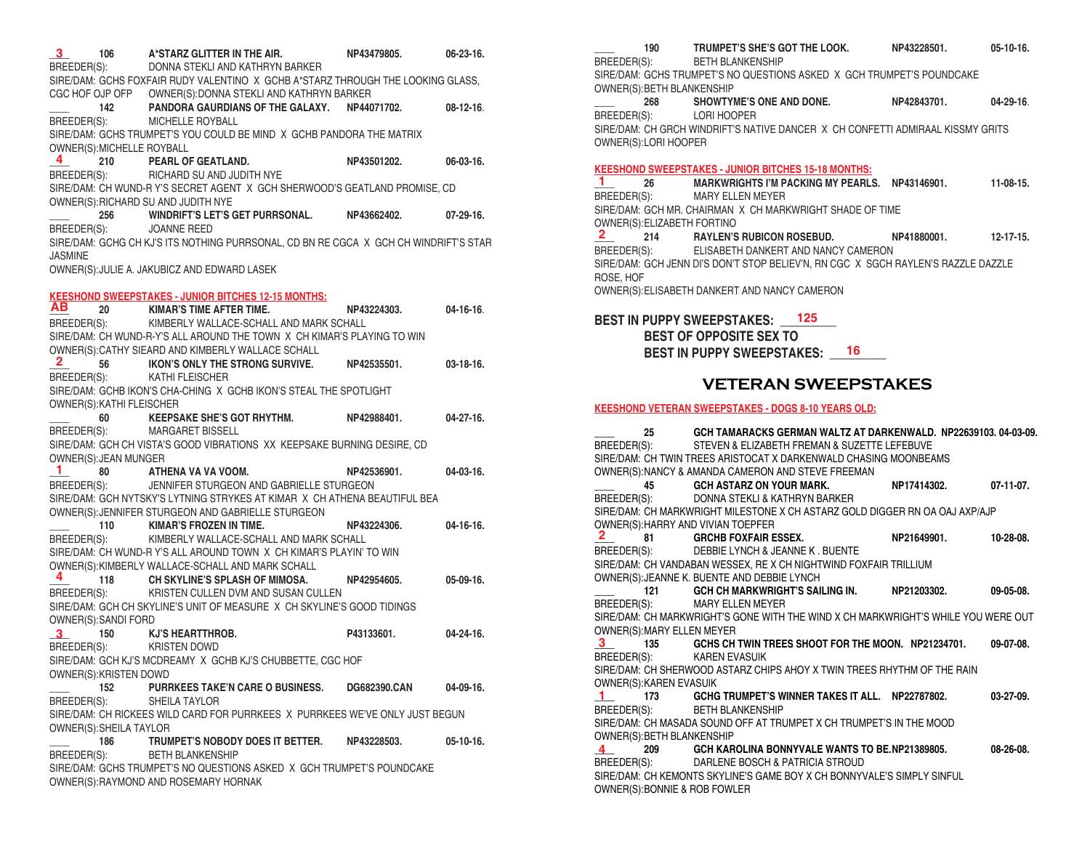| 3 <sup>1</sup><br>106           | A*STARZ GLITTER IN THE AIR.<br>BREEDER(S): DONNA STEKLI AND KATHRYN BARKER                                                        | NP43479805.           | $06 - 23 - 16$ . |
|---------------------------------|-----------------------------------------------------------------------------------------------------------------------------------|-----------------------|------------------|
|                                 | SIRE/DAM: GCHS FOXFAIR RUDY VALENTINO X GCHB A*STARZ THROUGH THE LOOKING GLASS,                                                   |                       |                  |
|                                 | CGC HOF OJP OFP       OWNER(S):DONNA STEKLI AND KATHRYN BARKER<br>_____  142 <b>PANDORA GAURDIANS OF THE GALAXY.  NP44071702.</b> |                       | $08-12-16$ .     |
|                                 | BREEDER(S): MICHELLE ROYBALL<br>SIRE/DAM: GCHS TRUMPET'S YOU COULD BE MIND X GCHB PANDORA THE MATRIX                              |                       |                  |
| OWNER(S): MICHELLE ROYBALL<br>4 | 210 PEARL OF GEATLAND.                                                                                                            | NP43501202.           | $06-03-16.$      |
|                                 | BREEDER(S): RICHARD SU AND JUDITH NYE                                                                                             |                       |                  |
|                                 | SIRE/DAM: CH WUND-R Y'S SECRET AGENT X GCH SHERWOOD'S GEATLAND PROMISE, CD                                                        |                       |                  |
|                                 | OWNER(S): RICHARD SU AND JUDITH NYE                                                                                               |                       |                  |
|                                 | 256 WINDRIFT'S LET'S GET PURRSONAL.                                                                                               | NP43662402.           | $07-29-16.$      |
| BREEDER(S): JOANNE REED         |                                                                                                                                   |                       |                  |
|                                 | SIRE/DAM: GCHG CH KJ'S ITS NOTHING PURRSONAL, CD BN RE CGCA X GCH CH WINDRIFT'S STAR                                              |                       |                  |
| <b>JASMINE</b>                  | OWNER(S): JULIE A. JAKUBICZ AND EDWARD LASEK                                                                                      |                       |                  |
|                                 |                                                                                                                                   |                       |                  |
|                                 | <b>KEESHOND SWEEPSTAKES - JUNIOR BITCHES 12-15 MONTHS:</b>                                                                        |                       |                  |
|                                 | <b>AB</b> 20 KIMAR'S TIME AFTER TIME. NP43<br>BREEDER(S): KIMBERLY WALLACE-SCHALL AND MARK SCHALL                                 | NP43224303.           | $04 - 16 - 16$ . |
|                                 |                                                                                                                                   |                       |                  |
|                                 | SIRE/DAM: CH WUND-R-Y'S ALL AROUND THE TOWN X CH KIMAR'S PLAYING TO WIN                                                           |                       |                  |
|                                 | OWNER(S): CATHY SIEARD AND KIMBERLY WALLACE SCHALL                                                                                |                       |                  |
| $\mathbf{2}$                    | 56 IKON'S ONLY THE STRONG SURVIVE.                                                                                                | NP42535501.           | $03-18-16.$      |
| BREEDER(S): KATHI FLEISCHER     |                                                                                                                                   |                       |                  |
| OWNER(S): KATHI FLEISCHER       | SIRE/DAM: GCHB IKON'S CHA-CHING X GCHB IKON'S STEAL THE SPOTLIGHT                                                                 |                       |                  |
|                                 | 60 KEEPSAKE SHE'S GOT RHYTHM.                                                                                                     | NP42988401. 04-27-16. |                  |
|                                 | BREEDER(S): MARGARET BISSELL                                                                                                      |                       |                  |
|                                 | SIRE/DAM: GCH CH VISTA'S GOOD VIBRATIONS XX KEEPSAKE BURNING DESIRE, CD                                                           |                       |                  |
| OWNER(S): JEAN MUNGER           |                                                                                                                                   |                       |                  |
| -1.                             | 80 ATHENA VA VA VOOM.                                                                                                             | NP42536901.           | $04-03-16.$      |
| BREEDER(S):                     | JENNIFER STURGEON AND GABRIELLE STURGEON                                                                                          |                       |                  |
|                                 | SIRE/DAM: GCH NYTSKY'S LYTNING STRYKES AT KIMAR X CH ATHENA BEAUTIFUL BEA                                                         |                       |                  |
|                                 | OWNER(S): JENNIFER STURGEON AND GABRIELLE STURGEON                                                                                |                       |                  |
|                                 | 110 KIMAR'S FROZEN IN TIME.                                                                                                       | NP43224306.           | $04-16-16.$      |
|                                 | BREEDER(S): KIMBERLY WALLACE-SCHALL AND MARK SCHALL<br>SIRE/DAM: CH WUND-R Y'S ALL AROUND TOWN X CH KIMAR'S PLAYIN' TO WIN        |                       |                  |
|                                 | OWNER(S): KIMBERLY WALLACE-SCHALL AND MARK SCHALL                                                                                 |                       |                  |
| 4                               | 118 CH SKYLINE'S SPLASH OF MIMOSA.                                                                                                | NP42954605.           | 05-09-16.        |
|                                 | BREEDER(S): KRISTEN CULLEN DVM AND SUSAN CULLEN                                                                                   |                       |                  |
|                                 | SIRE/DAM: GCH CH SKYLINE'S UNIT OF MEASURE X CH SKYLINE'S GOOD TIDINGS                                                            |                       |                  |
| OWNER(S):SANDI FORD             |                                                                                                                                   |                       |                  |
| $\mathbf{3}$                    | 150 KJ'S HEARTTHROB.                                                                                                              | P43133601.            | $04 - 24 - 16$ . |
| BREEDER(S):                     | <b>KRISTEN DOWD</b>                                                                                                               |                       |                  |
|                                 | SIRE/DAM: GCH KJ'S MCDREAMY X GCHB KJ'S CHUBBETTE, CGC HOF                                                                        |                       |                  |
| OWNER(S):KRISTEN DOWD           |                                                                                                                                   |                       |                  |
| 152<br>BREEDER(S):              | <b>PURRKEES TAKE'N CARE O BUSINESS.</b><br>SHEILA TAYLOR                                                                          | <b>DG682390.CAN</b>   | 04-09-16.        |
|                                 | SIRE/DAM: CH RICKEES WILD CARD FOR PURRKEES X PURRKEES WE'VE ONLY JUST BEGUN                                                      |                       |                  |
| OWNER(S): SHEILA TAYLOR         |                                                                                                                                   |                       |                  |
| 186                             | TRUMPET'S NOBODY DOES IT BETTER. NP43228503.                                                                                      |                       | $05-10-16.$      |
| BREEDER(S):                     | <b>BETH BLANKENSHIP</b>                                                                                                           |                       |                  |
|                                 | SIRE/DAM: GCHS TRUMPET'S NO QUESTIONS ASKED X GCH TRUMPET'S POUNDCAKE                                                             |                       |                  |
|                                 | OWNER(S): RAYMOND AND ROSEMARY HORNAK                                                                                             |                       |                  |

**\_\_\_\_ 190 TRUMPET'S SHE'S GOT THE LOOK. NP43228501. 05-10-16.**

BETH BLANKENSHIP

SIRE/DAM: GCHS TRUMPET'S NO QUESTIONS ASKED X GCH TRUMPET'S POUNDCAKE OWNER(S):BETH BLANKENSHIP

**\_\_\_\_ 268 SHOWTYME'S ONE AND DONE. NP42843701. 04-29-16**. BREEDER(S): LORI HOOPER

SIRE/DAM: CH GRCH WINDRIFT'S NATIVE DANCER X CH CONFETTI ADMIRAAL KISSMY GRITS OWNER(S):LORI HOOPER

#### **KEESHOND SWEEPSTAKES - JUNIOR BITCHES 15-18 MONTHS:**

**\_\_\_\_ 26 MARKWRIGHTS I'M PACKING MY PEARLS. NP43146901. 11-08-15.** MARY ELLEN MEYER SIRE/DAM: GCH MR. CHAIRMAN X CH MARKWRIGHT SHADE OF TIME OWNER(S):ELIZABETH FORTINO **\_\_\_\_ 214 RAYLEN'S RUBICON ROSEBUD. NP41880001. 12-17-15.** BREEDER(S): ELISABETH DANKERT AND NANCY CAMERON SIRE/DAM: GCH JENN DI'S DON'T STOP BELIEV'N, RN CGC X SGCH RAYLEN'S RAZZLE DAZZLE ROSE, HOF OWNER(S):ELISABETH DANKERT AND NANCY CAMERON **1 2**

### **BEST IN PUPPY SWEEPSTAKES: \_\_\_\_\_\_\_\_\_ 125**

**BEST OF OPPOSITE SEX TO BEST IN PUPPY SWEEPSTAKES: \_\_\_\_\_\_\_\_\_ 16**

### **VETERAN SWEEPSTAKES**

#### **KEESHOND VETERAN SWEEPSTAKES - DOGS 8-10 YEARS OLD:**

**\_\_\_\_ 25 GCH TAMARACKS GERMAN WALTZ AT DARKENWALD. NP22639103. 04-03-09.** BREEDER(S): STEVEN & ELIZABETH FREMAN & SUZETTE LEFEBUVE SIRE/DAM: CH TWIN TREES ARISTOCAT X DARKENWALD CHASING MOONBEAMS OWNER(S):NANCY & AMANDA CAMERON AND STEVE FREEMAN **\_\_\_\_ 45 GCH ASTARZ ON YOUR MARK. NP17414302. 07-11-07.** BREEDER(S): DONNA STEKLI & KATHRYN BARKER SIRE/DAM: CH MARKWRIGHT MILESTONE X CH ASTARZ GOLD DIGGER RN OA OAJ AXP/AJP OWNER(S):HARRY AND VIVIAN TOEPFER **\_\_\_\_ 81 GRCHB FOXFAIR ESSEX. NP21649901. 10-28-08.** BREEDER(S): DEBBIE LYNCH & JEANNE K . BUENTE SIRE/DAM: CH VANDABAN WESSEX, RE X CH NIGHTWIND FOXFAIR TRILLIUM OWNER(S):JEANNE K. BUENTE AND DEBBIE LYNCH **\_\_\_\_ 121 GCH CH MARKWRIGHT'S SAILING IN. NP21203302. 09-05-08.** BREEDER(S): MARY ELLEN MEYER SIRE/DAM: CH MARKWRIGHT'S GONE WITH THE WIND X CH MARKWRIGHT'S WHILE YOU WERE OUT OWNER(S):MARY ELLEN MEYER **\_\_\_\_ 135 GCHS CH TWIN TREES SHOOT FOR THE MOON. NP21234701. 09-07-08.** BREEDER(S): KAREN EVASUIK SIRE/DAM: CH SHERWOOD ASTARZ CHIPS AHOY X TWIN TREES RHYTHM OF THE RAIN OWNER(S):KAREN EVASUIK **\_\_\_\_ 173 GCHG TRUMPET'S WINNER TAKES IT ALL. NP22787802. 03-27-09.** BREEDER(S): BETH BLANKENSHIP SIRE/DAM: CH MASADA SOUND OFF AT TRUMPET X CH TRUMPET'S IN THE MOOD OWNER(S):BETH BLANKENSHIP **\_\_\_\_ 209 GCH KAROLINA BONNYVALE WANTS TO BE.NP21389805. 08-26-08.** BREEDER(S): DARLENE BOSCH & PATRICIA STROUD SIRE/DAM: CH KEMONTS SKYLINE'S GAME BOY X CH BONNYVALE'S SIMPLY SINFUL OWNER(S):BONNIE & ROB FOWLER **2 3 1 4**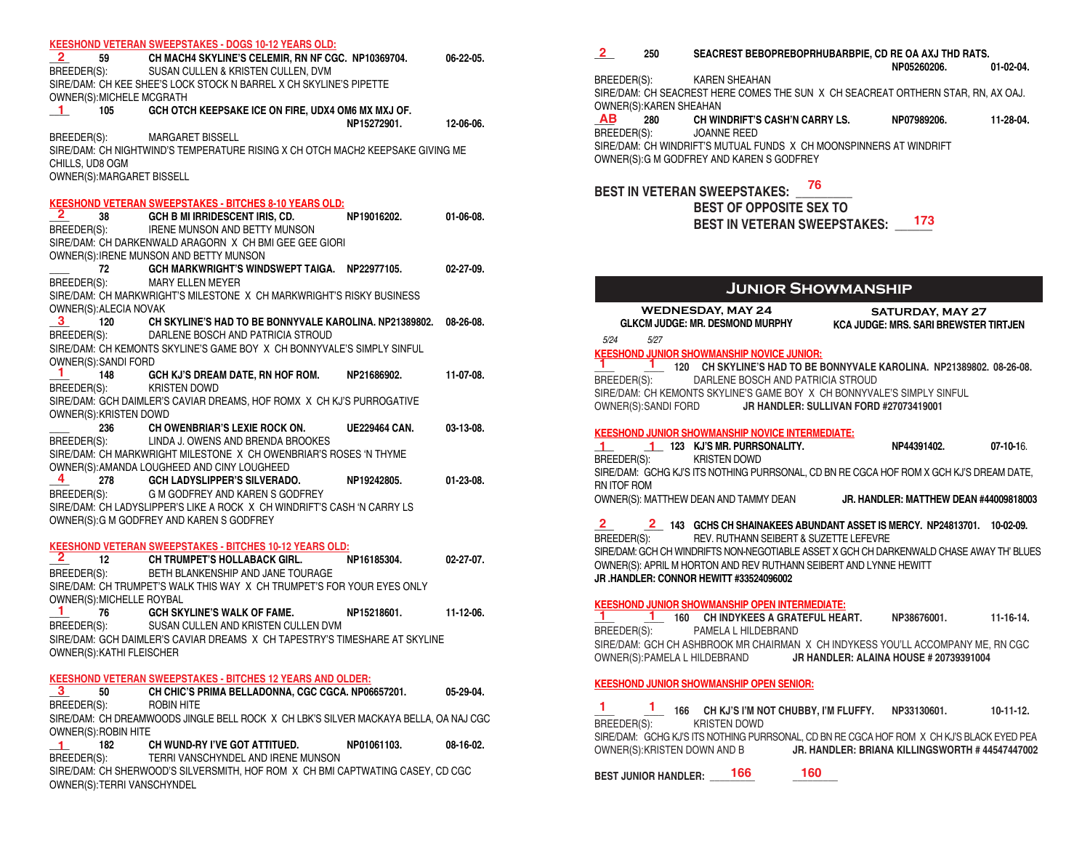|                                  | <b>KEESHOND VETERAN SWEEPSTAKES - DOGS 10-12 YEARS OLD:</b>                                                     |                      |                  |
|----------------------------------|-----------------------------------------------------------------------------------------------------------------|----------------------|------------------|
|                                  | 2 59 CH MACH4 SKYLINE'S CELEMIR, RN NF CGC. NP10369704.<br>BREEDER(S): SUSAN CULLEN & KRISTEN CULLEN, DVM       |                      | 06-22-05.        |
|                                  |                                                                                                                 |                      |                  |
|                                  | SIRE/DAM: CH KEE SHEE'S LOCK STOCK N BARREL X CH SKYLINE'S PIPETTE                                              |                      |                  |
| OWNER(S): MICHELE MCGRATH        |                                                                                                                 |                      |                  |
| $\blacksquare$<br>105            | GCH OTCH KEEPSAKE ICE ON FIRE, UDX4 OM6 MX MXJ OF.                                                              |                      |                  |
|                                  |                                                                                                                 | NP15272901.          | 12-06-06.        |
|                                  | BREEDER(S): MARGARET BISSELL                                                                                    |                      |                  |
|                                  | SIRE/DAM: CH NIGHTWIND'S TEMPERATURE RISING X CH OTCH MACH2 KEEPSAKE GIVING ME                                  |                      |                  |
| CHILLS, UD8 OGM                  |                                                                                                                 |                      |                  |
| OWNER(S): MARGARET BISSELL       |                                                                                                                 |                      |                  |
|                                  |                                                                                                                 |                      |                  |
|                                  | <b>KEESHOND VETERAN SWEEPSTAKES - BITCHES 8-10 YEARS OLD:</b>                                                   |                      |                  |
| $\mathbf{z}$<br>38 7             | GCH B MI IRRIDESCENT IRIS, CD.                                                                                  | NP19016202.          | $01-06-08$ .     |
|                                  | BREEDER(S): IRENE MUNSON AND BETTY MUNSON                                                                       |                      |                  |
|                                  | SIRE/DAM: CH DARKENWALD ARAGORN X CH BMI GEE GEE GIORI                                                          |                      |                  |
|                                  | OWNER(S): IRENE MUNSON AND BETTY MUNSON                                                                         |                      |                  |
| 72 —                             | GCH MARKWRIGHT'S WINDSWEPT TAIGA. NP22977105.                                                                   |                      | $02 - 27 - 09$ . |
| BREEDER(S):                      | MARY ELLEN MEYER                                                                                                |                      |                  |
|                                  | SIRE/DAM: CH MARKWRIGHT'S MILESTONE X CH MARKWRIGHT'S RISKY BUSINESS                                            |                      |                  |
| OWNER(S): ALECIA NOVAK           |                                                                                                                 |                      |                  |
|                                  | $3$ 120 CH SKYLINE'S HAD TO BE BONNYVALE KAROLINA. NP21389802.<br>BREEDER(S): DARLENE BOSCH AND PATRICIA STROUD |                      | 08-26-08.        |
|                                  |                                                                                                                 |                      |                  |
|                                  | SIRE/DAM: CH KEMONTS SKYLINE'S GAME BOY X CH BONNYVALE'S SIMPLY SINFUL                                          |                      |                  |
| OWNER(S):SANDI FORD<br>1.        |                                                                                                                 |                      |                  |
| 148                              | GCH KJ'S DREAM DATE, RN HOF ROM.                                                                                | NP21686902.          | 11-07-08.        |
| BREEDER(S): KRISTEN DOWD         |                                                                                                                 |                      |                  |
|                                  | SIRE/DAM: GCH DAIMLER'S CAVIAR DREAMS, HOF ROMX X CH KJ'S PURROGATIVE                                           |                      |                  |
| OWNER(S): KRISTEN DOWD           | 236 CH OWENBRIAR'S LEXIE ROCK ON.                                                                               |                      |                  |
|                                  | BREEDER(S): LINDA J. OWENS AND BRENDA BROOKES                                                                   | <b>UE229464 CAN.</b> | $03-13-08$ .     |
|                                  | SIRE/DAM: CH MARKWRIGHT MILESTONE X CH OWENBRIAR'S ROSES 'N THYME                                               |                      |                  |
|                                  | OWNER(S): AMANDA LOUGHEED AND CINY LOUGHEED                                                                     |                      |                  |
| 4                                | 278 GCH LADYSLIPPER'S SILVERADO.                                                                                | NP19242805.          | $01-23-08$ .     |
| BREEDER(S):                      | G M GODFREY AND KAREN S GODFREY                                                                                 |                      |                  |
|                                  | SIRE/DAM: CH LADYSLIPPER'S LIKE A ROCK X CH WINDRIFT'S CASH 'N CARRY LS                                         |                      |                  |
|                                  | OWNER(S): G M GODFREY AND KAREN S GODFREY                                                                       |                      |                  |
|                                  |                                                                                                                 |                      |                  |
|                                  | <b>KEESHOND VETERAN SWEEPSTAKES - BITCHES 10-12 YEARS OLD:</b>                                                  |                      |                  |
| $\mathbf{z}$                     | 12 CH TRUMPET'S HOLLABACK GIRL.                                                                                 | NP16185304.          | $02 - 27 - 07$ . |
| BREEDER(S):                      | BETH BLANKENSHIP AND JANE TOURAGE                                                                               |                      |                  |
|                                  | SIRE/DAM: CH TRUMPET'S WALK THIS WAY X CH TRUMPET'S FOR YOUR EYES ONLY                                          |                      |                  |
| OWNER(S): MICHELLE ROYBAL        |                                                                                                                 |                      |                  |
| -1.                              | 76 GCH SKYLINE'S WALK OF FAME.                                                                                  | NP15218601.          | $11 - 12 - 06$   |
| BREEDER(S):                      | SUSAN CULLEN AND KRISTEN CULLEN DVM                                                                             |                      |                  |
|                                  | SIRE/DAM: GCH DAIMLER'S CAVIAR DREAMS X CH TAPESTRY'S TIMESHARE AT SKYLINE                                      |                      |                  |
| <b>OWNER(S): KATHI FLEISCHER</b> |                                                                                                                 |                      |                  |
|                                  |                                                                                                                 |                      |                  |
|                                  | <b>KEESHOND VETERAN SWEEPSTAKES - BITCHES 12 YEARS AND OLDER:</b>                                               |                      |                  |
| 3<br>50                          | CH CHIC'S PRIMA BELLADONNA, CGC CGCA. NP06657201.                                                               |                      | 05-29-04.        |
| BREEDER(S):                      | ROBIN HITE                                                                                                      |                      |                  |
|                                  | SIRE/DAM: CH DREAMWOODS JINGLE BELL ROCK X CH LBK'S SILVER MACKAYA BELLA, OA NAJ CGC                            |                      |                  |
| OWNER(S): ROBIN HITE             |                                                                                                                 |                      |                  |
| $\blacksquare$<br>182            | CH WUND-RY I'VE GOT ATTITUED.                                                                                   | NP01061103.          | 08-16-02.        |
| BREEDER(S):                      | TERRI VANSCHYNDEL AND IRENE MUNSON                                                                              |                      |                  |
|                                  |                                                                                                                 |                      |                  |

SIRE/DAM: CH SHERWOOD'S SILVERSMITH, HOF ROM X CH BMI CAPTWATING CASEY, CD CGC OWNER(S):TERRI VANSCHYNDEL

**\_\_\_\_ 250 SEACREST BEBOPREBOPRHUBARBPIE, CD RE OA AXJ THD RATS. 2**

BREEDER(S): KAREN SHEAHAN SIRE/DAM: CH SEACREST HERE COMES THE SUN X CH SEACREAT ORTHERN STAR, RN, AX OAJ. OWNER(S):KAREN SHEAHAN<br>**AB** 280 CH WIN

 **NP05260206. 01-02-04.**

**\_\_\_\_ 280 CH WINDRIFT'S CASH'N CARRY LS. NP07989206. 11-28-04.** JOANNE REED SIRE/DAM: CH WINDRIFT'S MUTUAL FUNDS X CH MOONSPINNERS AT WINDRIFT OWNER(S):G M GODFREY AND KAREN S GODFREY  **AB**

# **BEST IN VETERAN SWEEPSTAKES: \_\_\_\_\_\_\_\_\_ 76**

## **BEST OF OPPOSITE SEX TO**

BEST IN VETERAN SWEEPSTAKES: \_\_\_<sup>173</sup>

## **Junior Showmanship**

| WEDNESDAY, MAY 24<br>GLKCM JUDGE: MR. DESMOND MURPHY KCA JU                                                  | <b>SATURDAY, MAY 27</b><br><b>KCA JUDGE: MRS. SARI BREWSTER TIRTJEN</b> |              |
|--------------------------------------------------------------------------------------------------------------|-------------------------------------------------------------------------|--------------|
| 5/24<br>5/27                                                                                                 |                                                                         |              |
| <b>KEESHOND JUNIOR SHOWMANSHIP NOVICE JUNIOR:</b>                                                            |                                                                         |              |
| 1.<br>1 120 CH SKYLINE'S HAD TO BE BONNYVALE KAROLINA. NP21389802. 08-26-08.                                 |                                                                         |              |
| BREEDER(S): DARLENE BOSCH AND PATRICIA STROUD                                                                |                                                                         |              |
| SIRE/DAM: CH KEMONTS SKYLINE'S GAME BOY X CH BONNYVALE'S SIMPLY SINFUL                                       |                                                                         |              |
| OWNER(S):SANDI FORD <b>JR HANDLER: SULLIVAN FORD #27073419001</b>                                            |                                                                         |              |
| <b>KEESHOND JUNIOR SHOWMANSHIP NOVICE INTERMEDIATE:</b>                                                      |                                                                         |              |
| 1 123 KJ'S MR. PURRSONALITY.                                                                                 | NP44391402.                                                             | $07-10-16$ . |
| BREEDER(S): KRISTEN DOWD                                                                                     |                                                                         |              |
| SIRE/DAM: GCHG KJ'S ITS NOTHING PURRSONAL, CD BN RE CGCA HOF ROM X GCH KJ'S DREAM DATE,                      |                                                                         |              |
| RN ITOF ROM                                                                                                  |                                                                         |              |
| OWNER(S): MATTHEW DEAN AND TAMMY DEAN JR. HANDLER: MATTHEW DEAN #44009818003                                 |                                                                         |              |
|                                                                                                              |                                                                         |              |
| $2^{\circ}$<br>2 143 GCHS CH SHAINAKEES ABUNDANT ASSET IS MERCY. NP24813701. 10-02-09.                       |                                                                         |              |
| BREEDER(S): REV. RUTHANN SEIBERT & SUZETTE LEFEVRE                                                           |                                                                         |              |
| SIRE/DAM: GCH CH WINDRIFTS NON-NEGOTIABLE ASSET X GCH CH DARKENWALD CHASE AWAY TH' BLUES                     |                                                                         |              |
| OWNER(S): APRIL M HORTON AND REV RUTHANN SEIBERT AND LYNNE HEWITT<br>JR .HANDLER: CONNOR HEWITT #33524096002 |                                                                         |              |
|                                                                                                              |                                                                         |              |
| <b>KEESHOND JUNIOR SHOWMANSHIP OPEN INTERMEDIATE:</b>                                                        |                                                                         |              |
| 1.<br>11-16-14. 160 CH INDYKEES A GRATEFUL HEART. NP38676001. 11-16-14.                                      |                                                                         |              |
| BREEDER(S): PAMELA L HILDEBRAND                                                                              |                                                                         |              |
| SIRE/DAM: GCH CH ASHBROOK MR CHAIRMAN X CH INDYKESS YOU'LL ACCOMPANY ME, RN CGC                              |                                                                         |              |
| OWNER(S): PAMELA L HILDEBRAND JR HANDLER: ALAINA HOUSE # 20739391004                                         |                                                                         |              |
|                                                                                                              |                                                                         |              |
| <b>KEESHOND JUNIOR SHOWMANSHIP OPEN SENIOR:</b>                                                              |                                                                         |              |
|                                                                                                              |                                                                         |              |

**\_\_\_\_ \_\_\_\_ 166 CH KJ'S I'M NOT CHUBBY, I'M FLUFFY. NP33130601. 10-11-12.** KRISTEN DOWD SIRE/DAM: GCHG KJ'S ITS NOTHING PURRSONAL, CD BN RE CGCA HOF ROM X CH KJ'S BLACK EYED PEA OWNER(S):KRISTEN DOWN AND B **JR. HANDLER: BRIANA KILLINGSWORTH # 44547447002 1 1**

**BEST JUNIOR HANDLER: \_\_\_\_\_\_\_\_\_ \_\_\_\_\_\_\_\_\_ 166 160**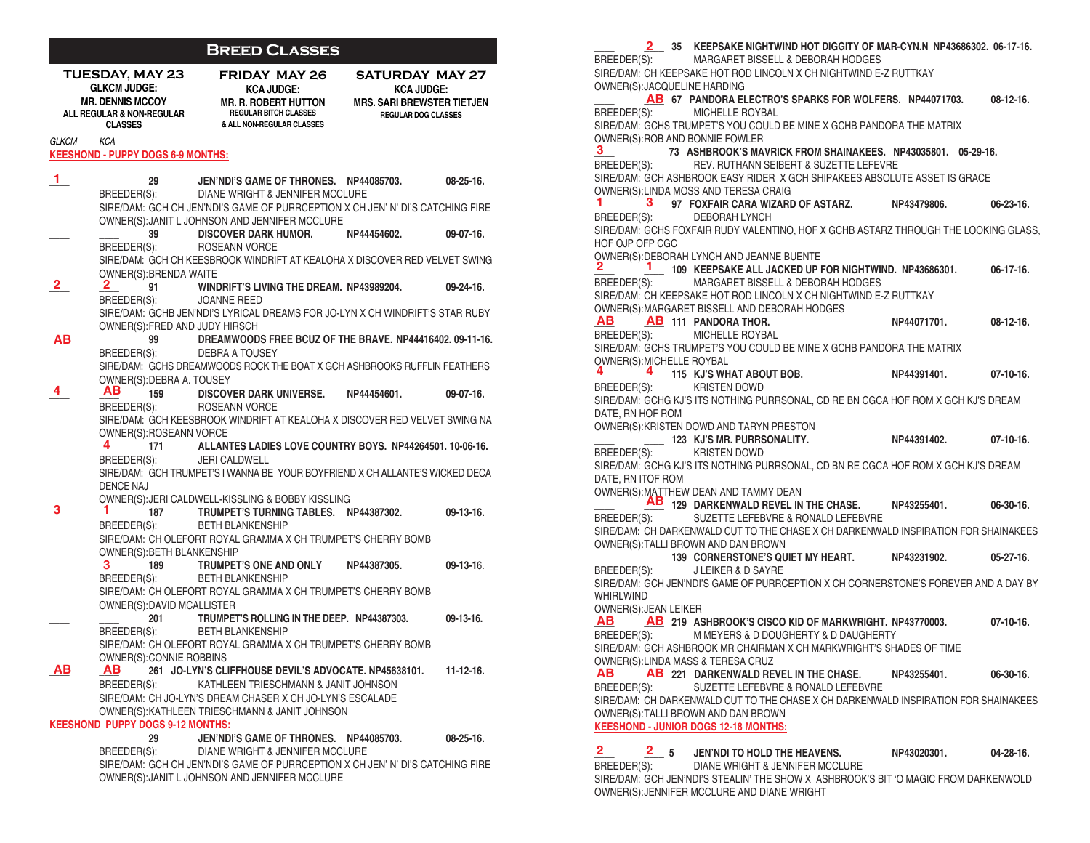## **Breed Classes**

| <b>TUESDAY, MAY 23</b><br><b>GLKCM JUDGE:</b><br><b>MR. DENNIS MCCOY</b><br>ALL REGULAR & NON-REGULAR<br><b>CLASSES</b> |                                                        | <b>FRIDAY MAY 26</b><br><b>KCA JUDGE:</b><br><b>MR. R. ROBERT HUTTON</b><br><b>REGULAR BITCH CLASSES</b><br>& ALL NON-REGULAR CLASSES | <b>SATURDAY MAY 27</b><br><b>KCA JUDGE:</b><br><b>MRS. SARI BREWSTER TIETJEN</b><br><b>REGULAR DOG CLASSES</b> |                  |
|-------------------------------------------------------------------------------------------------------------------------|--------------------------------------------------------|---------------------------------------------------------------------------------------------------------------------------------------|----------------------------------------------------------------------------------------------------------------|------------------|
| <b>GLKCM</b>                                                                                                            | KCA<br><b>KEESHOND - PUPPY DOGS 6-9 MONTHS:</b>        |                                                                                                                                       |                                                                                                                |                  |
| 1.                                                                                                                      | 29<br>BREEDER(S):                                      | JEN'NDI'S GAME OF THRONES. NP44085703.<br>DIANE WRIGHT & JENNIFER MCCLURE                                                             |                                                                                                                | $08 - 25 - 16$ . |
|                                                                                                                         |                                                        | SIRE/DAM: GCH CH JEN'NDI'S GAME OF PURRCEPTION X CH JEN' N' DI'S CATCHING FIRE<br>OWNER(S): JANIT L JOHNSON AND JENNIFER MCCLURE      |                                                                                                                |                  |
|                                                                                                                         | 39                                                     | DISCOVER DARK HUMOR. NP44454602.                                                                                                      |                                                                                                                | $09-07-16.$      |
|                                                                                                                         | BREEDER(S):<br>OWNER(S): BRENDA WAITE                  | ROSEANN VORCE<br>SIRE/DAM: GCH CH KEESBROOK WINDRIFT AT KEALOHA X DISCOVER RED VELVET SWING                                           |                                                                                                                |                  |
| 2.                                                                                                                      | 2.<br>91<br>BREEDER(S):                                | WINDRIFT'S LIVING THE DREAM. NP43989204.<br>JOANNE REED                                                                               |                                                                                                                | $09 - 24 - 16$ . |
|                                                                                                                         | OWNER(S): FRED AND JUDY HIRSCH                         | SIRE/DAM: GCHB JEN'NDI'S LYRICAL DREAMS FOR JO-LYN X CH WINDRIFT'S STAR RUBY                                                          |                                                                                                                |                  |
| <u>дв</u>                                                                                                               | 99                                                     | DREAMWOODS FREE BCUZ OF THE BRAVE. NP44416402, 09-11-16.                                                                              |                                                                                                                |                  |
|                                                                                                                         | BREEDER(S):                                            | DEBRA A TOUSEY<br>SIRE/DAM: GCHS DREAMWOODS ROCK THE BOAT X GCH ASHBROOKS RUFFLIN FEATHERS                                            |                                                                                                                |                  |
| 4.                                                                                                                      | OWNER(S): DEBRA A. TOUSEY<br>AB.<br>159<br>BREEDER(S): | <b>DISCOVER DARK UNIVERSE.</b><br>ROSEANN VORCE                                                                                       | NP44454601.                                                                                                    | 09-07-16.        |
|                                                                                                                         | OWNER(S): ROSEANN VORCE                                | SIRE/DAM: GCH KEESBROOK WINDRIFT AT KEALOHA X DISCOVER RED VELVET SWING NA                                                            |                                                                                                                |                  |
|                                                                                                                         | 4<br>171<br>BREEDER(S):                                | ALLANTES LADIES LOVE COUNTRY BOYS. NP44264501. 10-06-16.<br><b>JERI CALDWELL</b>                                                      |                                                                                                                |                  |
|                                                                                                                         | <b>DENCE NAJ</b>                                       | SIRE/DAM: GCH TRUMPET'S I WANNA BE YOUR BOYFRIEND X CH ALLANTE'S WICKED DECA                                                          |                                                                                                                |                  |
|                                                                                                                         |                                                        | OWNER(S): JERI CALDWELL-KISSLING & BOBBY KISSLING                                                                                     |                                                                                                                |                  |
| 3.                                                                                                                      | ı<br>187<br>BREEDER(S):                                | TRUMPET'S TURNING TABLES. NP44387302.<br><b>BETH BLANKENSHIP</b>                                                                      |                                                                                                                | $09-13-16.$      |
|                                                                                                                         | OWNER(S): BETH BLANKENSHIP                             | SIRE/DAM: CH OLEFORT ROYAL GRAMMA X CH TRUMPET'S CHERRY BOMB                                                                          |                                                                                                                |                  |
|                                                                                                                         | 189<br>3.                                              | TRUMPET'S ONE AND ONLY                                                                                                                | NP44387305.                                                                                                    | $09-13-16.$      |
|                                                                                                                         | BREEDER(S):                                            | <b>BETH BLANKENSHIP</b>                                                                                                               |                                                                                                                |                  |
|                                                                                                                         | OWNER(S): DAVID MCALLISTER<br>201                      | SIRE/DAM: CH OLEFORT ROYAL GRAMMA X CH TRUMPET'S CHERRY BOMB                                                                          |                                                                                                                |                  |
|                                                                                                                         | BREEDER(S):                                            | TRUMPET'S ROLLING IN THE DEEP. NP44387303.<br><b>BETH BLANKENSHIP</b><br>SIRE/DAM: CH OLEFORT ROYAL GRAMMA X CH TRUMPET'S CHERRY BOMB |                                                                                                                | $09-13-16.$      |
|                                                                                                                         | OWNER(S): CONNIE ROBBINS                               |                                                                                                                                       |                                                                                                                |                  |
| AВ                                                                                                                      | AB.                                                    | 261 JO-LYN'S CLIFFHOUSE DEVIL'S ADVOCATE. NP45638101.                                                                                 |                                                                                                                | $11 - 12 - 16.$  |
|                                                                                                                         | BREEDER(S):                                            | KATHLEEN TRIESCHMANN & JANIT JOHNSON                                                                                                  |                                                                                                                |                  |
|                                                                                                                         |                                                        | SIRE/DAM: CH JO-LYN'S DREAM CHASER X CH JO-LYN'S ESCALADE                                                                             |                                                                                                                |                  |
|                                                                                                                         | <b>KEESHOND PUPPY DOGS 9-12 MONTHS:</b>                | OWNER(S): KATHLEEN TRIESCHMANN & JANIT JOHNSON                                                                                        |                                                                                                                |                  |
|                                                                                                                         | 29                                                     | JEN'NDI'S GAME OF THRONES. NP44085703.                                                                                                |                                                                                                                | $08 - 25 - 16$ . |
|                                                                                                                         | BREEDER(S):                                            | DIANE WRIGHT & JENNIFER MCCLURE                                                                                                       |                                                                                                                |                  |
|                                                                                                                         |                                                        | SIRE/DAM: GCH CH JEN'NDI'S GAME OF PURRCEPTION X CH JEN' N' DI'S CATCHING FIRE<br>OWNER(S): JANIT L JOHNSON AND JENNIFER MCCLURE      |                                                                                                                |                  |

**\_\_\_\_ \_\_\_\_ 35 KEEPSAKE NIGHTWIND HOT DIGGITY OF MAR-CYN.N NP43686302. 06-17-16. 2** BREEDER(S): MARGARET BISSELL & DEBORAH HODGES SIRE/DAM: CH KEEPSAKE HOT ROD LINCOLN X CH NIGHTWIND E-Z RUTTKAY OWNER(S):JACQUELINE HARDING **\_\_\_\_ \_\_\_\_ 67 PANDORA ELECTRO'S SPARKS FOR WOLFERS. NP44071703. 08-12-16. AB** BREEDER(S): MICHELLE ROYBAL SIRE/DAM: GCHS TRUMPET'S YOU COULD BE MINE X GCHB PANDORA THE MATRIX OWNER(S):ROB AND BONNIE FOWLER **3\_\_\_\_\_\_\_\_\_\_\_ 73 ASHBROOK'S MAVRICK FROM SHAINAKEES. NP43035801. 05-29-16.**<br>REFEDER(S): REV. RUTHANN SEIBERT & SUZETTE LEFEVRE REV. RUTHANN SEIBERT & SUZETTE LEFEVRE SIRE/DAM: GCH ASHBROOK EASY RIDER X GCH SHIPAKEES ABSOLUTE ASSET IS GRACE OWNER(S):LINDA MOSS AND TERESA CRAIG **\_\_\_\_ \_\_\_\_ 97 FOXFAIR CARA WIZARD OF ASTARZ. NP43479806. 06-23-16. 1 3** BREEDER(S): DEBORAH LYNCH SIRE/DAM: GCHS FOXFAIR RUDY VALENTINO, HOF X GCHB ASTARZ THROUGH THE LOOKING GLASS, HOF OJP OFP CGC OWNER(S):DEBORAH LYNCH AND JEANNE BUENTE **\_\_\_\_ \_\_\_\_ 109 KEEPSAKE ALL JACKED UP FOR NIGHTWIND. NP43686301. 06-17-16.** BREEDER(S): MARGARET BISSELL & DEBORAH HODGES SIRE/DAM: CH KEEPSAKE HOT ROD LINCOLN X CH NIGHTWIND E-Z RUTTKAY OWNER(S):MARGARET BISSELL AND DEBORAH HODGES **AB** 111 PANDORA THOR. NP44071701. 08-12-16. BREEDER(S): MICHELLE ROYBAL SIRE/DAM: GCHS TRUMPET'S YOU COULD BE MINE X GCHB PANDORA THE MATRIX OWNER(S):MICHELLE ROYBAL **\_\_\_\_ \_\_\_\_ 115 KJ'S WHAT ABOUT BOB. NP44391401. 07-10-16.** BREEDER(S): KRISTEN DOWD SIRE/DAM: GCHG KJ'S ITS NOTHING PURRSONAL, CD RE BN CGCA HOF ROM X GCH KJ'S DREAM DATE, RN HOF ROM OWNER(S):KRISTEN DOWD AND TARYN PRESTON **\_\_\_\_ \_\_\_\_ 123 KJ'S MR. PURRSONALITY. NP44391402. 07-10-16.** BREEDER(S): KRISTEN DOWD SIRE/DAM: GCHG KJ'S ITS NOTHING PURRSONAL, CD BN RE CGCA HOF ROM X GCH KJ'S DREAM DATE, RN ITOF ROM OWNER(S):MATTHEW DEAN AND TAMMY DEAN **\_\_\_\_ \_\_\_\_ 129 DARKENWALD REVEL IN THE CHASE. NP43255401. 06-30-16. AB** BREEDER(S): SUZETTE LEFEBVRE & RONALD LEFEBVRE SIRE/DAM: CH DARKENWALD CUT TO THE CHASE X CH DARKENWALD INSPIRATION FOR SHAINAKEES OWNER(S):TALLI BROWN AND DAN BROWN **\_\_\_\_ 139 CORNERSTONE'S QUIET MY HEART. NP43231902. 05-27-16.** BREEDER(S): J LEIKER & D SAYRE SIRE/DAM: GCH JEN'NDI'S GAME OF PURRCEPTION X CH CORNERSTONE'S FOREVER AND A DAY BY WHIRI WIND OWNER(S):JEAN LEIKER **\_\_\_\_ \_\_\_\_ 219 ASHBROOK'S CISCO KID OF MARKWRIGHT. NP43770003. 07-10-16. AB AB** BREEDER(S): M MEYERS & D DOUGHERTY & D DAUGHERTY SIRE/DAM: GCH ASHBROOK MR CHAIRMAN X CH MARKWRIGHT'S SHADES OF TIME OWNER(S):LINDA MASS & TERESA CRUZ **\_\_\_\_ \_\_\_\_ 221 DARKENWALD REVEL IN THE CHASE. NP43255401. 06-30-16. AB AB** BREEDER(S): SUZETTE LEFEBVRE & RONALD LEFEBVRE SIRE/DAM: CH DARKENWALD CUT TO THE CHASE X CH DARKENWALD INSPIRATION FOR SHAINAKEES OWNER(S):TALLI BROWN AND DAN BROWN **KEESHOND - JUNIOR DOGS 12-18 MONTHS: 3 2 1 AB AB 4 4**

**\_\_\_\_ \_\_\_\_ 5 JEN'NDI TO HOLD THE HEAVENS. NP43020301. 04-28-16.** BREEDER(S): DIANE WRIGHT & JENNIFER MCCLURE SIRE/DAM: GCH JEN'NDI'S STEALIN' THE SHOW X ASHBROOK'S BIT 'O MAGIC FROM DARKENWOLD OWNER(S):JENNIFER MCCLURE AND DIANE WRIGHT **2 2**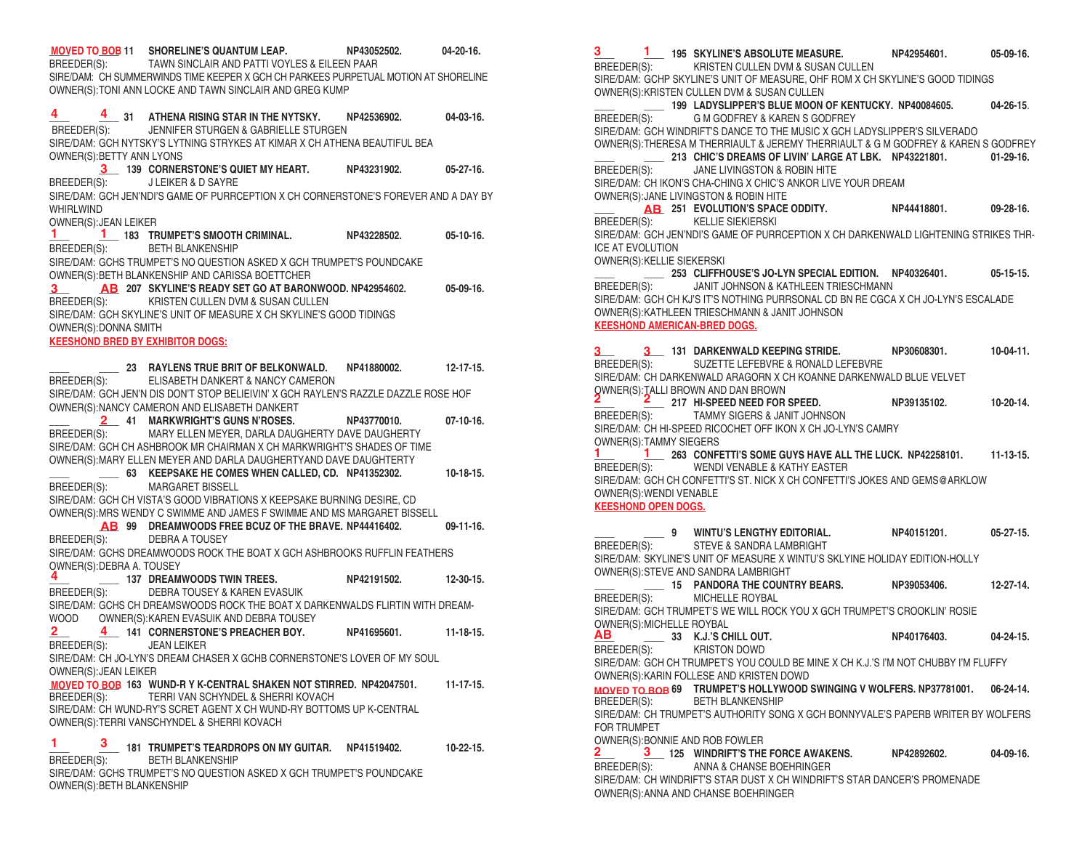**\_\_\_\_ \_\_\_\_ 11 SHORELINE'S QUANTUM LEAP. NP43052502. 04-20-16. MOVED TO BOB** BREEDER(S): TAWN SINCLAIR AND PATTI VOYLES & EILEEN PAAR SIRE/DAM: CH SUMMERWINDS TIME KEEPER X GCH CH PARKEES PURPETUAL MOTION AT SHORELINE OWNER(S):TONI ANN LOCKE AND TAWN SINCLAIR AND GREG KUMP **\_\_\_\_ \_\_\_\_ 31 ATHENA RISING STAR IN THE NYTSKY. NP42536902. 04-03-16.** BREEDER(S): JENNIFER STURGEN & GABRIELLE STURGEN SIRE/DAM: GCH NYTSKY'S LYTNING STRYKES AT KIMAR X CH ATHENA BEAUTIFUL BEA OWNER(S):BETTY ANN LYONS **\_\_\_\_ 139 CORNERSTONE'S QUIET MY HEART. NP43231902. 05-27-16. 3** BREEDER(S): J LEIKER & D SAYRE SIRE/DAM: GCH JEN'NDI'S GAME OF PURRCEPTION X CH CORNERSTONE'S FOREVER AND A DAY BY WHIRI WIND OWNER(S):JEAN LEIKER **\_\_\_\_ \_\_\_\_ 183 TRUMPET'S SMOOTH CRIMINAL. NP43228502. 05-10-16. 1 1** BREEDER(S): BETH BLANKENSHIP SIRE/DAM: GCHS TRUMPET'S NO QUESTION ASKED X GCH TRUMPET'S POUNDCAKE OWNER(S):BETH BLANKENSHIP AND CARISSA BOETTCHER **\_\_\_\_ \_\_\_\_ 207 SKYLINE'S READY SET GO AT BARONWOOD. NP42954602. 05-09-16. 3 AB** BREEDER(S): KRISTEN CULLEN DVM & SUSAN CULLEN SIRE/DAM: GCH SKYLINE'S UNIT OF MEASURE X CH SKYLINE'S GOOD TIDINGS OWNER(S):DONNA SMITH **KEESHOND BRED BY EXHIBITOR DOGS: \_\_\_\_ \_\_\_\_ 23 RAYLENS TRUE BRIT OF BELKONWALD. NP41880002. 12-17-15.** BREEDER(S): ELISABETH DANKERT & NANCY CAMERON  SIRE/DAM: GCH JEN'N DIS DON'T STOP BELIEIVIN' X GCH RAYLEN'S RAZZLE DAZZLE ROSE HOF OWNER(S):NANCY CAMERON AND ELISABETH DANKERT **\_\_\_\_ \_\_\_\_ 41 MARKWRIGHT'S GUNS N'ROSES. NP43770010. 07-10-16. 2** BREEDER(S): MARY ELLEN MEYER, DARLA DAUGHERTY DAVE DAUGHERTY SIRE/DAM: GCH CH ASHBROOK MR CHAIRMAN X CH MARKWRIGHT'S SHADES OF TIME OWNER(S):MARY ELLEN MEYER AND DARLA DAUGHERTYAND DAVE DAUGHTERTY **\_\_\_\_ \_\_\_\_ 63 KEEPSAKE HE COMES WHEN CALLED, CD. NP41352302. 10-18-15.** BREEDER(S): MARGARET BISSELL SIRE/DAM: GCH CH VISTA'S GOOD VIBRATIONS X KEEPSAKE BURNING DESIRE, CD OWNER(S):MRS WENDY C SWIMME AND JAMES F SWIMME AND MS MARGARET BISSELL **\_\_\_\_ 99 DREAMWOODS FREE BCUZ OF THE BRAVE. NP44416402. 09-11-16. AB** BREEDER(S): DEBRA A TOUSEY SIRE/DAM: GCHS DREAMWOODS ROCK THE BOAT X GCH ASHBROOKS RUFFLIN FEATHERS OWNER(S):DEBRA A. TOUSEY **\_\_\_\_ \_\_\_\_ 137 DREAMWOODS TWIN TREES. NP42191502. 12-30-15.** BREEDER(S): DEBRA TOUSEY & KAREN EVASUIK SIRE/DAM: GCHS CH DREAMSWOODS ROCK THE BOAT X DARKENWALDS FLIRTIN WITH DREAM-WOOD OWNER(S):KAREN EVASUIK AND DEBRA TOUSEY **\_\_\_\_ \_\_\_\_ 141 CORNERSTONE'S PREACHER BOY. NP41695601. 11-18-15. 2 4** BREEDER(S): JEAN LEIKER SIRE/DAM: CH JO-LYN'S DREAM CHASER X GCHB CORNERSTONE'S LOVER OF MY SOUL OWNER(S):JEAN LEIKER **MOVED TO BOB** 163 WUND-R Y K-CENTRAL SHAKEN NOT STIRRED. NP42047501. 11-17-15. BREEDER(S): TERRI VAN SCHYNDEL & SHERRI KOVACH SIRE/DAM: CH WUND-RY'S SCRET AGENT X CH WUND-RY BOTTOMS UP K-CENTRAL OWNER(S):TERRI VANSCHYNDEL & SHERRI KOVACH **\_\_\_\_ \_\_\_\_ 181 TRUMPET'S TEARDROPS ON MY GUITAR. NP41519402. 10-22-15. 1 3** BREEDER(S): BETH BLANKENSHIP SIRE/DAM: GCHS TRUMPET'S NO QUESTION ASKED X GCH TRUMPET'S POUNDCAKE OWNER(S):BETH BLANKENSHIP **4 4 4**

**\_\_\_\_ \_\_\_\_ 195 SKYLINE'S ABSOLUTE MEASURE. NP42954601. 05-09-16. 3 1** BREEDER(S): KRISTEN CULLEN DVM & SUSAN CULLEN SIRE/DAM: GCHP SKYLINE'S UNIT OF MEASURE, OHF ROM X CH SKYLINE'S GOOD TIDINGS OWNER(S):KRISTEN CULLEN DVM & SUSAN CULLEN **\_\_\_\_ \_\_\_\_ 199 LADYSLIPPER'S BLUE MOON OF KENTUCKY. NP40084605. 04-26-15**. BREEDER(S): G M GODFREY & KAREN S GODFREY SIRE/DAM: GCH WINDRIFT'S DANCE TO THE MUSIC X GCH LADYSLIPPER'S SILVERADO OWNER(S):THERESA M THERRIAULT & JEREMY THERRIAULT & G M GODFREY & KAREN S GODFREY **\_\_\_\_ \_\_\_\_ 213 CHIC'S DREAMS OF LIVIN' LARGE AT LBK. NP43221801. 01-29-16.** BREEDER(S): JANE LIVINGSTON & ROBIN HITE SIRE/DAM: CH IKON'S CHA-CHING X CHIC'S ANKOR LIVE YOUR DREAM OWNER(S):JANE LIVINGSTON & ROBIN HITE **\_\_\_\_ \_\_\_\_ 251 EVOLUTION'S SPACE ODDITY. NP44418801. 09-28-16. AB** BREEDER(S): KELLIE SIEKIERSKI SIRE/DAM: GCH JEN'NDI'S GAME OF PURRCEPTION X CH DARKENWALD LIGHTENING STRIKES THR-ICE AT EVOLUTION OWNER(S):KELLIE SIEKERSKI **\_\_\_\_ \_\_\_\_ 253 CLIFFHOUSE'S JO-LYN SPECIAL EDITION. NP40326401. 05-15-15.** BREEDER(S): JANIT JOHNSON & KATHLEEN TRIESCHMANN SIRE/DAM: GCH CH KJ'S IT'S NOTHING PURRSONAL CD BN RE CGCA X CH JO-LYN'S ESCALADE OWNER(S):KATHLEEN TRIESCHMANN & JANIT JOHNSON **KEESHOND AMERICAN-BRED DOGS. \_\_\_\_ \_\_\_\_ 131 DARKENWALD KEEPING STRIDE. NP30608301. 10-04-11. 3 3** BREEDER(S): SUZETTE LEFEBVRE & RONALD LEFEBVRE SIRE/DAM: CH DARKENWALD ARAGORN X CH KOANNE DARKENWALD BLUE VELVET OWNER(S):TALLI BROWN AND DAN BROWN **\_\_\_\_ \_\_\_\_ 217 HI-SPEED NEED FOR SPEED. NP39135102. 10-20-14. 2 2** BREEDER(S): TAMMY SIGERS & JANIT JOHNSON SIRE/DAM: CH HI-SPEED RICOCHET OFF IKON X CH JO-LYN'S CAMRY OWNER(S):TAMMY SIEGERS **\_\_\_\_ \_\_\_\_ 263 CONFETTI'S SOME GUYS HAVE ALL THE LUCK. NP42258101. 11-13-15. 1 1** BREEDER(S): WENDI VENABLE & KATHY EASTER SIRE/DAM: GCH CH CONFETTI'S ST. NICK X CH CONFETTI'S JOKES AND GEMS@ARKLOW OWNER(S):WENDI VENABLE **KEESHOND OPEN DOGS. \_\_\_\_ \_\_\_\_ 9 WINTU'S LENGTHY EDITORIAL. NP40151201. 05-27-15.** BREEDER(S): STEVE & SANDRA LAMBRIGHT SIRE/DAM: SKYLINE'S UNIT OF MEASURE X WINTU'S SKLYINE HOLIDAY EDITION-HOLLY OWNER(S):STEVE AND SANDRA LAMBRIGHT **\_\_\_\_ \_\_\_\_ 15 PANDORA THE COUNTRY BEARS. NP39053406. 12-27-14.** BREEDER(S): MICHELLE ROYBAL SIRE/DAM: GCH TRUMPET'S WE WILL ROCK YOU X GCH TRUMPET'S CROOKLIN' ROSIE OWNER(S):MICHELLE ROYBAL **\_\_\_\_ \_\_\_\_ 33 K.J.'S CHILL OUT. NP40176403. 04-24-15. AB** BREEDER(S): KRISTON DOWD SIRE/DAM: GCH CH TRUMPET'S YOU COULD BE MINE X CH K.J.'S I'M NOT CHUBBY I'M FLUFFY OWNER(S):KARIN FOLLESE AND KRISTEN DOWD **\_\_\_\_ \_\_\_\_ 69 TRUMPET'S HOLLYWOOD SWINGING V WOLFERS. NP37781001. 06-24-14. MOVED TO BOB** BREEDER(S): BETH BLANKENSHIP SIRE/DAM: CH TRUMPET'S AUTHORITY SONG X GCH BONNYVALE'S PAPERB WRITER BY WOLFERS FOR TRUMPET OWNER(S):BONNIE AND ROB FOWLER **\_\_\_\_ \_\_\_\_ 125 WINDRIFT'S THE FORCE AWAKENS. NP42892602. 04-09-16. 2 3**BREEDER(S): ANNA & CHANSE BOEHRINGER SIRE/DAM: CH WINDRIFT'S STAR DUST X CH WINDRIFT'S STAR DANCER'S PROMENADE OWNER(S):ANNA AND CHANSE BOEHRINGER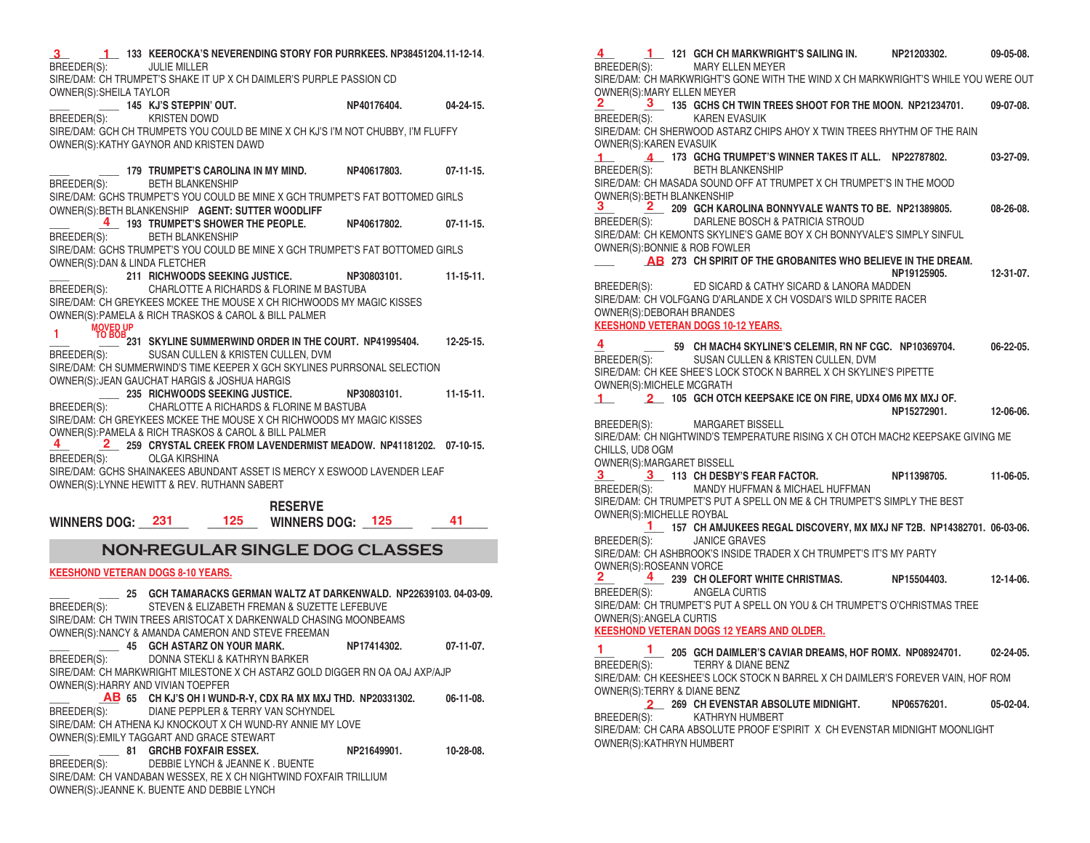**\_\_\_\_ \_\_\_\_ 133 KEEROCKA'S NEVERENDING STORY FOR PURRKEES. NP38451204.11-12-14**. **3 1** BREEDER(S): JULIE MILLER SIRE/DAM: CH TRUMPET'S SHAKE IT UP X CH DAIMLER'S PURPLE PASSION CD OWNER(S):SHEILA TAYLOR **\_\_\_\_ \_\_\_\_ 145 KJ'S STEPPIN' OUT. NP40176404. 04-24-15.** BREEDER(S): KRISTEN DOWD SIRE/DAM: GCH CH TRUMPETS YOU COULD BE MINE X CH KJ'S I'M NOT CHUBBY, I'M FLUFFY OWNER(S):KATHY GAYNOR AND KRISTEN DAWD **\_\_\_\_ \_\_\_\_ 179 TRUMPET'S CAROLINA IN MY MIND. NP40617803. 07-11-15.** BREEDER(S): BETH BLANKENSHIP SIRE/DAM: GCHS TRUMPET'S YOU COULD BE MINE X GCH TRUMPET'S FAT BOTTOMED GIRLS OWNER(S):BETH BLANKENSHIP **AGENT: SUTTER WOODLIFF \_\_\_\_ \_\_\_\_ 193 TRUMPET'S SHOWER THE PEOPLE. NP40617802. 07-11-15. 4** BREEDER(S): BETH BLANKENSHIP SIRE/DAM: GCHS TRUMPET'S YOU COULD BE MINE X GCH TRUMPET'S FAT BOTTOMED GIRLS OWNER(S):DAN & LINDA FLETCHER **\_\_\_\_ 211 RICHWOODS SEEKING JUSTICE. NP30803101. 11-15-11.** BREEDER(S): CHARLOTTE A RICHARDS & FLORINE M BASTUBA SIRE/DAM: CH GREYKEES MCKEE THE MOUSE X CH RICHWOODS MY MAGIC KISSES OWNER(S):PAMELA & RICH TRASKOS & CAROL & BILL PALMER **\_\_\_\_ \_\_\_\_ 231 SKYLINE SUMMERWIND ORDER IN THE COURT. NP41995404. 12-25-15. MOVED UP 1 TO BOB** BREEDER(S): SUSAN CULLEN & KRISTEN CULLEN, DVM SIRE/DAM: CH SUMMERWIND'S TIME KEEPER X GCH SKYLINES PURRSONAL SELECTION OWNER(S):JEAN GAUCHAT HARGIS & JOSHUA HARGIS **\_\_\_\_ 235 RICHWOODS SEEKING JUSTICE. NP30803101. 11-15-11.** BREEDER(S): CHARLOTTE A RICHARDS & FLORINE M BASTUBA SIRE/DAM: CH GREYKEES MCKEE THE MOUSE X CH RICHWOODS MY MAGIC KISSES OWNER(S):PAMELA & RICH TRASKOS & CAROL & BILL PALMER **\_\_\_\_ \_\_\_\_ 259 CRYSTAL CREEK FROM LAVENDERMIST MEADOW. NP41181202. 07-10-15. 4 2** BREEDER(S): OLGA KIRSHINA SIRE/DAM: GCHS SHAINAKEES ABUNDANT ASSET IS MERCY X ESWOOD LAVENDER LEAF OWNER(S):LYNNE HEWITT & REV. RUTHANN SABERT  **RESERVE WINNERS DOG: \_\_\_\_\_\_\_\_ \_\_\_\_\_\_\_\_ WINNERS DOG: \_\_\_\_\_\_\_\_ \_\_\_\_\_\_\_\_\_ 231 125 125 41**  BREEDER(S): STEVEN & ELIZABETH FREMAN & SUZETTE LEFEBUVE  SIRE/DAM: CH TWIN TREES ARISTOCAT X DARKENWALD CHASING MOONBEAMS **AB \_\_\_\_ \_\_\_\_ 65 CH KJ'S OH I WUND-R-Y, CDX RA MX MXJ THD. NP20331302. 06-11-08. KEESHOND VETERAN DOGS 8-10 YEARS. \_\_\_\_ \_\_\_\_ 25 GCH TAMARACKS GERMAN WALTZ AT DARKENWALD. NP22639103. 04-03-09.** OWNER(S):NANCY & AMANDA CAMERON AND STEVE FREEMAN **\_\_\_\_ \_\_\_\_ 45 GCH ASTARZ ON YOUR MARK. NP17414302. 07-11-07.** BREEDER(S): DONNA STEKLI & KATHRYN BARKER SIRE/DAM: CH MARKWRIGHT MILESTONE X CH ASTARZ GOLD DIGGER RN OA OAJ AXP/AJP OWNER(S):HARRY AND VIVIAN TOEPFER BREEDER(S): DIANE PEPPLER & TERRY VAN SCHYNDEL SIRE/DAM: CH ATHENA KJ KNOCKOUT X CH WUND-RY ANNIE MY LOVE OWNER(S):EMILY TAGGART AND GRACE STEWART **\_\_\_\_ \_\_\_\_ 81 GRCHB FOXFAIR ESSEX. NP21649901. 10-28-08.** BREEDER(S): DEBBIE LYNCH & JEANNE K . BUENTE SIRE/DAM: CH VANDABAN WESSEX, RE X CH NIGHTWIND FOXFAIR TRILLIUM OWNER(S):JEANNE K. BUENTE AND DEBBIE LYNCH **NON-REGULAR SINGLE DOG CLASSES**

**\_\_\_\_ \_\_\_\_ 121 GCH CH MARKWRIGHT'S SAILING IN. NP21203302. 09-05-08. 4 1** BREEDER(S): MARY ELLEN MEYER SIRE/DAM: CH MARKWRIGHT'S GONE WITH THE WIND X CH MARKWRIGHT'S WHILE YOU WERE OUT OWNER(S):MARY ELLEN MEYER **\_\_\_\_ \_\_\_\_ 135 GCHS CH TWIN TREES SHOOT FOR THE MOON. NP21234701. 09-07-08. 2 3** BREEDER(S): KAREN EVASUIK SIRE/DAM: CH SHERWOOD ASTARZ CHIPS AHOY X TWIN TREES RHYTHM OF THE RAIN OWNER(S):KAREN EVASUIK **\_\_\_\_ \_\_\_\_ 173 GCHG TRUMPET'S WINNER TAKES IT ALL. NP22787802. 03-27-09. 1 4** BREEDER(S): BETH BLANKENSHIP SIRE/DAM: CH MASADA SOUND OFF AT TRUMPET X CH TRUMPET'S IN THE MOOD OWNER(S):BETH BLANKENSHIP **\_\_\_\_ \_\_\_\_ 209 GCH KAROLINA BONNYVALE WANTS TO BE. NP21389805. 08-26-08. 3 2** BREEDER(S): DARLENE BOSCH & PATRICIA STROUD SIRE/DAM: CH KEMONTS SKYLINE'S GAME BOY X CH BONNYVALE'S SIMPLY SINFUL OWNER(S):BONNIE & ROB FOWLER **\_\_\_\_ \_\_\_\_ 273 CH SPIRIT OF THE GROBANITES WHO BELIEVE IN THE DREAM. AB RREEDER(S):** FD SICARD & CATHY SICARD & LANORA MADDEN ED SICARD & CATHY SICARD & LANORA MADDEN SIRE/DAM: CH VOLFGANG D'ARLANDE X CH VOSDAI'S WILD SPRITE RACER OWNER(S):DEBORAH BRANDES **KEESHOND VETERAN DOGS 10-12 YEARS. \_\_ \_\_\_\_ 59 CH MACH4 SKYLINE'S CELEMIR, RN NF CGC. NP10369704. 06-22-05.** BREEDER(S): SUSAN CULLEN & KRISTEN CULLEN, DVM SIRE/DAM: CH KEE SHEE'S LOCK STOCK N BARREL X CH SKYLINE'S PIPETTE OWNER(S):MICHELE MCGRATH **\_\_\_\_ \_\_\_\_ 105 GCH OTCH KEEPSAKE ICE ON FIRE, UDX4 OM6 MX MXJ OF. 1 2 NP15272901. 12-06-06.** BREEDER(S): MARGARET BISSELL SIRE/DAM: CH NIGHTWIND'S TEMPERATURE RISING X CH OTCH MACH2 KEEPSAKE GIVING ME CHILLS, UD8 OGM OWNER(S):MARGARET BISSELL **\_\_\_\_ \_\_\_\_ 113 CH DESBY'S FEAR FACTOR. NP11398705. 11-06-05. 3 3** BREEDER(S): MANDY HUFFMAN & MICHAEL HUFFMAN SIRE/DAM: CH TRUMPET'S PUT A SPELL ON ME & CH TRUMPET'S SIMPLY THE BEST OWNER(S):MICHELLE ROYBAL **\_\_\_\_ 157 CH AMJUKEES REGAL DISCOVERY, MX MXJ NF T2B. NP14382701. 06-03-06. 1** BREEDER(S): JANICE GRAVES SIRE/DAM: CH ASHBROOK'S INSIDE TRADER X CH TRUMPET'S IT'S MY PARTY OWNER(S):ROSEANN VORCE **\_\_\_\_ \_\_\_\_ 239 CH OLEFORT WHITE CHRISTMAS. NP15504403. 12-14-06.** BREEDER(S): ANGELA CURTIS SIRE/DAM: CH TRUMPET'S PUT A SPELL ON YOU & CH TRUMPET'S O'CHRISTMAS TREE OWNER(S):ANGELA CURTIS **KEESHOND VETERAN DOGS 12 YEARS AND OLDER. \_\_\_\_ \_\_\_\_ 205 GCH DAIMLER'S CAVIAR DREAMS, HOF ROMX. NP08924701. 02-24-05. 1 1** BREEDER(S): TERRY & DIANE BENZ SIRE/DAM: CH KEESHEE'S LOCK STOCK N BARREL X CH DAIMLER'S FOREVER VAIN, HOF ROM OWNER(S):TERRY & DIANE BENZ **\_\_\_\_ 269 CH EVENSTAR ABSOLUTE MIDNIGHT. NP06576201. 05-02-04. 2**BREEDER(S): KATHRYN HUMBERT SIRE/DAM: CH CARA ABSOLUTE PROOF E'SPIRIT X CH EVENSTAR MIDNIGHT MOONLIGHT OWNER(S):KATHRYN HUMBERT **4**  $2 \frac{1}{4}$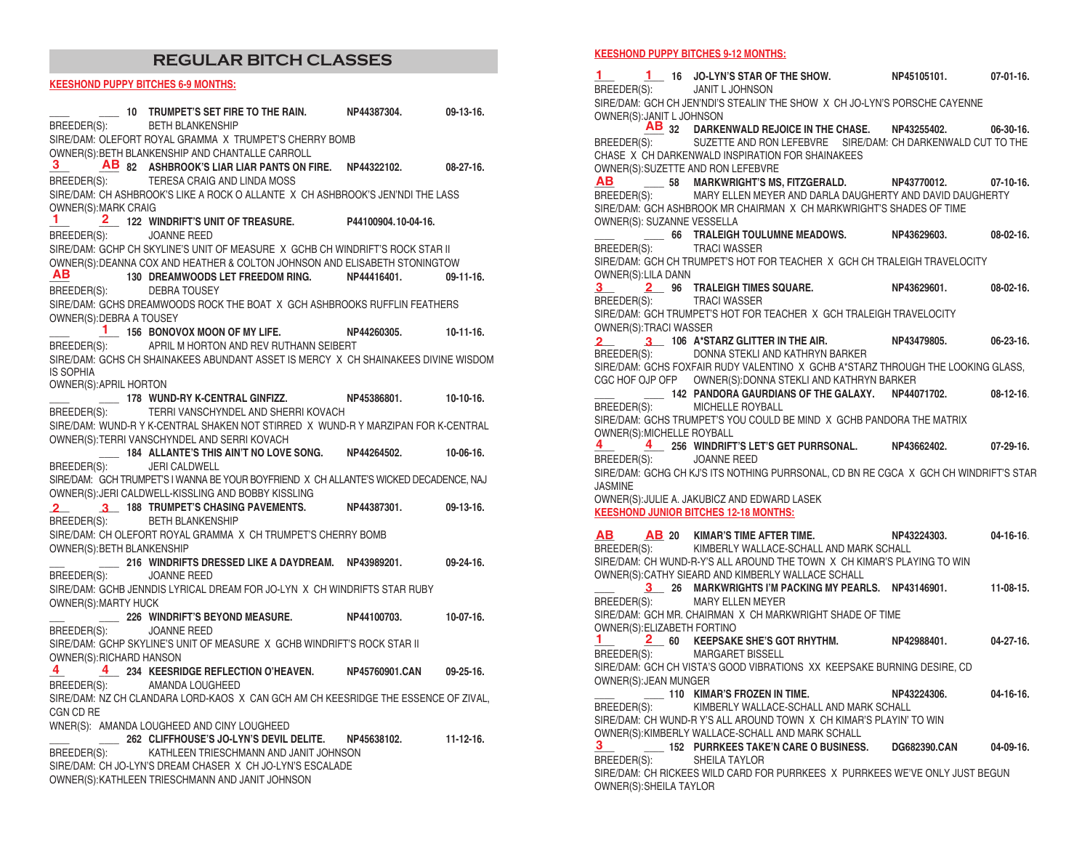## **REGULAR BITCH CLASSES**

#### **KEESHOND PUPPY BITCHES 6-9 MONTHS:**

|                            | 10 TRUMPET'S SET FIRE TO THE RAIN.                                                     | NP44387304. | 09-13-16.   |
|----------------------------|----------------------------------------------------------------------------------------|-------------|-------------|
|                            | BREEDER(S): BETH BLANKENSHIP                                                           |             |             |
|                            | SIRE/DAM: OLEFORT ROYAL GRAMMA X TRUMPET'S CHERRY BOMB                                 |             |             |
|                            | OWNER(S): BETH BLANKENSHIP AND CHANTALLE CARROLL                                       |             |             |
|                            | 3 AB 82 ASHBROOK'S LIAR LIAR PANTS ON FIRE. NP44322102.                                |             | $08-27-16.$ |
|                            | BREEDER(S): TERESA CRAIG AND LINDA MOSS                                                |             |             |
|                            | SIRE/DAM: CH ASHBROOK'S LIKE A ROCK O ALLANTE X CH ASHBROOK'S JEN'NDI THE LASS         |             |             |
| OWNER(S): MARK CRAIG       |                                                                                        |             |             |
| $\mathbf{1}$               | 2 122 WINDRIFT'S UNIT OF TREASURE. P44100904.10-04-16.                                 |             |             |
| BREEDER(S): JOANNE REED    |                                                                                        |             |             |
|                            | SIRE/DAM: GCHP CH SKYLINE'S UNIT OF MEASURE X GCHB CH WINDRIFT'S ROCK STAR II          |             |             |
|                            | OWNER(S): DEANNA COX AND HEATHER & COLTON JOHNSON AND ELISABETH STONINGTOW             |             |             |
|                            | AB 130 DREAMWOODS LET FREEDOM RING. NP44416401.                                        |             | $09-11-16.$ |
|                            | BREEDER(S): DEBRA TOUSEY                                                               |             |             |
|                            | SIRE/DAM: GCHS DREAMWOODS ROCK THE BOAT X GCH ASHBROOKS RUFFLIN FEATHERS               |             |             |
| OWNER(S): DEBRA A TOUSEY   |                                                                                        |             |             |
|                            | 1 156 BONOVOX MOON OF MY LIFE. NP44260305.                                             |             | $10-11-16.$ |
|                            | BREEDER(S): APRIL M HORTON AND REV RUTHANN SEIBERT                                     |             |             |
|                            | SIRE/DAM: GCHS CH SHAINAKEES ABUNDANT ASSET IS MERCY X CH SHAINAKEES DIVINE WISDOM     |             |             |
| <b>IS SOPHIA</b>           |                                                                                        |             |             |
| OWNER(S): APRIL HORTON     |                                                                                        |             |             |
|                            | 10-10-16. 178 WUND-RY K-CENTRAL GINFIZZ. NP45386801. 10-10-16.                         |             |             |
|                            | BREEDER(S): TERRI VANSCHYNDEL AND SHERRI KOVACH                                        |             |             |
|                            | SIRE/DAM: WUND-R Y K-CENTRAL SHAKEN NOT STIRRED X WUND-R Y MARZIPAN FOR K-CENTRAL      |             |             |
|                            | OWNER(S):TERRI VANSCHYNDEL AND SERRI KOVACH                                            |             |             |
|                            | 10-06-16. 184 ALLANTE'S THIS AIN'T NO LOVE SONG. NP44264502. 10-06-16.                 |             |             |
| BREEDER(S):                | <b>JERI CALDWELL</b>                                                                   |             |             |
|                            | SIRE/DAM: GCH TRUMPET'S I WANNA BE YOUR BOYFRIEND X CH ALLANTE'S WICKED DECADENCE, NAJ |             |             |
|                            | OWNER(S): JERI CALDWELL-KISSLING AND BOBBY KISSLING                                    |             |             |
|                            |                                                                                        |             |             |
|                            | 2 3 188 TRUMPET'S CHASING PAVEMENTS. NP44387301. 09-13-16.                             |             |             |
|                            | BREEDER(S): BETH BLANKENSHIP                                                           |             |             |
|                            | SIRE/DAM: CH OLEFORT ROYAL GRAMMA X CH TRUMPET'S CHERRY BOMB                           |             |             |
| OWNER(S): BETH BLANKENSHIP |                                                                                        |             |             |
|                            | 216 WINDRIFTS DRESSED LIKE A DAYDREAM. NP43989201. 09-24-16.                           |             |             |
| BREEDER(S): JOANNE REED    |                                                                                        |             |             |
|                            | SIRE/DAM: GCHB JENNDIS LYRICAL DREAM FOR JO-LYN X CH WINDRIFTS STAR RUBY               |             |             |
| OWNER(S):MARTY HUCK        |                                                                                        |             |             |
|                            | 226 WINDRIFT'S BEYOND MEASURE. NP44100703.                                             |             | $10-07-16.$ |
| BREEDER(S): JOANNE REED    |                                                                                        |             |             |
|                            | SIRE/DAM: GCHP SKYLINE'S UNIT OF MEASURE X GCHB WINDRIFT'S ROCK STAR II                |             |             |
| OWNER(S): RICHARD HANSON   |                                                                                        |             |             |
|                            | 4 234 KEESRIDGE REFLECTION O'HEAVEN. NP45760901.CAN 09-25-16.                          |             |             |
|                            | BREEDER(S): AMANDA LOUGHEED                                                            |             |             |
|                            | SIRE/DAM: NZ CH CLANDARA LORD-KAOS X CAN GCH AM CH KEESRIDGE THE ESSENCE OF ZIVAL,     |             |             |
| CGN CD RE                  |                                                                                        |             |             |
|                            | WNER(S): AMANDA LOUGHEED AND CINY LOUGHEED                                             |             |             |
|                            | 262 CLIFFHOUSE'S JO-LYN'S DEVIL DELITE. NP45638102. 11-12-16.                          |             |             |
|                            | BREEDER(S): KATHLEEN TRIESCHMANN AND JANIT JOHNSON                                     |             |             |
|                            | SIRE/DAM: CH JO-LYN'S DREAM CHASER X CH JO-LYN'S ESCALADE                              |             |             |
|                            | OWNER(S): KATHLEEN TRIESCHMANN AND JANIT JOHNSON                                       |             |             |
|                            |                                                                                        |             |             |

#### **KEESHOND PUPPY BITCHES 9-12 MONTHS:**

**\_\_\_\_ \_\_\_\_ 16 JO-LYN'S STAR OF THE SHOW. NP45105101. 07-01-16. 1 1** BREEDER(S): JANIT L JOHNSON SIRE/DAM: GCH CH JEN'NDI'S STEALIN' THE SHOW X CH JO-LYN'S PORSCHE CAYENNE OWNER(S):JANIT L JOHNSON **\_\_\_\_ 32 DARKENWALD REJOICE IN THE CHASE. NP43255402. 06-30-16. AB** BREEDER(S): SUZETTE AND RON LEFEBVRE SIRE/DAM: CH DARKENWALD CUT TO THE CHASE X CH DARKENWALD INSPIRATION FOR SHAINAKEES OWNER(S):SUZETTE AND RON LEFEBVRE **\_\_\_\_ \_\_\_\_ 58 MARKWRIGHT'S MS, FITZGERALD. NP43770012. 07-10-16. AB** BREEDER(S): MARY ELLEN MEYER AND DARLA DAUGHERTY AND DAVID DAUGHERTY SIRE/DAM: GCH ASHBROOK MR CHAIRMAN X CH MARKWRIGHT'S SHADES OF TIME OWNER(S): SUZANNE VESSELLA **\_\_\_\_ \_\_\_\_ 66 TRALEIGH TOULUMNE MEADOWS. NP43629603. 08-02-16.** BREEDER(S): TRACI WASSER SIRE/DAM: GCH CH TRUMPET'S HOT FOR TEACHER X GCH CH TRALEIGH TRAVELOCITY OWNER(S):LILA DANN **\_\_\_\_ \_\_\_\_ 96 TRALEIGH TIMES SQUARE. NP43629601. 08-02-16. 3 2** BREEDER(S): TRACI WASSER SIRE/DAM: GCH TRUMPET'S HOT FOR TEACHER X GCH TRALEIGH TRAVELOCITY OWNER(S):TRACI WASSER **\_\_\_\_ \_\_\_\_ 106 A\*STARZ GLITTER IN THE AIR. NP43479805. 06-23-16. 2 3** BREEDER(S): DONNA STEKLI AND KATHRYN BARKER SIRE/DAM: GCHS FOXFAIR RUDY VALENTINO X GCHB A\*STARZ THROUGH THE LOOKING GLASS, CGC HOF OJP OFP OWNER(S):DONNA STEKLI AND KATHRYN BARKER **\_\_\_\_ \_\_\_\_ 142 PANDORA GAURDIANS OF THE GALAXY. NP44071702. 08-12-16**. BREEDER(S): MICHELLE ROYBALL SIRE/DAM: GCHS TRUMPET'S YOU COULD BE MIND X GCHB PANDORA THE MATRIX OWNER(S):MICHELLE ROYBALL **\_\_\_\_ \_\_\_\_ 256 WINDRIFT'S LET'S GET PURRSONAL. NP43662402. 07-29-16. 4 4** BREEDER(S): JOANNE REED SIRE/DAM: GCHG CH KJ'S ITS NOTHING PURRSONAL, CD BN RE CGCA X GCH CH WINDRIFT'S STAR JASMINE OWNER(S):JULIE A. JAKUBICZ AND EDWARD LASEK **KEESHOND JUNIOR BITCHES 12-18 MONTHS: \_\_\_\_ \_\_\_\_ 20 KIMAR'S TIME AFTER TIME. NP43224303. 04-16-16**. BREEDER(S): KIMBERLY WALLACE-SCHALL AND MARK SCHALL SIRE/DAM: CH WUND-R-Y'S ALL AROUND THE TOWN X CH KIMAR'S PLAYING TO WIN OWNER(S):CATHY SIEARD AND KIMBERLY WALLACE SCHALL **\_\_\_\_ \_\_\_\_ 26 MARKWRIGHTS I'M PACKING MY PEARLS. NP43146901. 11-08-15. 3** BREEDER(S): MARY ELLEN MEYER SIRE/DAM: GCH MR. CHAIRMAN X CH MARKWRIGHT SHADE OF TIME OWNER(S):ELIZABETH FORTINO **\_\_\_\_ \_\_\_\_ 60 KEEPSAKE SHE'S GOT RHYTHM. NP42988401. 04-27-16. 1 2** BREEDER(S): MARGARET BISSELL SIRE/DAM: GCH CH VISTA'S GOOD VIBRATIONS XX KEEPSAKE BURNING DESIRE, CD OWNER(S):JEAN MUNGER **\_\_\_\_ \_\_\_\_ 110 KIMAR'S FROZEN IN TIME. NP43224306. 04-16-16.** BREEDER(S): KIMBERLY WALLACE-SCHALL AND MARK SCHALL SIRE/DAM: CH WUND-R Y'S ALL AROUND TOWN X CH KIMAR'S PLAYIN' TO WIN OWNER(S):KIMBERLY WALLACE-SCHALL AND MARK SCHALL **\_\_\_\_ \_\_\_\_ 152 PURRKEES TAKE'N CARE O BUSINESS. DG682390.CAN 04-09-16. 3**BREEDER(S): SHEILA TAYLOR SIRE/DAM: CH RICKEES WILD CARD FOR PURRKEES X PURRKEES WE'VE ONLY JUST BEGUN OWNER(S):SHEILA TAYLOR **AB AB**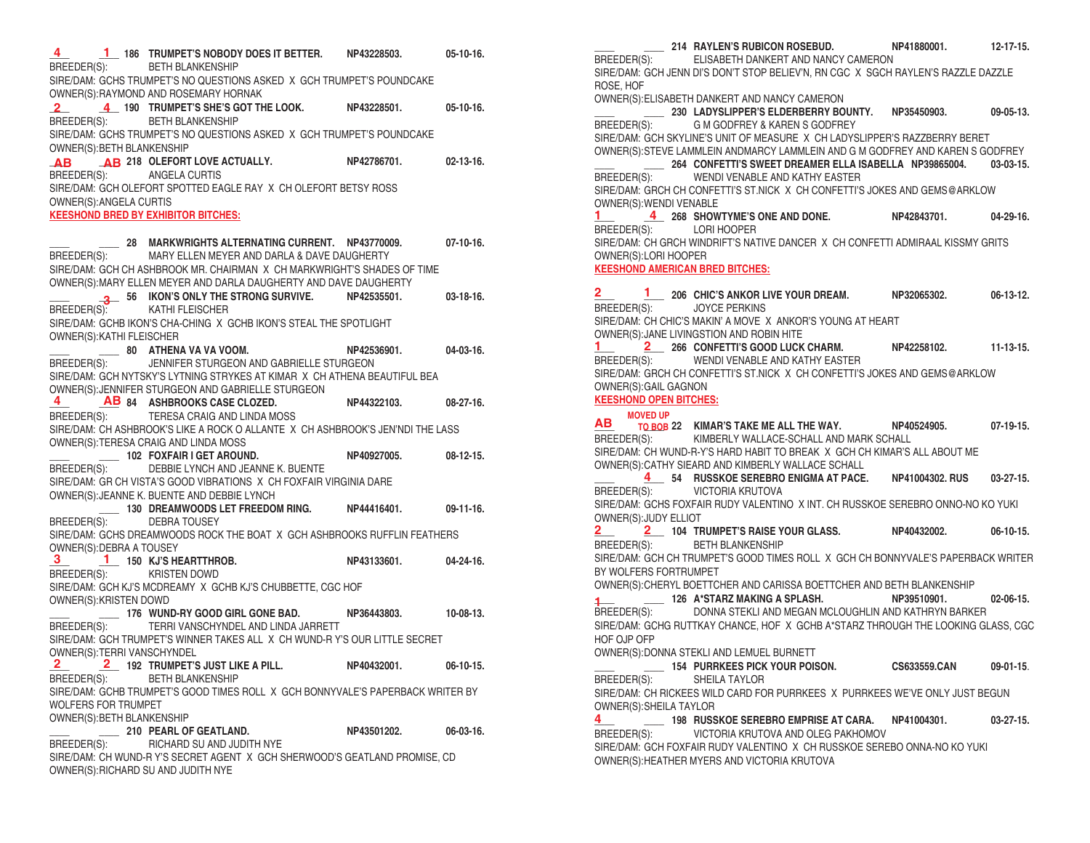**\_\_\_\_ \_\_\_\_ 186 TRUMPET'S NOBODY DOES IT BETTER. NP43228503. 05-10-16. 4 1** BREEDER(S): BETH BLANKENSHIP SIRE/DAM: GCHS TRUMPET'S NO QUESTIONS ASKED X GCH TRUMPET'S POUNDCAKE OWNER(S):RAYMOND AND ROSEMARY HORNAK **\_\_\_\_ \_\_\_\_ 190 TRUMPET'S SHE'S GOT THE LOOK. NP43228501. 05-10-16. 2 4** BREEDER(S): BETH BLANKENSHIP SIRE/DAM: GCHS TRUMPET'S NO QUESTIONS ASKED X GCH TRUMPET'S POUNDCAKE OWNER(S):BETH BLANKENSHIP **\_\_\_\_ \_\_\_\_ 218 OLEFORT LOVE ACTUALLY. NP42786701. 02-13-16. AB AB** BREEDER(S): ANGELA CURTIS SIRE/DAM: GCH OLEFORT SPOTTED EAGLE RAY X CH OLEFORT BETSY ROSS OWNER(S):ANGELA CURTIS **KEESHOND BRED BY EXHIBITOR BITCHES: \_\_\_\_ \_\_\_\_ 28 MARKWRIGHTS ALTERNATING CURRENT. NP43770009. 07-10-16.** BREEDER(S): MARY ELLEN MEYER AND DARLA & DAVE DAUGHERTY SIRE/DAM: GCH CH ASHBROOK MR. CHAIRMAN X CH MARKWRIGHT'S SHADES OF TIME OWNER(S):MARY ELLEN MEYER AND DARLA DAUGHERTY AND DAVE DAUGHERTY **\_\_\_\_ \_\_\_\_ 56 IKON'S ONLY THE STRONG SURVIVE. NP42535501. 03-18-16. 3** BREEDER(S): KATHI FLEISCHER SIRE/DAM: GCHB IKON'S CHA-CHING X GCHB IKON'S STEAL THE SPOTLIGHT OWNER(S):KATHI FLEISCHER **\_\_\_\_ \_\_\_\_ 80 ATHENA VA VA VOOM. NP42536901. 04-03-16.** BREEDER(S): JENNIFER STURGEON AND GABRIELLE STURGEON SIRE/DAM: GCH NYTSKY'S LYTNING STRYKES AT KIMAR X CH ATHENA BEAUTIFUL BEA OWNER(S):JENNIFER STURGEON AND GABRIELLE STURGEON **\_\_\_\_ \_\_\_\_ 84 ASHBROOKS CASE CLOZED. NP44322103. 08-27-16. 4 AB** BREEDER(S): TERESA CRAIG AND LINDA MOSS SIRE/DAM: CH ASHBROOK'S LIKE A ROCK O ALLANTE X CH ASHBROOK'S JEN'NDI THE LASS OWNER(S):TERESA CRAIG AND LINDA MOSS **\_\_\_\_ \_\_\_\_ 102 FOXFAIR I GET AROUND. NP40927005. 08-12-15.** BREEDER(S): DEBBIE LYNCH AND JEANNE K. BUENTE SIRE/DAM: GR CH VISTA'S GOOD VIBRATIONS X CH FOXFAIR VIRGINIA DARE OWNER(S):JEANNE K. BUENTE AND DEBBIE LYNCH **\_\_\_\_ 130 DREAMWOODS LET FREEDOM RING. NP44416401. 09-11-16.** BREEDER(S): DEBRA TOUSEY SIRE/DAM: GCHS DREAMWOODS ROCK THE BOAT X GCH ASHBROOKS RUFFLIN FEATHERS OWNER(S):DEBRA A TOUSEY **\_\_\_\_ \_\_\_\_ 150 KJ'S HEARTTHROB. NP43133601. 04-24-16. 3 1** BREEDER(S): KRISTEN DOWD SIRE/DAM: GCH KJ'S MCDREAMY X GCHB KJ'S CHUBBETTE, CGC HOF OWNER(S):KRISTEN DOWD **\_\_\_\_ \_\_\_\_ 176 WUND-RY GOOD GIRL GONE BAD. NP36443803. 10-08-13.** BREEDER(S): TERRI VANSCHYNDEL AND LINDA JARRETT SIRE/DAM: GCH TRUMPET'S WINNER TAKES ALL X CH WUND-R Y'S OUR LITTLE SECRET OWNER(S):TERRI VANSCHYNDEL **\_\_\_\_ \_\_\_\_ 192 TRUMPET'S JUST LIKE A PILL. NP40432001. 06-10-15. 2 2**BREEDER(S): BETH BLANKENSHIP SIRE/DAM: GCHB TRUMPET'S GOOD TIMES ROLL X GCH BONNYVALE'S PAPERBACK WRITER BY WOLFERS FOR TRUMPET OWNER(S):BETH BLANKENSHIP **\_\_\_\_ \_\_\_\_ 210 PEARL OF GEATLAND. NP43501202. 06-03-16.** BREEDER(S): RICHARD SU AND JUDITH NYE SIRE/DAM: CH WUND-R Y'S SECRET AGENT X GCH SHERWOOD'S GEATLAND PROMISE, CD OWNER(S):RICHARD SU AND JUDITH NYE

**\_\_\_\_ \_\_\_\_ 214 RAYLEN'S RUBICON ROSEBUD. NP41880001. 12-17-15.** BREEDER(S): ELISABETH DANKERT AND NANCY CAMERON SIRE/DAM: GCH JENN DI'S DON'T STOP BELIEV'N, RN CGC X SGCH RAYLEN'S RAZZLE DAZZLE ROSE, HOF OWNER(S):ELISABETH DANKERT AND NANCY CAMERON **\_\_\_\_ \_\_\_\_ 230 LADYSLIPPER'S ELDERBERRY BOUNTY. NP35450903. 09-05-13.** BREEDER(S): G M GODFREY & KAREN S GODFREY SIRE/DAM: GCH SKYLINE'S UNIT OF MEASURE X CH LADYSLIPPER'S RAZZBERRY BERET OWNER(S):STEVE LAMMLEIN ANDMARCY LAMMLEIN AND G M GODFREY AND KAREN S GODFREY **\_\_\_\_ \_\_\_\_ 264 CONFETTI'S SWEET DREAMER ELLA ISABELLA NP39865004. 03-03-15.** BREEDER(S): WENDI VENABLE AND KATHY EASTER SIRE/DAM: GRCH CH CONFETTI'S ST.NICK X CH CONFETTI'S JOKES AND GEMS@ARKLOW OWNER(S):WENDI VENABLE 1 4 268 SHOWTYME'S ONE AND DONE. NP42843701. 04-29-16. BREEDER(S): LORI HOOPER SIRE/DAM: CH GRCH WINDRIFT'S NATIVE DANCER X CH CONFETTI ADMIRAAL KISSMY GRITS OWNER(S):LORI HOOPER **KEESHOND AMERICAN BRED BITCHES: \_\_\_\_ \_\_\_\_ 206 CHIC'S ANKOR LIVE YOUR DREAM. NP32065302. 06-13-12. 2 1** BREEDER(S): JOYCE PERKINS SIRE/DAM: CH CHIC'S MAKIN' A MOVE X ANKOR'S YOUNG AT HEART OWNER(S):JANE LIVINGSTION AND ROBIN HITE **\_\_\_\_ \_\_\_\_ 266 CONFETTI'S GOOD LUCK CHARM. NP42258102. 11-13-15. 1 2** BREEDER(S): WENDI VENABLE AND KATHY EASTER SIRE/DAM: GRCH CH CONFETTI'S ST.NICK X CH CONFETTI'S JOKES AND GEMS@ARKLOW OWNER(S):GAIL GAGNON **KEESHOND OPEN BITCHES: \_\_\_\_ \_\_\_\_ 22 KIMAR'S TAKE ME ALL THE WAY. NP40524905. 07-19-15. AB MOVED UP** BREEDER(S): KIMBERLY WALLACE-SCHALL AND MARK SCHALL SIRE/DAM: CH WUND-R-Y'S HARD HABIT TO BREAK X GCH CH KIMAR'S ALL ABOUT ME OWNER(S):CATHY SIEARD AND KIMBERLY WALLACE SCHALL **\_\_\_\_ \_\_\_\_ 54 RUSSKOE SEREBRO ENIGMA AT PACE. NP41004302. RUS 03-27-15. 4** BREEDER(S): VICTORIA KRUTOVA SIRE/DAM: GCHS FOXFAIR RUDY VALENTINO X INT. CH RUSSKOE SEREBRO ONNO-NO KO YUKI OWNER(S):JUDY ELLIOT **\_\_\_\_ \_\_\_\_ 104 TRUMPET'S RAISE YOUR GLASS. NP40432002. 06-10-15. 2 2** BREEDER(S): BETH BLANKENSHIP SIRE/DAM: GCH CH TRUMPET'S GOOD TIMES ROLL X GCH CH BONNYVALE'S PAPERBACK WRITER BY WOLFERS FORTRUMPET OWNER(S):CHERYL BOETTCHER AND CARISSA BOETTCHER AND BETH BLANKENSHIP **\_\_\_\_ \_\_\_\_ 126 A\*STARZ MAKING A SPLASH. NP39510901. 02-06-15. 1** BREEDER(S): DONNA STEKLI AND MEGAN MCLOUGHLIN AND KATHRYN BARKER SIRE/DAM: GCHG RUTTKAY CHANCE, HOF X GCHB A\*STARZ THROUGH THE LOOKING GLASS, CGC HOF OJP OFP OWNER(S):DONNA STEKLI AND LEMUEL BURNETT **\_\_\_\_ \_\_\_\_ 154 PURRKEES PICK YOUR POISON. CS633559.CAN 09-01-15**. BREEDER(S): SHEILA TAYLOR SIRE/DAM: CH RICKEES WILD CARD FOR PURRKEES X PURRKEES WE'VE ONLY JUST BEGUN OWNER(S):SHEILA TAYLOR **\_\_\_\_ \_\_\_\_ 198 RUSSKOE SEREBRO EMPRISE AT CARA. NP41004301. 03-27-15. 4**  BREEDER(S): VICTORIA KRUTOVA AND OLEG PAKHOMOV SIRE/DAM: GCH FOXFAIR RUDY VALENTINO X CH RUSSKOE SEREBO ONNA-NO KO YUKI OWNER(S):HEATHER MYERS AND VICTORIA KRUTOVA **TO BOB**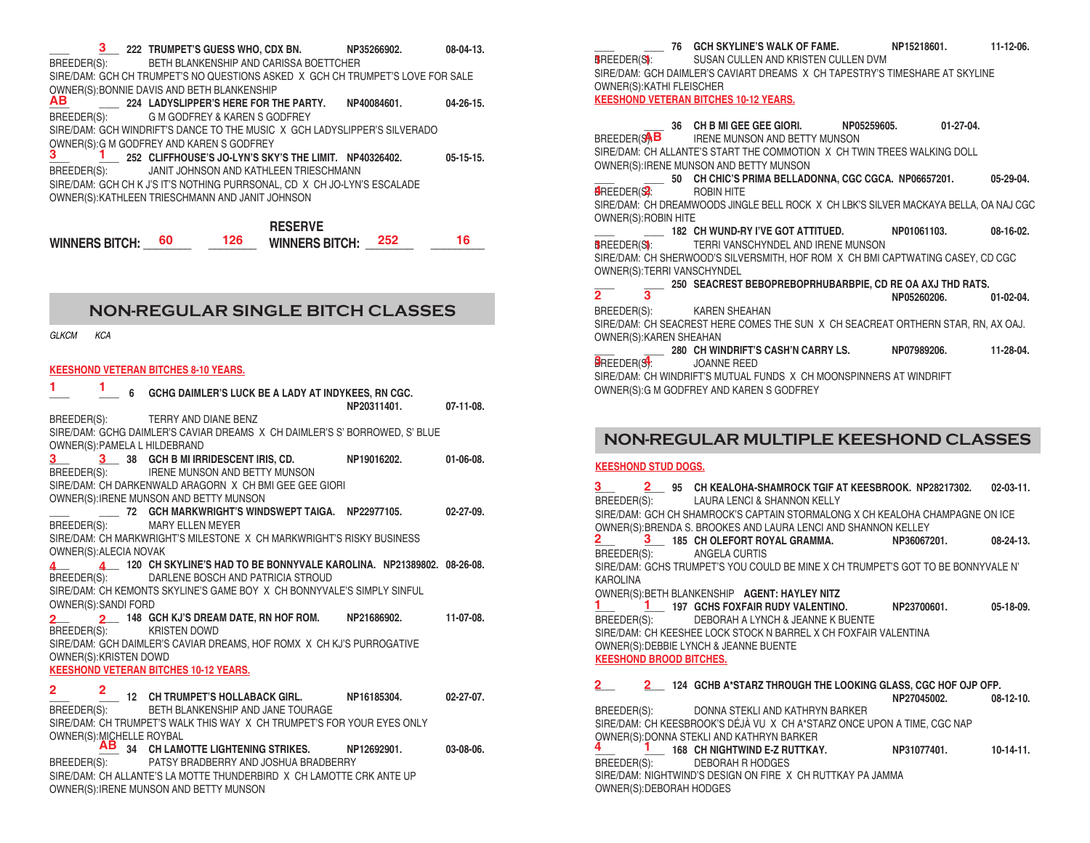| 3 222 TRUMPET'S GUESS WHO, CDX BN. NP35266902.<br>BREEDER(S): BETH BLANKENSHIP AND CARISSA BOETTCHER                          |             | $08 - 04 - 13$ . |
|-------------------------------------------------------------------------------------------------------------------------------|-------------|------------------|
| SIRE/DAM: GCH CH TRUMPET'S NO QUESTIONS ASKED X GCH CH TRUMPET'S LOVE FOR SALE<br>OWNER(S): BONNIE DAVIS AND BETH BLANKENSHIP |             |                  |
| AB 224 LADYSLIPPER'S HERE FOR THE PARTY. NP40084601.<br>BREEDER(S): G M GODFREY & KAREN S GODFREY                             |             | $04 - 26 - 15$ . |
| SIRE/DAM: GCH WINDRIFT'S DANCE TO THE MUSIC X GCH LADYSLIPPER'S SILVERADO<br>OWNER(S): G M GODFREY AND KAREN S GODFREY        |             |                  |
| 1 252 CLIFFHOUSE'S JO-LYN'S SKY'S THE LIMIT. NP40326402.<br>BREEDER(S): JANIT JOHNSON AND KATHLEEN TRIESCHMANN                |             | $05-15-15.$      |
| SIRE/DAM: GCH CH K J'S IT'S NOTHING PURRSONAL, CD X CH JO-LYN'S ESCALADE<br>OWNER(S): KATHLEEN TRIESCHMANN AND JANIT JOHNSON  |             |                  |
| <b>RESERVE</b>                                                                                                                |             |                  |
| 126<br>60<br>WINNERS BITCH: 252<br><b>WINNERS BITCH:</b>                                                                      |             | 16               |
|                                                                                                                               |             |                  |
| <b>NON-REGULAR SINGLE BITCH CLASSES</b>                                                                                       |             |                  |
| <b>GLKCM</b><br><b>KCA</b>                                                                                                    |             |                  |
|                                                                                                                               |             |                  |
| <b>KEESHOND VETERAN BITCHES 8-10 YEARS.</b>                                                                                   |             |                  |
| 1.<br>$\frac{1}{1}$ 6 GCHG DAIMLER'S LUCK BE A LADY AT INDYKEES, RN CGC.                                                      | NP20311401. | $07-11-08.$      |
| BREEDER(S): TERRY AND DIANE BENZ<br>SIRE/DAM: GCHG DAIMLER'S CAVIAR DREAMS X CH DAIMLER'S S' BORROWED, S' BLUE                |             |                  |
| OWNER(S): PAMELA L HILDEBRAND<br>3 38 GCH B MI IRRIDESCENT IRIS, CD.<br>$3^{\circ}$                                           | NP19016202. | $01-06-08.$      |
| BREEDER(S): IRENE MUNSON AND BETTY MUNSON<br>SIRE/DAM: CH DARKENWALD ARAGORN X CH BMI GEE GEE GIORI                           |             |                  |
| OWNER(S): IRENE MUNSON AND BETTY MUNSON<br>72 GCH MARKWRIGHT'S WINDSWEPT TAIGA. NP22977105.                                   |             | 02-27-09.        |
| MARY ELLEN MEYER<br>BREEDER(S):<br>SIRE/DAM: CH MARKWRIGHT'S MILESTONE X CH MARKWRIGHT'S RISKY BUSINESS                       |             |                  |
| OWNER(S): ALECIA NOVAK                                                                                                        |             |                  |
| 4 120 CH SKYLINE'S HAD TO BE BONNYVALE KAROLINA. NP21389802. 08-26-08.<br>DARLENE BOSCH AND PATRICIA STROUD<br>BREEDER(S):    |             |                  |
| SIRE/DAM: CH KEMONTS SKYLINE'S GAME BOY X CH BONNYVALE'S SIMPLY SINFUL<br>OWNER(S):SANDI FORD                                 |             |                  |
| 2 2 148 GCH KJ'S DREAM DATE, RN HOF ROM. NP21686902.<br>BREEDER(S): KRISTEN DOWD                                              |             | 11-07-08         |
| SIRE/DAM: GCH DAIMLER'S CAVIAR DREAMS, HOF ROMX X CH KJ'S PURROGATIVE<br>OWNER(S): KRISTEN DOWD                               |             |                  |
| <b>KEESHOND VETERAN BITCHES 10-12 YEARS.</b>                                                                                  |             |                  |
| 2<br>2.<br>12 CH TRUMPET'S HOLLABACK GIRL.                                                                                    | NP16185304. | $02 - 27 - 07$ . |
| BREEDER(S):<br>BETH BLANKENSHIP AND JANE TOURAGE<br>SIRE/DAM: CH TRUMPET'S WALK THIS WAY X CH TRUMPET'S FOR YOUR EYES ONLY    |             |                  |
| OWNER(S): MICHELLE ROYBAL<br><b>AB</b> 34 CH LAMOTTE LIGHTENING STRIKES.                                                      | NP12692901. | $03-08-06.$      |
| PATSY BRADBERRY AND JOSHUA BRADBERRY<br>BREEDER(S):                                                                           |             |                  |
| SIRE/DAM: CH ALLANTE'S LA MOTTE THUNDERBIRD X CH LAMOTTE CRK ANTE UP<br>OWNER(S): IRENE MUNSON AND BETTY MUNSON               |             |                  |

**\_\_\_\_ \_\_\_\_ 76 GCH SKYLINE'S WALK OF FAME. NP15218601. 11-12-06.** SUSAN CULLEN AND KRISTEN CULLEN DVM SIRE/DAM: GCH DAIMLER'S CAVIART DREAMS X CH TAPESTRY'S TIMESHARE AT SKYLINE OWNER(S):KATHI FLEISCHER **KEESHOND VETERAN BITCHES 10-12 YEARS. 1 1**

**\_\_\_\_ 36 CH B MI GEE GEE GIORI. NP05259605. 01-27-04.** IRENE MUNSON AND BETTY MUNSON SIRE/DAM: CH ALLANTE'S START THE COMMOTION X CH TWIN TREES WALKING DOLL OWNER(S):IRENE MUNSON AND BETTY MUNSON **\_\_\_\_ \_\_\_\_ 50 CH CHIC'S PRIMA BELLADONNA, CGC CGCA. NP06657201. 05-29-04.** BREEDER(S): ROBIN HITE **4 2** SIRE/DAM: CH DREAMWOODS JINGLE BELL ROCK X CH LBK'S SILVER MACKAYA BELLA, OA NAJ CGC OWNER(S):ROBIN HITE **\_\_\_\_ \_\_\_\_ 182 CH WUND-RY I'VE GOT ATTITUED. NP01061103. 08-16-02.** TERRI VANSCHYNDEL AND IRENE MUNSON SIRE/DAM: CH SHERWOOD'S SILVERSMITH, HOF ROM X CH BMI CAPTWATING CASEY, CD CGC OWNER(S):TERRI VANSCHYNDEL **\_\_\_\_ \_\_\_\_ 250 SEACREST BEBOPREBOPRHUBARBPIE, CD RE OA AXJ THD RATS. NP05260206. 01-02-04.** BREEDER(S): KAREN SHEAHAN SIRE/DAM: CH SEACREST HERE COMES THE SUN X CH SEACREAT ORTHERN STAR, RN, AX OAJ. OWNER(S):KAREN SHEAHAN **\_\_\_\_ \_\_\_\_ 280 CH WINDRIFT'S CASH'N CARRY LS. NP07989206. 11-28-04.** JOANNE REED SIRE/DAM: CH WINDRIFT'S MUTUAL FUNDS X CH MOONSPINNERS AT WINDRIFT **BREEDER**(SAB **1 1 2 3**  $\mathsf{B}$  **REEDER(S**,

OWNER(S):G M GODFREY AND KAREN S GODFREY

## **NON-REGULAR MULTIPLE KEESHOND CLASSES**

#### **KEESHOND STUD DOGS.**

OWNER(S):DEBORAH HODGES

| 3 2 95 CH KEALOHA-SHAMROCK TGIF AT KEESBROOK. NP28217302. 02-03-11.<br>BREEDER(S): LAURA LENCI & SHANNON KELLY |                       |  |
|----------------------------------------------------------------------------------------------------------------|-----------------------|--|
| SIRE/DAM: GCH CH SHAMROCK'S CAPTAIN STORMALONG X CH KEALOHA CHAMPAGNE ON ICE                                   |                       |  |
| OWNER(S): BRENDA S. BROOKES AND LAURA LENCI AND SHANNON KELLEY                                                 |                       |  |
| 2 3 185 CH OLEFORT ROYAL GRAMMA. NP36067201. 08-24-13.                                                         |                       |  |
| BREEDER(S): ANGELA CURTIS                                                                                      |                       |  |
| SIRE/DAM: GCHS TRUMPET'S YOU COULD BE MINE X CH TRUMPET'S GOT TO BE BONNYVALE N'                               |                       |  |
| <b>KAROLINA</b>                                                                                                |                       |  |
| OWNER(S): BETH BLANKENSHIP AGENT: HAYLEY NITZ                                                                  |                       |  |
| 1 197 GCHS FOXFAIR RUDY VALENTINO. NP23700601. 05-18-09.                                                       |                       |  |
| BREEDER(S): DEBORAH A LYNCH & JEANNE K BUENTE                                                                  |                       |  |
| SIRE/DAM: CH KEESHEE LOCK STOCK N BARREL X CH FOXFAIR VALENTINA                                                |                       |  |
| OWNER(S): DEBBIE LYNCH & JEANNE BUENTE                                                                         |                       |  |
| <b>KEESHOND BROOD BITCHES.</b>                                                                                 |                       |  |
| 2 2 2 124 GCHB A*STARZ THROUGH THE LOOKING GLASS, CGC HOF OJP OFP.                                             |                       |  |
|                                                                                                                | NP27045002. 08-12-10. |  |
| BREEDER(S): DONNA STEKLI AND KATHRYN BARKER                                                                    |                       |  |
| SIRE/DAM: CH KEESBROOK'S DÉJÀ VU X CH A*STARZ ONCE UPON A TIME, CGC NAP                                        |                       |  |
| OWNER(S): DONNA STEKLI AND KATHRYN BARKER                                                                      |                       |  |
| $\frac{4}{1}$ 168 CH NIGHTWIND E-Z RUTTKAY. NP31077401. 10-14-11.                                              |                       |  |
| BREEDER(S): DEBORAH R HODGES                                                                                   |                       |  |
| SIRE/DAM: NIGHTWIND'S DESIGN ON FIRE X CH RUTTKAY PA JAMMA                                                     |                       |  |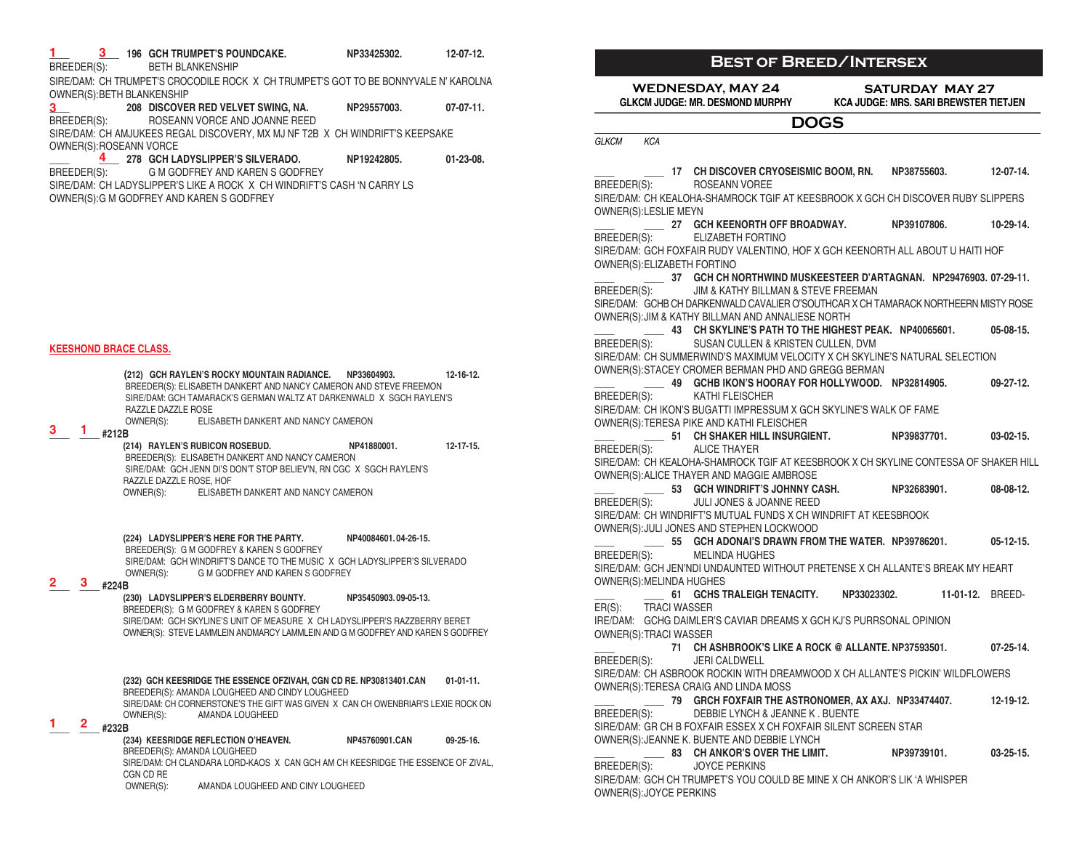| BREEDER(S):                   | 3 196 GCH TRUMPET'S POUNDCAKE.<br><b>BETH BLANKENSHIP</b>                                                                                                    | NP33425302.           | 12-07-12.       |
|-------------------------------|--------------------------------------------------------------------------------------------------------------------------------------------------------------|-----------------------|-----------------|
| OWNER(S): BETH BLANKENSHIP    | SIRE/DAM: CH TRUMPET'S CROCODILE ROCK X CH TRUMPET'S GOT TO BE BONNYVALE N' KAROLNA                                                                          |                       |                 |
| 3 <sup>1</sup><br>BREEDER(S): | 208 DISCOVER RED VELVET SWING, NA.<br>ROSEANN VORCE AND JOANNE REED                                                                                          | NP29557003.           | $07-07-11.$     |
| OWNER(S): ROSEANN VORCE       | SIRE/DAM: CH AMJUKEES REGAL DISCOVERY, MX MJ NF T2B X CH WINDRIFT'S KEEPSAKE                                                                                 |                       |                 |
| BREEDER(S):                   | 4 278 GCH LADYSLIPPER'S SILVERADO.<br>G M GODFREY AND KAREN S GODFREY                                                                                        | NP19242805.           | $01-23-08.$     |
|                               | SIRE/DAM: CH LADYSLIPPER'S LIKE A ROCK X CH WINDRIFT'S CASH 'N CARRY LS<br>OWNER(S): G M GODFREY AND KAREN S GODFREY                                         |                       |                 |
|                               |                                                                                                                                                              |                       |                 |
|                               |                                                                                                                                                              |                       |                 |
|                               |                                                                                                                                                              |                       |                 |
|                               |                                                                                                                                                              |                       |                 |
|                               |                                                                                                                                                              |                       |                 |
| <b>KEESHOND BRACE CLASS.</b>  |                                                                                                                                                              |                       |                 |
|                               | (212) GCH RAYLEN'S ROCKY MOUNTAIN RADIANCE. NP33604903.                                                                                                      |                       | 12-16-12.       |
|                               | BREEDER(S): ELISABETH DANKERT AND NANCY CAMERON AND STEVE FREEMON<br>SIRE/DAM: GCH TAMARACK'S GERMAN WALTZ AT DARKENWALD X SGCH RAYLEN'S                     |                       |                 |
| З.<br>п.<br>#212B             | RAZZLE DAZZLE ROSE<br>OWNER(S):<br>ELISABETH DANKERT AND NANCY CAMERON                                                                                       |                       |                 |
|                               | (214) RAYLEN'S RUBICON ROSEBUD.<br>BREEDER(S): ELISABETH DANKERT AND NANCY CAMERON                                                                           | NP41880001.           | $12 - 17 - 15.$ |
|                               | SIRE/DAM: GCH JENN DI'S DON'T STOP BELIEV'N, RN CGC X SGCH RAYLEN'S<br>RAZZLE DAZZLE ROSE, HOF                                                               |                       |                 |
|                               | OWNER(S): ELISABETH DANKERT AND NANCY CAMERON                                                                                                                |                       |                 |
|                               | (224) LADYSLIPPER'S HERE FOR THE PARTY.                                                                                                                      | NP40084601.04-26-15.  |                 |
|                               | BREEDER(S): G M GODFREY & KAREN S GODFREY<br>SIRE/DAM: GCH WINDRIFT'S DANCE TO THE MUSIC X GCH LADYSLIPPER'S SILVERADO                                       |                       |                 |
| 3<br>#224B                    | OWNER(S):<br>G M GODFREY AND KAREN S GODFREY                                                                                                                 |                       |                 |
|                               | (230) LADYSLIPPER'S ELDERBERRY BOUNTY.<br>BREEDER(S): G M GODFREY & KAREN S GODFREY                                                                          | NP35450903.09-05-13.  |                 |
|                               | SIRE/DAM: GCH SKYLINE'S UNIT OF MEASURE X CH LADYSLIPPER'S RAZZBERRY BERET<br>OWNER(S): STEVE LAMMLEIN ANDMARCY LAMMLEIN AND G M GODFREY AND KAREN S GODFREY |                       |                 |
|                               |                                                                                                                                                              |                       |                 |
|                               | (232) GCH KEESRIDGE THE ESSENCE OFZIVAH, CGN CD RE. NP30813401.CAN<br>BREEDER(S): AMANDA LOUGHEED AND CINDY LOUGHEED                                         |                       | $01-01-11.$     |
|                               | SIRE/DAM: CH CORNERSTONE'S THE GIFT WAS GIVEN X CAN CH OWENBRIAR'S LEXIE ROCK ON<br>OWNER(S):<br>AMANDA LOUGHEED                                             |                       |                 |
| 2<br>#232B                    | (234) KEESRIDGE REFLECTION O'HEAVEN.                                                                                                                         | <b>NP45760901.CAN</b> | 09-25-16.       |
|                               | BREEDER(S): AMANDA LOUGHEED<br>SIRE/DAM: CH CLANDARA LORD-KAOS X CAN GCH AM CH KEESRIDGE THE ESSENCE OF ZIVAL,                                               |                       |                 |
|                               | CGN CD RE<br>OWNER(S):<br>AMANDA LOUGHEED AND CINY LOUGHEED                                                                                                  |                       |                 |

#### **WEDNESDAY, MAY 24 GLKCM JUDGE: MR. DESMOND MURPHY SATURDAY MAY 27 KCA JUDGE: MRS. SARI BREWSTER TIETJEN** *GLKCM KCA* **DOGS \_\_\_\_ \_\_\_\_ 17 CH DISCOVER CRYOSEISMIC BOOM, RN. NP38755603. 12-07-14.** BREEDER(S): ROSEANN VOREE SIRE/DAM: CH KEALOHA-SHAMROCK TGIF AT KEESBROOK X GCH CH DISCOVER RUBY SLIPPERS OWNER(S):LESLIE MEYN **\_\_\_\_ \_\_\_\_ 27 GCH KEENORTH OFF BROADWAY. NP39107806. 10-29-14.** BREEDER(S): ELIZABETH FORTINO SIRE/DAM: GCH FOXFAIR RUDY VALENTINO, HOF X GCH KEENORTH ALL ABOUT U HAITI HOF OWNER(S):ELIZABETH FORTINO **\_\_\_\_ \_\_\_\_ 37 GCH CH NORTHWIND MUSKEESTEER D'ARTAGNAN. NP29476903. 07-29-11.** BREEDER(S): JIM & KATHY BILLMAN & STEVE FREEMAN SIRE/DAM: GCHB CH DARKENWALD CAVALIER O"SOUTHCAR X CH TAMARACK NORTHEERN MISTY ROSE OWNER(S):JIM & KATHY BILLMAN AND ANNALIESE NORTH **\_\_\_\_ \_\_\_\_ 43 CH SKYLINE'S PATH TO THE HIGHEST PEAK. NP40065601. 05-08-15.** BREEDER(S): SUSAN CULLEN & KRISTEN CULLEN, DVM SIRE/DAM: CH SUMMERWIND'S MAXIMUM VELOCITY X CH SKYLINE'S NATURAL SELECTION OWNER(S):STACEY CROMER BERMAN PHD AND GREGG BERMAN **\_\_\_\_ \_\_\_\_ 49 GCHB IKON'S HOORAY FOR HOLLYWOOD. NP32814905. 09-27-12.** BREEDER(S): KATHI FLEISCHER SIRE/DAM: CH IKON'S BUGATTI IMPRESSUM X GCH SKYLINE'S WALK OF FAME OWNER(S):TERESA PIKE AND KATHI FLEISCHER **\_\_\_\_ \_\_\_\_ 51 CH SHAKER HILL INSURGIENT. NP39837701. 03-02-15.** BREEDER(S): ALICE THAYER SIRE/DAM: CH KEALOHA-SHAMROCK TGIF AT KEESBROOK X CH SKYLINE CONTESSA OF SHAKER HILL OWNER(S):ALICE THAYER AND MAGGIE AMBROSE **\_\_\_\_ \_\_\_\_ 53 GCH WINDRIFT'S JOHNNY CASH. NP32683901. 08-08-12.** JULI JONES & JOANNE REED SIRE/DAM: CH WINDRIFT'S MUTUAL FUNDS X CH WINDRIFT AT KEESBROOK OWNER(S):JULI JONES AND STEPHEN LOCKWOOD **\_\_\_\_ \_\_\_\_ 55 GCH ADONAI'S DRAWN FROM THE WATER. NP39786201. 05-12-15.** BREEDER(S): MELINDA HUGHES SIRE/DAM: GCH JEN'NDI UNDAUNTED WITHOUT PRETENSE X CH ALLANTE'S BREAK MY HEART OWNER(S):MELINDA HUGHES **\_\_\_\_ \_\_\_\_ 61 GCHS TRALEIGH TENACITY. NP33023302. 11-01-12.** BREED-ER(S): TRACI WASSER IRE/DAM: GCHG DAIMLER'S CAVIAR DREAMS X GCH KJ'S PURRSONAL OPINION OWNER(S):TRACI WASSER **\_\_\_\_ 71 CH ASHBROOK'S LIKE A ROCK @ ALLANTE. NP37593501. 07-25-14.** BREEDER(S): JERI CALDWELL SIRE/DAM: CH ASBROOK ROCKIN WITH DREAMWOOD X CH ALLANTE'S PICKIN' WILDFLOWERS OWNER(S):TERESA CRAIG AND LINDA MOSS **\_\_\_\_ \_\_\_\_ 79 GRCH FOXFAIR THE ASTRONOMER, AX AXJ. NP33474407. 12-19-12.** BREEDER(S): DEBBIE LYNCH & JEANNE K . BUENTE SIRE/DAM: GR CH B FOXFAIR ESSEX X CH FOXFAIR SILENT SCREEN STAR OWNER(S):JEANNE K. BUENTE AND DEBBIE LYNCH **\_\_\_\_ \_\_\_\_ 83 CH ANKOR'S OVER THE LIMIT. NP39739101. 03-25-15.** BREEDER(S): JOYCE PERKINS SIRE/DAM: GCH CH TRUMPET'S YOU COULD BE MINE X CH ANKOR'S LIK 'A WHISPER OWNER(S):JOYCE PERKINS

**Best of Breed/Intersex**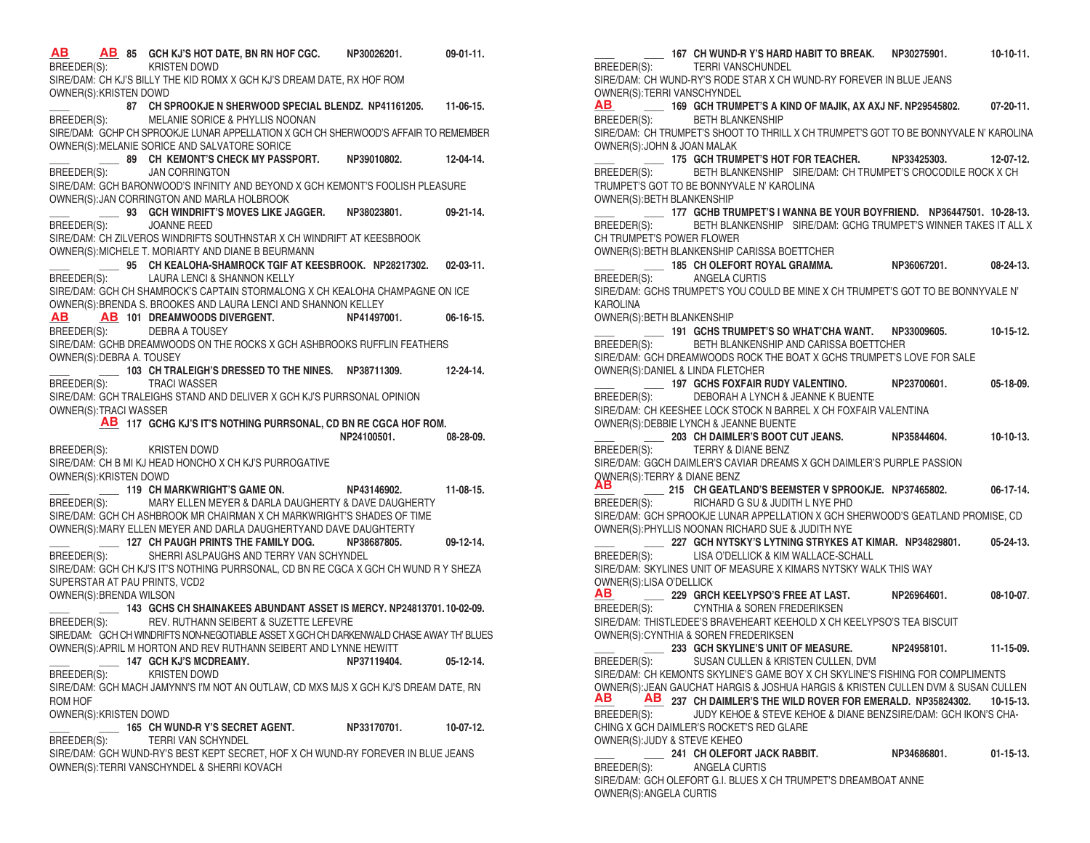**\_\_\_\_ \_\_\_\_ 85 GCH KJ'S HOT DATE, BN RN HOF CGC. NP30026201. 09-01-11. AB AB** BREEDER(S): KRISTEN DOWD SIRE/DAM: CH KJ'S BILLY THE KID ROMX X GCH KJ'S DREAM DATE, RX HOF ROM OWNER(S):KRISTEN DOWD **\_\_\_\_ 87 CH SPROOKJE N SHERWOOD SPECIAL BLENDZ. NP41161205. 11-06-15.** BREEDER(S): MELANIE SORICE & PHYLLIS NOONAN SIRE/DAM: GCHP CH SPROOKJE LUNAR APPELLATION X GCH CH SHERWOOD'S AFFAIR TO REMEMBER OWNER(S):MELANIE SORICE AND SALVATORE SORICE **\_\_\_\_ \_\_\_\_ 89 CH KEMONT'S CHECK MY PASSPORT. NP39010802. 12-04-14.** BREEDER(S): JAN CORRINGTON SIRE/DAM: GCH BARONWOOD'S INFINITY AND BEYOND X GCH KEMONT'S FOOLISH PLEASURE OWNER(S):JAN CORRINGTON AND MARLA HOLBROOK **\_\_\_\_ \_\_\_\_ 93 GCH WINDRIFT'S MOVES LIKE JAGGER. NP38023801. 09-21-14.** BREEDER(S): JOANNE REED SIRE/DAM: CH ZILVEROS WINDRIFTS SOUTHNSTAR X CH WINDRIFT AT KEESBROOK OWNER(S):MICHELE T. MORIARTY AND DIANE B BEURMANN **\_\_\_\_ \_\_\_\_ 95 CH KEALOHA-SHAMROCK TGIF AT KEESBROOK. NP28217302. 02-03-11.** BREEDER(S): LAURA LENCI & SHANNON KELLY SIRE/DAM: GCH CH SHAMROCK'S CAPTAIN STORMALONG X CH KEALOHA CHAMPAGNE ON ICE OWNER(S):BRENDA S. BROOKES AND LAURA LENCI AND SHANNON KELLEY **\_\_\_\_ \_\_\_\_ 101 DREAMWOODS DIVERGENT. NP41497001. 06-16-15.** BREEDER(S): SIRE/DAM: GCHB DREAMWOODS ON THE ROCKS X GCH ASHBROOKS RUFFLIN FEATHERS OWNER(S):DEBRA A. TOUSEY **\_\_\_\_ \_\_\_\_ 103 CH TRALEIGH'S DRESSED TO THE NINES. NP38711309. 12-24-14.** BREEDER(S): TRACI WASSER SIRE/DAM: GCH TRALEIGHS STAND AND DELIVER X GCH KJ'S PURRSONAL OPINION OWNER(S):TRACI WASSER **\_\_\_\_ 117 GCHG KJ'S IT'S NOTHING PURRSONAL, CD BN RE CGCA HOF ROM. AB NP24100501. 08-28-09.** BREEDER(S): KRISTEN DOWD SIRE/DAM: CH B MI KJ HEAD HONCHO X CH KJ'S PURROGATIVE OWNER(S):KRISTEN DOWD **\_\_\_\_ \_\_\_\_ 119 CH MARKWRIGHT'S GAME ON. NP43146902. 11-08-15.** BREEDER(S): MARY ELLEN MEYER & DARLA DAUGHERTY & DAVE DAUGHERTY SIRE/DAM: GCH CH ASHBROOK MR CHAIRMAN X CH MARKWRIGHT'S SHADES OF TIME OWNER(S):MARY ELLEN MEYER AND DARLA DAUGHERTYAND DAVE DAUGHTERTY **\_\_\_\_ \_\_\_\_ 127 CH PAUGH PRINTS THE FAMILY DOG. NP38687805. 09-12-14.** BREEDER(S): SHERRI ASLPAUGHS AND TERRY VAN SCHYNDEL SIRE/DAM: GCH CH KJ'S IT'S NOTHING PURRSONAL, CD BN RE CGCA X GCH CH WUND R Y SHEZA SUPERSTAR AT PAU PRINTS, VCD2 OWNER(S):BRENDA WILSON **\_\_\_\_ \_\_\_\_ 143 GCHS CH SHAINAKEES ABUNDANT ASSET IS MERCY. NP24813701. 10-02-09.** BREEDER(S): REV. RUTHANN SEIBERT & SUZETTE LEFEVRE SIRE/DAM: GCH CH WINDRIFTS NON-NEGOTIABLE ASSET X GCH CH DARKENWALD CHASE AWAY TH' BLUES OWNER(S):APRIL M HORTON AND REV RUTHANN SEIBERT AND LYNNE HEWITT **\_\_\_\_ \_\_\_\_ 147 GCH KJ'S MCDREAMY. NP37119404. 05-12-14.** BREEDER(S): KRISTEN DOWD SIRE/DAM: GCH MACH JAMYNN'S I'M NOT AN OUTLAW, CD MXS MJS X GCH KJ'S DREAM DATE, RN ROM HOF OWNER(S):KRISTEN DOWD **\_\_\_\_ \_\_\_\_ 165 CH WUND-R Y'S SECRET AGENT. NP33170701. 10-07-12.** BREEDER(S): TERRI VAN SCHYNDEL SIRE/DAM: GCH WUND-RY'S BEST KEPT SECRET, HOF X CH WUND-RY FOREVER IN BLUE JEANS OWNER(S):TERRI VANSCHYNDEL & SHERRI KOVACH **AB AB**

**\_\_\_\_ \_\_\_\_ 167 CH WUND-R Y'S HARD HABIT TO BREAK. NP30275901. 10-10-11.** BREEDER(S): TERRI VANSCHUNDEL SIRE/DAM: CH WUND-RY'S RODE STAR X CH WUND-RY FOREVER IN BLUE JEANS OWNER(S):TERRI VANSCHYNDEL **\_\_\_\_ \_\_\_\_ 169 GCH TRUMPET'S A KIND OF MAJIK, AX AXJ NF. NP29545802. 07-20-11. AB** BREEDER(S): BETH BLANKENSHIP SIRE/DAM: CH TRUMPET'S SHOOT TO THRILL X CH TRUMPET'S GOT TO BE BONNYVALE N' KAROLINA OWNER(S):JOHN & JOAN MALAK **\_\_\_\_ \_\_\_\_ 175 GCH TRUMPET'S HOT FOR TEACHER. NP33425303. 12-07-12.** BREEDER(S): BETH BLANKENSHIP SIRE/DAM: CH TRUMPET'S CROCODILE ROCK X CH TRUMPET'S GOT TO BE BONNYVALE N' KAROLINA OWNER(S):BETH BLANKENSHIP **\_\_\_\_ \_\_\_\_ 177 GCHB TRUMPET'S I WANNA BE YOUR BOYFRIEND. NP36447501. 10-28-13.** BREEDER(S): BETH BLANKENSHIP SIRE/DAM: GCHG TRUMPET'S WINNER TAKES IT ALL X CH TRUMPET'S POWER FLOWER OWNER(S):BETH BLANKENSHIP CARISSA BOETTCHER **\_\_\_\_ \_\_\_\_ 185 CH OLEFORT ROYAL GRAMMA. NP36067201. 08-24-13.** BREEDER(S): ANGELA CURTIS SIRE/DAM: GCHS TRUMPET'S YOU COULD BE MINE X CH TRUMPET'S GOT TO BE BONNYVALE N' KAROLINA OWNER(S):BETH BLANKENSHIP **\_\_\_\_ \_\_\_\_ 191 GCHS TRUMPET'S SO WHAT'CHA WANT. NP33009605. 10-15-12.** BREEDER(S): BETH BLANKENSHIP AND CARISSA BOETTCHER SIRE/DAM: GCH DREAMWOODS ROCK THE BOAT X GCHS TRUMPET'S LOVE FOR SALE OWNER(S):DANIEL & LINDA FLETCHER **\_\_\_\_ \_\_\_\_ 197 GCHS FOXFAIR RUDY VALENTINO. NP23700601. 05-18-09.** BREEDER(S): DEBORAH A LYNCH & JEANNE K BUENTE SIRE/DAM: CH KEESHEE LOCK STOCK N BARREL X CH FOXFAIR VALENTINA OWNER(S):DEBBIE LYNCH & JEANNE BUENTE **\_\_\_\_ \_\_\_\_ 203 CH DAIMLER'S BOOT CUT JEANS. NP35844604. 10-10-13.** BREEDER(S): TERRY & DIANE BENZ SIRE/DAM: GGCH DAIMLER'S CAVIAR DREAMS X GCH DAIMLER'S PURPLE PASSION OWNER(S):TERRY & DIANE BENZ **\_\_\_\_ \_\_\_\_ 215 CH GEATLAND'S BEEMSTER V SPROOKJE. NP37465802. 06-17-14. AB** BREEDER(S): RICHARD G SU & JUDITH L NYE PHD SIRE/DAM: GCH SPROOKJE LUNAR APPELLATION X GCH SHERWOOD'S GEATLAND PROMISE, CD OWNER(S):PHYLLIS NOONAN RICHARD SUE & JUDITH NYE **\_\_\_\_ \_\_\_\_ 227 GCH NYTSKY'S LYTNING STRYKES AT KIMAR. NP34829801. 05-24-13.** BREEDER(S): LISA O'DELLICK & KIM WALLACE-SCHALL SIRE/DAM: SKYLINES UNIT OF MEASURE X KIMARS NYTSKY WALK THIS WAY OWNER(S): LISA O'DELLICK **\_\_\_\_ \_\_\_\_ 229 GRCH KEELYPSO'S FREE AT LAST. NP26964601. 08-10-07**. **AB** BREEDER(S): CYNTHIA & SOREN FREDERIKSEN SIRE/DAM: THISTLEDEE'S BRAVEHEART KEEHOLD X CH KEELYPSO'S TEA BISCUIT OWNER(S):CYNTHIA & SOREN FREDERIKSEN **\_\_\_\_ \_\_\_\_ 233 GCH SKYLINE'S UNIT OF MEASURE. NP24958101. 11-15-09.** SUSAN CULLEN & KRISTEN CULLEN, DVM SIRE/DAM: CH KEMONTS SKYLINE'S GAME BOY X CH SKYLINE'S FISHING FOR COMPLIMENTS OWNER(S):JEAN GAUCHAT HARGIS & JOSHUA HARGIS & KRISTEN CULLEN DVM & SUSAN CULLEN **\_\_\_\_ \_\_\_\_ 237 CH DAIMLER'S THE WILD ROVER FOR EMERALD. NP35824302. 10-15-13.** JUDY KEHOE & STEVE KEHOE & DIANE BENZSIRE/DAM: GCH IKON'S CHA-CHING X GCH DAIMLER'S ROCKET'S RED GLARE OWNER(S):JUDY & STEVE KEHEO **\_\_\_\_ \_\_\_\_ 241 CH OLEFORT JACK RABBIT. NP34686801. 01-15-13.** BREEDER(S): ANGELA CURTIS SIRE/DAM: GCH OLEFORT G.I. BLUES X CH TRUMPET'S DREAMBOAT ANNE OWNER(S):ANGELA CURTIS **AB AB** BREEDER(S):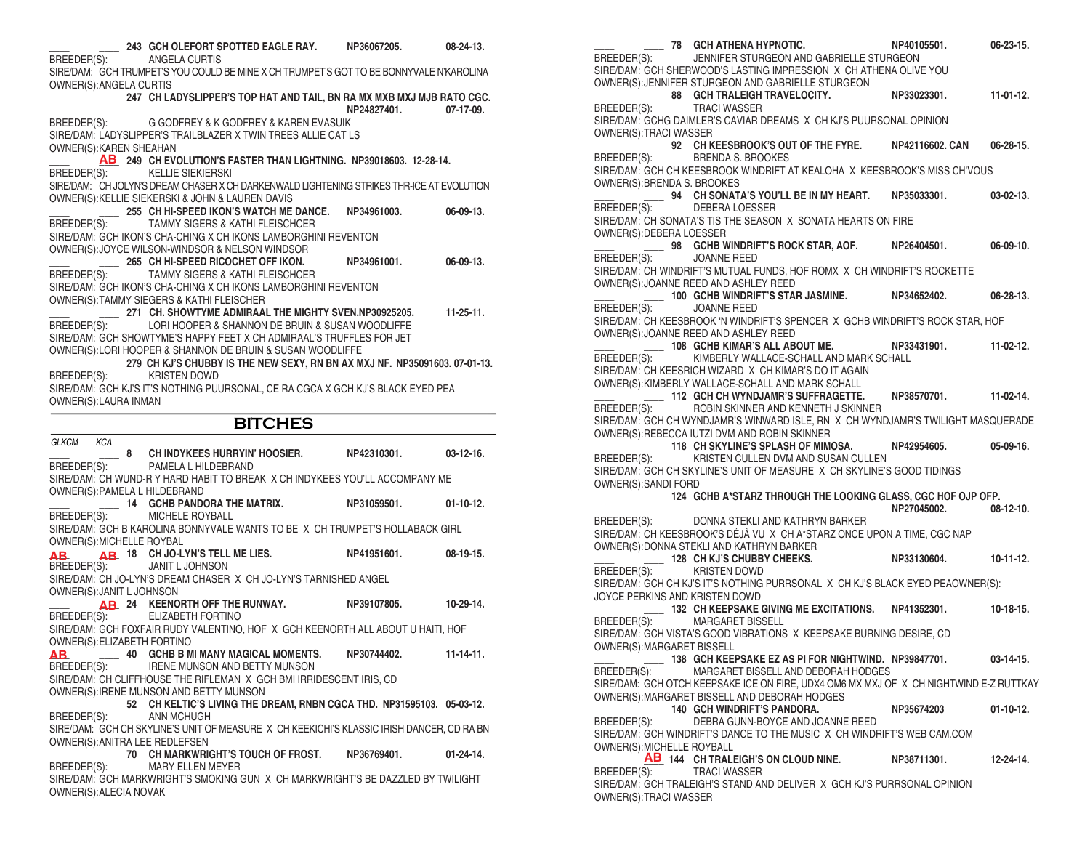| 243 GCH OLEFORT SPOTTED EAGLE RAY. NP36067205.<br>BREEDER(S):                                                                                                                                                    |                       | $08 - 24 - 13$ . |
|------------------------------------------------------------------------------------------------------------------------------------------------------------------------------------------------------------------|-----------------------|------------------|
| ANGELA CURTIS<br>SIRE/DAM: GCH TRUMPET'S YOU COULD BE MINE X CH TRUMPET'S GOT TO BE BONNYVALE N'KAROLINA<br>OWNER(S): ANGELA CURTIS                                                                              |                       |                  |
| 247 CH LADYSLIPPER'S TOP HAT AND TAIL, BN RA MX MXB MXJ MJB RATO CGC.                                                                                                                                            | NP24827401.           | $07-17-09.$      |
| BREEDER(S): G GODFREY & K GODFREY & KAREN EVASUIK<br>SIRE/DAM: LADYSLIPPER'S TRAILBLAZER X TWIN TREES ALLIE CAT LS<br>OWNER(S): KAREN SHEAHAN                                                                    |                       |                  |
| AB 249 CH EVOLUTION'S FASTER THAN LIGHTNING. NP39018603. 12-28-14.<br>BREEDER(S):<br><b>KELLIE SIEKIERSKI</b>                                                                                                    |                       |                  |
| SIRE/DAM: CH JOLYN'S DREAM CHASER X CH DARKENWALD LIGHTENING STRIKES THR-ICE AT EVOLUTION<br>OWNER(S): KELLIE SIEKERSKI & JOHN & LAUREN DAVIS                                                                    |                       |                  |
| 255 CH HI-SPEED IKON'S WATCH ME DANCE.<br><b>TAMMY SIGERS &amp; KATHI FLEISCHCER</b><br>BREEDER(S):                                                                                                              | NP34961003.           | 06-09-13.        |
| SIRE/DAM: GCH IKON'S CHA-CHING X CH IKONS LAMBORGHINI REVENTON<br>OWNER(S): JOYCE WILSON-WINDSOR & NELSON WINDSOR                                                                                                |                       |                  |
| 265 CH HI-SPEED RICOCHET OFF IKON.<br>TAMMY SIGERS & KATHI FLEISCHCER<br>BREEDER(S):                                                                                                                             | NP34961001.           | 06-09-13.        |
| SIRE/DAM: GCH IKON'S CHA-CHING X CH IKONS LAMBORGHINI REVENTON<br>OWNER(S): TAMMY SIEGERS & KATHI FLEISCHER                                                                                                      |                       |                  |
| 271   CH. SHOWTYME ADMIRAAL THE MIGHTY SVEN.NP30925205.<br>LORI HOOPER & SHANNON DE BRUIN & SUSAN WOODLIFFE<br>BREEDER(S):                                                                                       |                       | $11-25-11.$      |
| SIRE/DAM: GCH SHOWTYME'S HAPPY FEET X CH ADMIRAAL'S TRUFFLES FOR JET<br>OWNER(S): LORI HOOPER & SHANNON DE BRUIN & SUSAN WOODLIFFE<br>279 CH KJ'S CHUBBY IS THE NEW SEXY, RN BN AX MXJ NF. NP35091603. 07-01-13. |                       |                  |
| BREEDER(S): KRISTEN DOWD                                                                                                                                                                                         |                       |                  |
| SIRE/DAM: GCH KJ'S IT'S NOTHING PUURSONAL, CE RA CGCA X GCH KJ'S BLACK EYED PEA<br>OWNER(S): LAURA INMAN                                                                                                         |                       |                  |
|                                                                                                                                                                                                                  |                       |                  |
| <b>BITCHES</b>                                                                                                                                                                                                   |                       |                  |
| GLKCM<br>KCA                                                                                                                                                                                                     |                       |                  |
| 8 CH INDYKEES HURRYIN' HOOSIER. NP42310301. 03-12-16.<br>BREEDER(S): PAMELA L HILDEBRAND<br>SIRE/DAM: CH WUND-R Y HARD HABIT TO BREAK X CH INDYKEES YOU'LL ACCOMPANY ME                                          |                       |                  |
| OWNER(S): PAMELA L HILDEBRAND                                                                                                                                                                                    |                       | $01-10-12.$      |
| 14 GCHB PANDORA THE MATRIX. NP31059501.<br>MICHELE ROYBALL<br>BREEDER(S):<br>SIRE/DAM: GCH B KAROLINA BONNYVALE WANTS TO BE X CH TRUMPET'S HOLLABACK GIRL                                                        |                       |                  |
| OWNER(S): MICHELLE ROYBAL                                                                                                                                                                                        |                       |                  |
| <b>AB</b> 18 CH JO-LYN'S TELL ME LIES.<br>AB.<br>BREEDER(S):<br>JANIT L JOHNSON                                                                                                                                  | NP41951601.           | $08-19-15.$      |
| SIRE/DAM: CH JO-LYN'S DREAM CHASER X CH JO-LYN'S TARNISHED ANGEL                                                                                                                                                 |                       |                  |
| OWNER(S): JANIT L JOHNSON<br>AB 24 KEENORTH OFF THE RUNWAY.                                                                                                                                                      | NP39107805. 10-29-14. |                  |
| ELIZABETH FORTINO<br>BREEDER(S):<br>SIRE/DAM: GCH FOXFAIR RUDY VALENTINO, HOF X GCH KEENORTH ALL ABOUT U HAITI, HOF                                                                                              |                       |                  |
| OWNER(S): ELIZABETH FORTINO<br>40 GCHB B MI MANY MAGICAL MOMENTS.<br>AB.<br>IRENE MUNSON AND BETTY MUNSON<br>BREEDER(S):                                                                                         | NP30744402.           | $11 - 14 - 11.$  |
| SIRE/DAM: CH CLIFFHOUSE THE RIFLEMAN X GCH BMI IRRIDESCENT IRIS, CD<br>OWNER(S): IRENE MUNSON AND BETTY MUNSON                                                                                                   |                       |                  |
| 52 CH KELTIC'S LIVING THE DREAM, RNBN CGCA THD. NP31595103. 05-03-12.<br>BREEDER(S):<br>ANN MCHUGH                                                                                                               |                       |                  |
| SIRE/DAM: GCH CH SKYLINE'S UNIT OF MEASURE X CH KEEKICHI'S KLASSIC IRISH DANCER, CD RA BN<br>OWNER(S): ANITRA LEE REDLEFSEN                                                                                      |                       |                  |
| CH MARKWRIGHT'S TOUCH OF FROST.<br>70<br>BREEDER(S):<br>MARY ELLEN MEYER                                                                                                                                         | NP36769401.           | $01 - 24 - 14$ . |

**\_\_\_\_ \_\_\_\_ 78 GCH ATHENA HYPNOTIC. NP40105501. 06-23-15.** BREEDER(S): JENNIFER STURGEON AND GABRIELLE STURGEON SIRE/DAM: GCH SHERWOOD'S LASTING IMPRESSION X CH ATHENA OLIVE YOU OWNER(S):JENNIFER STURGEON AND GABRIELLE STURGEON **\_\_\_\_ \_\_\_\_ 88 GCH TRALEIGH TRAVELOCITY. NP33023301. 11-01-12.** BREEDER(S): TRACI WASSER SIRE/DAM: GCHG DAIMLER'S CAVIAR DREAMS X CH KJ'S PUURSONAL OPINION OWNER(S):TRACI WASSER **\_\_\_\_ \_\_\_\_ 92 CH KEESBROOK'S OUT OF THE FYRE. NP42116602. CAN 06-28-15.** BRENDA S. BROOKES SIRE/DAM: GCH CH KEESBROOK WINDRIFT AT KEALOHA X KEESBROOK'S MISS CH'VOUS OWNER(S):BRENDA S. BROOKES **\_\_\_\_ \_\_\_\_ 94 CH SONATA'S YOU'LL BE IN MY HEART. NP35033301. 03-02-13.** BREEDER(S): DEBERA LOESSER SIRE/DAM: CH SONATA'S TIS THE SEASON X SONATA HEARTS ON FIRE OWNER(S):DEBERA LOESSER **\_\_\_\_ \_\_\_\_ 98 GCHB WINDRIFT'S ROCK STAR, AOF. NP26404501. 06-09-10.** BREEDER(S): JOANNE REED SIRE/DAM: CH WINDRIFT'S MUTUAL FUNDS, HOF ROMX X CH WINDRIFT'S ROCKETTE OWNER(S):JOANNE REED AND ASHLEY REED **\_\_\_\_ \_\_\_\_ 100 GCHB WINDRIFT'S STAR JASMINE. NP34652402. 06-28-13.** BREEDER(S): JOANNE REED SIRE/DAM: CH KEESBROOK 'N WINDRIFT'S SPENCER X GCHB WINDRIFT'S ROCK STAR, HOF OWNER(S):JOANNE REED AND ASHLEY REED **\_\_\_\_ \_\_\_\_ 108 GCHB KIMAR'S ALL ABOUT ME. NP33431901. 11-02-12.** KIMBERLY WALLACE-SCHALL AND MARK SCHALL SIRE/DAM: CH KEESRICH WIZARD X CH KIMAR'S DO IT AGAIN OWNER(S):KIMBERLY WALLACE-SCHALL AND MARK SCHALL **\_\_\_\_ \_\_\_\_ 112 GCH CH WYNDJAMR'S SUFFRAGETTE. NP38570701. 11-02-14.** BREEDER(S): ROBIN SKINNER AND KENNETH J SKINNER SIRE/DAM: GCH CH WYNDJAMR'S WINWARD ISLE, RN X CH WYNDJAMR'S TWILIGHT MASQUERADE OWNER(S):REBECCA IUTZI DVM AND ROBIN SKINNER **\_\_\_\_ \_\_\_\_ 118 CH SKYLINE'S SPLASH OF MIMOSA. NP42954605. 05-09-16.** KRISTEN CULLEN DVM AND SUSAN CULLEN SIRE/DAM: GCH CH SKYLINE'S UNIT OF MEASURE X CH SKYLINE'S GOOD TIDINGS OWNER(S):SANDI FORD **\_\_\_\_ \_\_\_\_ 124 GCHB A\*STARZ THROUGH THE LOOKING GLASS, CGC HOF OJP OFP. NP27045002. 08-12-10. DONNA STEKLI AND KATHRYN BARKER NP27045002. 08-12-10.** DONNA STEKLI AND KATHRYN BARKER SIRE/DAM: CH KEESBROOK'S DÉJÀ VU X CH A\*STARZ ONCE UPON A TIME, CGC NAP OWNER(S):DONNA STEKLI AND KATHRYN BARKER **\_\_\_\_ \_\_\_\_ 128 CH KJ'S CHUBBY CHEEKS. NP33130604. 10-11-12.** BREEDER(S): SIRE/DAM: GCH CH KJ'S IT'S NOTHING PURRSONAL X CH KJ'S BLACK EYED PEAOWNER(S): JOYCE PERKINS AND KRISTEN DOWD **BREEDER(S):** 132 CH KEEPSAKE GIVING ME EXCITATIONS. NP41352301. 10-18-15.<br>BREEDER(S): MARGARET BISSELL MARGARET BISSELL SIRE/DAM: GCH VISTA'S GOOD VIBRATIONS X KEEPSAKE BURNING DESIRE, CD OWNER(S):MARGARET BISSELL **\_\_\_\_ \_\_\_\_ 138 GCH KEEPSAKE EZ AS PI FOR NIGHTWIND. NP39847701. 03-14-15.** BREEDER(S): MARGARET BISSELL AND DEBORAH HODGES SIRE/DAM: GCH OTCH KEEPSAKE ICE ON FIRE, UDX4 OM6 MX MXJ OF X CH NIGHTWIND E-Z RUTTKAY OWNER(S):MARGARET BISSELL AND DEBORAH HODGES **\_\_\_\_ \_\_\_\_ 140 GCH WINDRIFT'S PANDORA. NP35674203 01-10-12.** BREEDER(S): DEBRA GUNN-BOYCE AND JOANNE REED SIRE/DAM: GCH WINDRIFT'S DANCE TO THE MUSIC X CH WINDRIFT'S WEB CAM.COM OWNER(S):MICHELLE ROYBALL **\_\_\_\_ 144 CH TRALEIGH'S ON CLOUD NINE. NP38711301. 12-24-14. AB** BREEDER(S): TRACI WASSER SIRE/DAM: GCH TRALEIGH'S STAND AND DELIVER X GCH KJ'S PURRSONAL OPINION OWNER(S):TRACI WASSER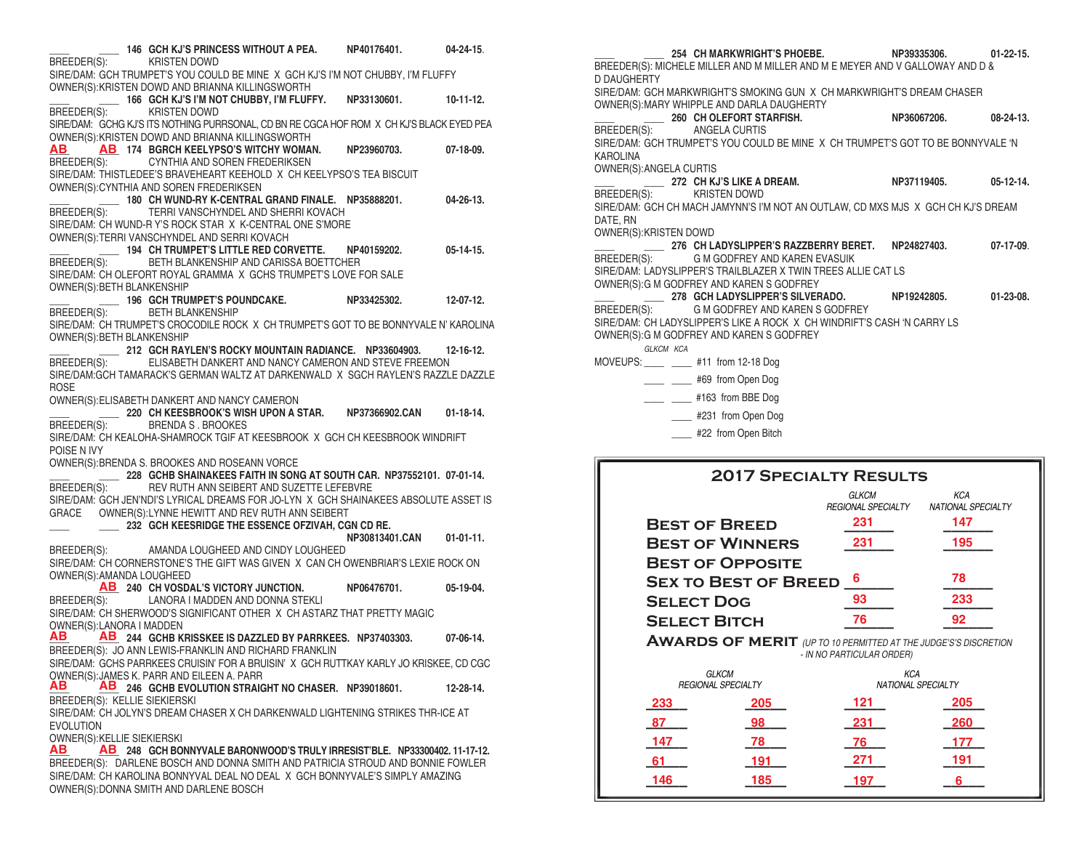**\_\_\_\_ \_\_\_\_ 146 GCH KJ'S PRINCESS WITHOUT A PEA. NP40176401. 04-24-15**. KRISTEN DOWD SIRE/DAM: GCH TRUMPET'S YOU COULD BE MINE X GCH KJ'S I'M NOT CHUBBY, I'M FLUFFY OWNER(S):KRISTEN DOWD AND BRIANNA KILLINGSWORTH **\_\_\_\_ \_\_\_\_ 166 GCH KJ'S I'M NOT CHUBBY, I'M FLUFFY. NP33130601. 10-11-12.** KRISTEN DOWD SIRE/DAM: GCHG KJ'S ITS NOTHING PURRSONAL, CD BN RE CGCA HOF ROM X CH KJ'S BLACK EYED PEA OWNER(S):KRISTEN DOWD AND BRIANNA KILLINGSWORTH **\_\_\_\_ \_\_\_\_ 174 BGRCH KEELYPSO'S WITCHY WOMAN. NP23960703. 07-18-09.** CYNTHIA AND SOREN FREDERIKSEN SIRE/DAM: THISTLEDEE'S BRAVEHEART KEEHOLD X CH KEELYPSO'S TEA BISCUIT OWNER(S):CYNTHIA AND SOREN FREDERIKSEN **\_\_\_\_ \_\_\_\_ 180 CH WUND-RY K-CENTRAL GRAND FINALE. NP35888201. 04-26-13.**  $^-$  TERRI VANSCHYNDEL AND SHERRI KOVACH SIRE/DAM: CH WUND-R Y'S ROCK STAR X K-CENTRAL ONE S'MORE OWNER(S):TERRI VANSCHYNDEL AND SERRI KOVACH **\_\_\_\_ \_\_\_\_ 194 CH TRUMPET'S LITTLE RED CORVETTE. NP40159202. 05-14-15.** BETH BLANKENSHIP AND CARISSA BOETTCHER SIRE/DAM: CH OLEFORT ROYAL GRAMMA X GCHS TRUMPET'S LOVE FOR SALE OWNER(S):BETH BLANKENSHIP **\_\_\_\_ \_\_\_\_ 196 GCH TRUMPET'S POUNDCAKE. NP33425302. 12-07-12.** BREEDER(S): BETH BLANKENSHIP SIRE/DAM: CH TRUMPET'S CROCODILE ROCK X CH TRUMPET'S GOT TO BE BONNYVALE N' KAROLINA OWNER(S):BETH BLANKENSHIP **\_\_\_\_ \_\_\_\_ 212 GCH RAYLEN'S ROCKY MOUNTAIN RADIANCE. NP33604903. 12-16-12.** FLISABETH DANKERT AND NANCY CAMERON AND STEVE FREEMON SIRE/DAM:GCH TAMARACK'S GERMAN WALTZ AT DARKENWALD X SGCH RAYLEN'S RAZZLE DAZZLE **ROSE** OWNER(S):ELISABETH DANKERT AND NANCY CAMERON **\_\_\_\_ \_\_\_\_ 220 CH KEESBROOK'S WISH UPON A STAR. NP37366902.CAN 01-18-14.** BREEDER(S): BRENDA S . BROOKES SIRE/DAM: CH KEALOHA-SHAMROCK TGIF AT KEESBROOK X GCH CH KEESBROOK WINDRIFT POISE N IVY OWNER(S):BRENDA S. BROOKES AND ROSEANN VORCE **\_\_\_\_\_\_\_\_\_\_\_\_\_ 228 GCHB SHAINAKEES FAITH IN SONG AT SOUTH CAR. NP37552101. 07-01-14.**<br>BREEDER(S): PEV RUTH ANN SEIBERT AND SUZETTE LEFEBVRE REV RUTH ANN SEIBERT AND SUZETTE LEFEBVRE SIRE/DAM: GCH JEN'NDI'S LYRICAL DREAMS FOR JO-LYN X GCH SHAINAKEES ABSOLUTE ASSET IS GRACE OWNER(S):LYNNE HEWITT AND REV RUTH ANN SEIBERT **\_\_\_\_ \_\_\_\_ 232 GCH KEESRIDGE THE ESSENCE OFZIVAH, CGN CD RE. RP30813401.CAN 01-01-11.**<br>BREEDER(S): AMANDA LOUGHEED AND CINDY LOUGHEED AMANDA LOUGHEED AND CINDY LOUGHEED SIRE/DAM: CH CORNERSTONE'S THE GIFT WAS GIVEN X CAN CH OWENBRIAR'S LEXIE ROCK ON OWNER(S):AMANDA LOUGHEED **\_\_\_\_ 240 CH VOSDAL'S VICTORY JUNCTION. NP06476701. 05-19-04. AB** BREEDER(S): LANORA I MADDEN AND DONNA STEKLI SIRE/DAM: CH SHERWOOD'S SIGNIFICANT OTHER X CH ASTARZ THAT PRETTY MAGIC OWNER(S):LANORA I MADDEN<br>**AB AB** 244 GCHR KI **\_\_\_\_ \_\_\_\_ 244 GCHB KRISSKEE IS DAZZLED BY PARRKEES. NP37403303. 07-06-14. AB AB** BREEDER(S): JO ANN LEWIS-FRANKLIN AND RICHARD FRANKLIN SIRE/DAM: GCHS PARRKEES CRUISIN' FOR A BRUISIN' X GCH RUTTKAY KARLY JO KRISKEE, CD CGC OWNER(S): JAMES K. PARR AND EILEEN A. PARR<br>AB 246 GCHB FVOLUTION STRAIG  $\overline{AB}$   $\overline{AB}$  246 GCHB EVOLUTION STRAIGHT NO CHASER. NP39018601. 12-28-14. BREEDER(S): KELLIE SIEKIERSKI SIRE/DAM: CH JOLYN'S DREAM CHASER X CH DARKENWALD LIGHTENING STRIKES THR-ICE AT EVOLUTION OWNER(S):KELLIE SIEKIERSKI<br>AB AB 248 GCH BOI **\_\_\_\_ \_\_\_\_ 248 GCH BONNYVALE BARONWOOD'S TRULY IRRESIST'BLE. NP33300402. 11-17-12. AB AB** BREEDER(S): DARLENE BOSCH AND DONNA SMITH AND PATRICIA STROUD AND BONNIE FOWLER  SIRE/DAM: CH KAROLINA BONNYVAL DEAL NO DEAL X GCH BONNYVALE'S SIMPLY AMAZING OWNER(S):DONNA SMITH AND DARLENE BOSCH **AB AB**

**\_\_\_\_ \_\_\_\_ 254 CH MARKWRIGHT'S PHOEBE. NP39335306. 01-22-15.** BREEDER(S): MICHELE MILLER AND M MILLER AND M E MEYER AND V GALLOWAY AND D & D DAUGHERTY SIRE/DAM: GCH MARKWRIGHT'S SMOKING GUN X CH MARKWRIGHT'S DREAM CHASER OWNER(S):MARY WHIPPLE AND DARLA DAUGHERTY **\_\_\_\_ \_\_\_\_ 260 CH OLEFORT STARFISH. NP36067206. 08-24-13.** BREEDER(S): SIRE/DAM: GCH TRUMPET'S YOU COULD BE MINE X CH TRUMPET'S GOT TO BE BONNYVALE 'N KAROLINA OWNER(S):ANGELA CURTIS **\_\_\_\_ \_\_\_\_ 272 CH KJ'S LIKE A DREAM. NP37119405. 05-12-14.** BREEDER(S): SIRE/DAM: GCH CH MACH JAMYNN'S I'M NOT AN OUTLAW, CD MXS MJS X GCH CH KJ'S DREAM DATE, RN OWNER(S):KRISTEN DOWD **\_\_\_\_ \_\_\_\_ 276 CH LADYSLIPPER'S RAZZBERRY BERET. NP24827403. 07-17-09**. G M GODFREY AND KAREN EVASUIK SIRE/DAM: LADYSLIPPER'S TRAILBLAZER X TWIN TREES ALLIE CAT LS OWNER(S):G M GODFREY AND KAREN S GODFREY **\_\_\_\_ \_\_\_\_ 278 GCH LADYSLIPPER'S SILVERADO. NP19242805. 01-23-08.** G M GODEREY AND KAREN S GODEREY SIRE/DAM: CH LADYSLIPPER'S LIKE A ROCK X CH WINDRIFT'S CASH 'N CARRY LS OWNER(S):G M GODFREY AND KAREN S GODFREY *GLKCM KCA* MOVEUPS: #11 from 12-18 Dog \_\_\_\_ \_\_\_\_ #69 from Open Dog \_\_\_\_ \_\_\_\_ #163 from BBE Dog \_\_\_\_ #231 from Open Dog \_\_\_\_ #22 from Open Bitch

| EVIZ OFECIALI INESULIS      |                                           |                                         |  |
|-----------------------------|-------------------------------------------|-----------------------------------------|--|
|                             | <b>GLKCM</b><br><b>REGIONAL SPECIALTY</b> | <b>KCA</b><br><b>NATIONAL SPECIALTY</b> |  |
| <b>BEST OF BREED</b>        | 231                                       | 147                                     |  |
| <b>BEST OF WINNERS</b>      | 231                                       | 195                                     |  |
| <b>BEST OF OPPOSITE</b>     |                                           |                                         |  |
| <b>SEX TO BEST OF BREED</b> | 6                                         | 78                                      |  |
| <b>SELECT DOG</b>           | 93                                        | 233                                     |  |
| <b>SELECT BITCH</b>         | 76                                        |                                         |  |
|                             |                                           |                                         |  |

**2017 Specialty Results**

**Awards of merit** *(UP TO 10 PERMITTED AT THE JUDGE'S'S DISCRETION - IN NO PARTICULAR ORDER)*

| <b>GLKCM</b><br><b>REGIONAL SPECIALTY</b> |     | <b>KCA</b><br>NATIONAL SPECIALTY |     |
|-------------------------------------------|-----|----------------------------------|-----|
| 233                                       | 205 | 121                              | 205 |
| 87                                        | 98  | 231                              | 260 |
| 147                                       | 78  | 76                               | 177 |
|                                           |     | 271                              | 191 |
| 146                                       | 185 | 197                              |     |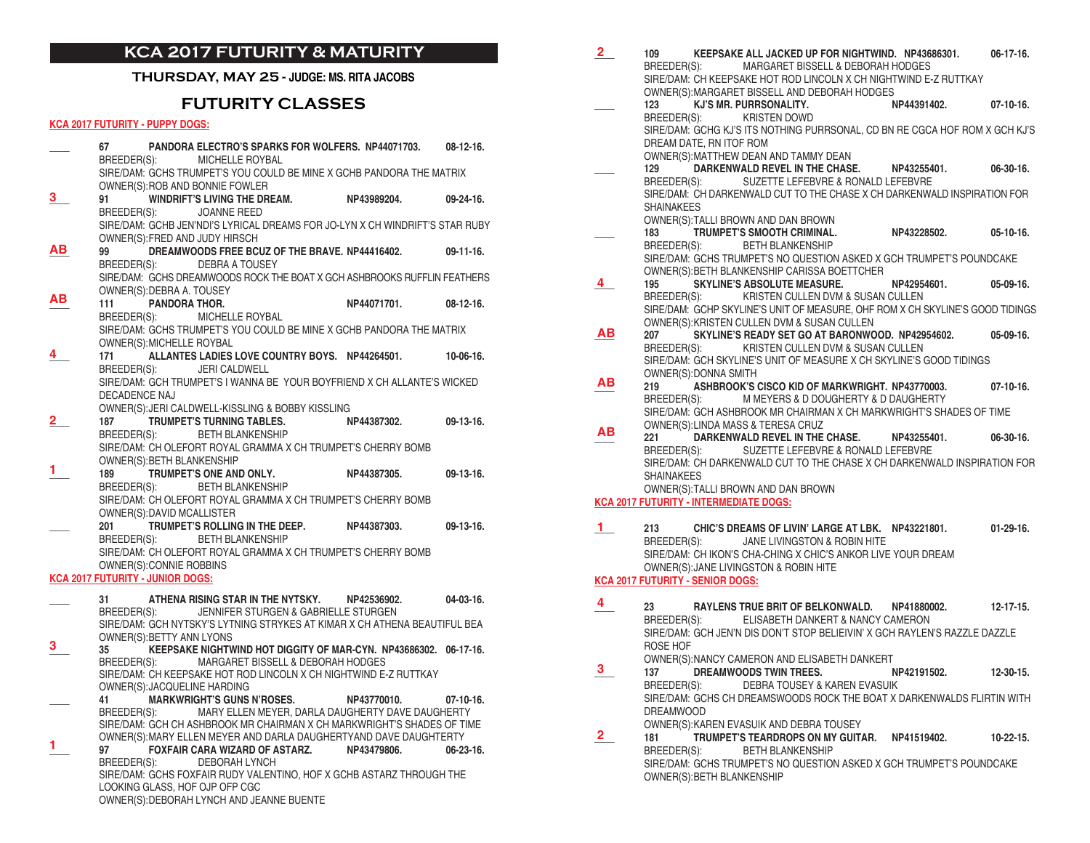# **KCA 2017 FUTURITY & MATURITY**

### **THURSDAY, MAY 25 - JUDGE: MS. RITA JACOBS**

# **FUTURITY CLASSES**

### **KCA 2017 FUTURITY - PUPPY DOGS:**

|    | 67                                      |                            | PANDORA ELECTRO'S SPARKS FOR WOLFERS. NP44071703.<br>BREEDER(S): MICHELLE ROYBAL |                                                                              | $08-12-16.$      |
|----|-----------------------------------------|----------------------------|----------------------------------------------------------------------------------|------------------------------------------------------------------------------|------------------|
|    |                                         |                            | OWNER(S): ROB AND BONNIE FOWLER                                                  | SIRE/DAM: GCHS TRUMPET'S YOU COULD BE MINE X GCHB PANDORA THE MATRIX         |                  |
| З. | 91<br>BREEDER(S):                       |                            | WINDRIFT'S LIVING THE DREAM. NP43989204.<br>JOANNE REED                          |                                                                              | $09 - 24 - 16$ . |
|    |                                         |                            | OWNER(S): FRED AND JUDY HIRSCH                                                   | SIRE/DAM: GCHB JEN'NDI'S LYRICAL DREAMS FOR JO-LYN X CH WINDRIFT'S STAR RUBY |                  |
| ΑВ | 99                                      |                            | BREEDER(S): DEBRA A TOUSEY                                                       | DREAMWOODS FREE BCUZ OF THE BRAVE. NP44416402.                               | $09-11-16$ .     |
|    |                                         | OWNER(S): DEBRA A. TOUSEY  |                                                                                  | SIRE/DAM: GCHS DREAMWOODS ROCK THE BOAT X GCH ASHBROOKS RUFFLIN FEATHERS     |                  |
| ΑВ | 111                                     | <b>PANDORA THOR.</b>       | BREEDER(S): MICHELLE ROYBAL                                                      | NP44071701.                                                                  | $08-12-16$ .     |
|    |                                         | OWNER(S): MICHELLE ROYBAL  |                                                                                  | SIRE/DAM: GCHS TRUMPET'S YOU COULD BE MINE X GCHB PANDORA THE MATRIX         |                  |
|    | 171                                     |                            |                                                                                  | ALLANTES LADIES LOVE COUNTRY BOYS. NP44264501.                               | $10-06-16.$      |
|    |                                         |                            | BREEDER(S): JERI CALDWELL                                                        | SIRE/DAM: GCH TRUMPET'S I WANNA BE YOUR BOYFRIEND X CH ALLANTE'S WICKED      |                  |
|    | DECADENCE NAJ                           |                            |                                                                                  |                                                                              |                  |
|    |                                         |                            | OWNER(S): JERI CALDWELL-KISSLING & BOBBY KISSLING                                |                                                                              |                  |
| 2  | 187                                     |                            | <b>TRUMPET'S TURNING TABLES.</b>                                                 | NP44387302. 09-13-16.                                                        |                  |
|    | BREEDER(S):                             |                            | <b>BETH BLANKENSHIP</b>                                                          |                                                                              |                  |
|    |                                         | OWNER(S): BETH BLANKENSHIP |                                                                                  | SIRE/DAM: CH OLEFORT ROYAL GRAMMA X CH TRUMPET'S CHERRY BOMB                 |                  |
|    | 189                                     |                            |                                                                                  | TRUMPET'S ONE AND ONLY. NP44387305.                                          | $09-13-16.$      |
|    |                                         |                            | BREEDER(S): BETH BLANKENSHIP                                                     |                                                                              |                  |
|    |                                         |                            |                                                                                  | SIRE/DAM: CH OLEFORT ROYAL GRAMMA X CH TRUMPET'S CHERRY BOMB                 |                  |
|    |                                         | OWNER(S): DAVID MCALLISTER |                                                                                  |                                                                              |                  |
|    | 201                                     |                            | BREEDER(S): BETH BLANKENSHIP                                                     | TRUMPET'S ROLLING IN THE DEEP. NP44387303.                                   | $09-13-16.$      |
|    |                                         |                            |                                                                                  | SIRE/DAM: CH OLEFORT ROYAL GRAMMA X CH TRUMPET'S CHERRY BOMB                 |                  |
|    |                                         | OWNER(S): CONNIE ROBBINS   |                                                                                  |                                                                              |                  |
|    | <b>KCA 2017 FUTURITY - JUNIOR DOGS:</b> |                            |                                                                                  |                                                                              |                  |
|    | 31                                      |                            | ATHENA RISING STAR IN THE NYTSKY. NP42536902.                                    |                                                                              | $04-03-16.$      |
|    | BREEDER(S):                             |                            | JENNIFER STURGEN & GABRIELLE STURGEN                                             |                                                                              |                  |
|    |                                         | OWNER(S): BETTY ANN LYONS  |                                                                                  | SIRE/DAM: GCH NYTSKY'S LYTNING STRYKES AT KIMAR X CH ATHENA BEAUTIFUL BEA    |                  |
| 3. | 35                                      |                            |                                                                                  | KEEPSAKE NIGHTWIND HOT DIGGITY OF MAR-CYN. NP43686302. 06-17-16.             |                  |
|    |                                         | BREEDER(S):                | MARGARET BISSELL & DEBORAH HODGES                                                |                                                                              |                  |
|    |                                         |                            | OWNER(S): JACQUELINE HARDING                                                     | SIRE/DAM: CH KEEPSAKE HOT ROD LINCOLN X CH NIGHTWIND E-Z RUTTKAY             |                  |
|    | 41                                      |                            | MARKWRIGHT'S GUNS N'ROSES. NP43770010.                                           |                                                                              | $07-10-16.$      |
|    |                                         |                            |                                                                                  | BREEDER(S): MARY ELLEN MEYER, DARLA DAUGHERTY DAVE DAUGHERTY                 |                  |
|    |                                         |                            |                                                                                  | SIRE/DAM: GCH CH ASHBROOK MR CHAIRMAN X CH MARKWRIGHT'S SHADES OF TIME       |                  |
|    | 97 —                                    |                            | FOXFAIR CARA WIZARD OF ASTARZ. NP43479806.                                       | OWNER(S): MARY ELLEN MEYER AND DARLA DAUGHERTYAND DAVE DAUGHTERTY            | $06 - 23 - 16$ . |
|    |                                         |                            | BREEDER(S): DEBORAH LYNCH                                                        |                                                                              |                  |
|    |                                         |                            |                                                                                  | SIRE/DAM: GCHS FOXFAIR RUDY VALENTINO, HOF X GCHB ASTARZ THROUGH THE         |                  |
|    |                                         |                            | LOOKING GLASS, HOF OJP OFP CGC                                                   |                                                                              |                  |
|    |                                         |                            | OWNER(S): DEBORAH LYNCH AND JEANNE BUENTE                                        |                                                                              |                  |

| <u>2</u>     | KEEPSAKE ALL JACKED UP FOR NIGHTWIND. NP43686301.<br>109<br>$06-17-16.$       |  |
|--------------|-------------------------------------------------------------------------------|--|
|              | BREEDER(S): MARGARET BISSELL & DEBORAH HODGES                                 |  |
|              | SIRE/DAM: CH KEEPSAKE HOT ROD LINCOLN X CH NIGHTWIND E-Z RUTTKAY              |  |
|              | OWNER(S): MARGARET BISSELL AND DEBORAH HODGES                                 |  |
|              | KJ'S MR. PURRSONALITY.<br>NP44391402.<br>123<br>07-10-16.                     |  |
|              | KRISTEN DOWD<br>BREEDER(S):                                                   |  |
|              | SIRE/DAM: GCHG KJ'S ITS NOTHING PURRSONAL, CD BN RE CGCA HOF ROM X GCH KJ'S   |  |
|              | DREAM DATE, RN ITOF ROM                                                       |  |
|              | OWNER(S): MATTHEW DEAN AND TAMMY DEAN                                         |  |
|              | DARKENWALD REVEL IN THE CHASE. NP43255401.<br>129<br>$06-30-16.$              |  |
|              | SUZETTE LEFEBVRE & RONALD LEFEBVRE<br>BREEDER(S):                             |  |
|              | SIRE/DAM: CH DARKENWALD CUT TO THE CHASE X CH DARKENWALD INSPIRATION FOR      |  |
|              | <b>SHAINAKEES</b>                                                             |  |
|              |                                                                               |  |
|              | OWNER(S):TALLI BROWN AND DAN BROWN                                            |  |
|              | TRUMPET'S SMOOTH CRIMINAL.<br>183<br>NP43228502.<br>$05-10-16.$               |  |
|              | <b>BETH BLANKENSHIP</b><br>BREEDER(S):                                        |  |
|              | SIRE/DAM: GCHS TRUMPET'S NO QUESTION ASKED X GCH TRUMPET'S POUNDCAKE          |  |
|              | OWNER(S): BETH BLANKENSHIP CARISSA BOETTCHER                                  |  |
| 4            | <b>SKYLINE'S ABSOLUTE MEASURE.</b><br>195<br>NP42954601.<br>$05-09-16.$       |  |
|              | BREEDER(S): KRISTEN CULLEN DVM & SUSAN CULLEN                                 |  |
|              | SIRE/DAM: GCHP SKYLINE'S UNIT OF MEASURE, OHF ROM X CH SKYLINE'S GOOD TIDINGS |  |
|              | OWNER(S): KRISTEN CULLEN DVM & SUSAN CULLEN                                   |  |
| ΑВ           | SKYLINE'S READY SET GO AT BARONWOOD. NP42954602. 05-09-16.<br>207             |  |
|              | KRISTEN CULLEN DVM & SUSAN CULLEN<br>BREEDER(S):                              |  |
|              | SIRE/DAM: GCH SKYLINE'S UNIT OF MEASURE X CH SKYLINE'S GOOD TIDINGS           |  |
|              | OWNER(S): DONNA SMITH                                                         |  |
| ΑВ           | ASHBROOK'S CISCO KID OF MARKWRIGHT. NP43770003.<br>219<br>$07-10-16.$         |  |
|              | M MEYERS & D DOUGHERTY & D DAUGHERTY<br>BREEDER(S):                           |  |
|              | SIRE/DAM: GCH ASHBROOK MR CHAIRMAN X CH MARKWRIGHT'S SHADES OF TIME           |  |
|              | OWNER(S): LINDA MASS & TERESA CRUZ                                            |  |
| ΑВ           | DARKENWALD REVEL IN THE CHASE. NP43255401.<br>221<br>$06-30-16.$              |  |
|              | BREEDER(S): SUZETTE LEFEBVRE & RONALD LEFEBVRE                                |  |
|              | SIRE/DAM: CH DARKENWALD CUT TO THE CHASE X CH DARKENWALD INSPIRATION FOR      |  |
|              | <b>SHAINAKEES</b>                                                             |  |
|              | OWNER(S):TALLI BROWN AND DAN BROWN                                            |  |
|              | <b>KCA 2017 FUTURITY - INTERMEDIATE DOGS:</b>                                 |  |
|              |                                                                               |  |
| $\mathbf{1}$ | CHIC'S DREAMS OF LIVIN' LARGE AT LBK. NP43221801. 01-29-16.<br>213            |  |
|              | BREEDER(S):<br>JANE LIVINGSTON & ROBIN HITE                                   |  |
|              | SIRE/DAM: CH IKON'S CHA-CHING X CHIC'S ANKOR LIVE YOUR DREAM                  |  |
|              | OWNER(S): JANE LIVINGSTON & ROBIN HITE                                        |  |
|              | <b>KCA 2017 FUTURITY - SENIOR DOGS:</b>                                       |  |
|              |                                                                               |  |
| 4            | 23<br>RAYLENS TRUE BRIT OF BELKONWALD. NP41880002.<br>12-17-15.               |  |
|              | ELISABETH DANKERT & NANCY CAMERON<br>BREEDER(S):                              |  |
|              | SIRE/DAM: GCH JEN'N DIS DON'T STOP BELIEIVIN' X GCH RAYLEN'S RAZZLE DAZZLE    |  |
|              |                                                                               |  |
|              | ROSE HOF                                                                      |  |
| 3            | OWNER(S): NANCY CAMERON AND ELISABETH DANKERT                                 |  |
|              | DREAMWOODS TWIN TREES.<br>137<br>NP42191502.<br>$12 - 30 - 15$ .              |  |
|              | BREEDER(S): DEBRA TOUSEY & KAREN EVASUIK                                      |  |
|              | SIRE/DAM: GCHS CH DREAMSWOODS ROCK THE BOAT X DARKENWALDS FLIRTIN WITH        |  |
|              | <b>DREAMWOOD</b>                                                              |  |
|              | OWNER(S): KAREN EVASUIK AND DEBRA TOUSEY                                      |  |
| 2.           | TRUMPET'S TEARDROPS ON MY GUITAR. NP41519402. 10-22-15.<br>181                |  |
|              | BREEDER(S):<br><b>BETH BLANKENSHIP</b>                                        |  |
|              | SIRE/DAM: GCHS TRUMPET'S NO QUESTION ASKED X GCH TRUMPET'S POUNDCAKE          |  |

OWNER(S):BETH BLANKENSHIP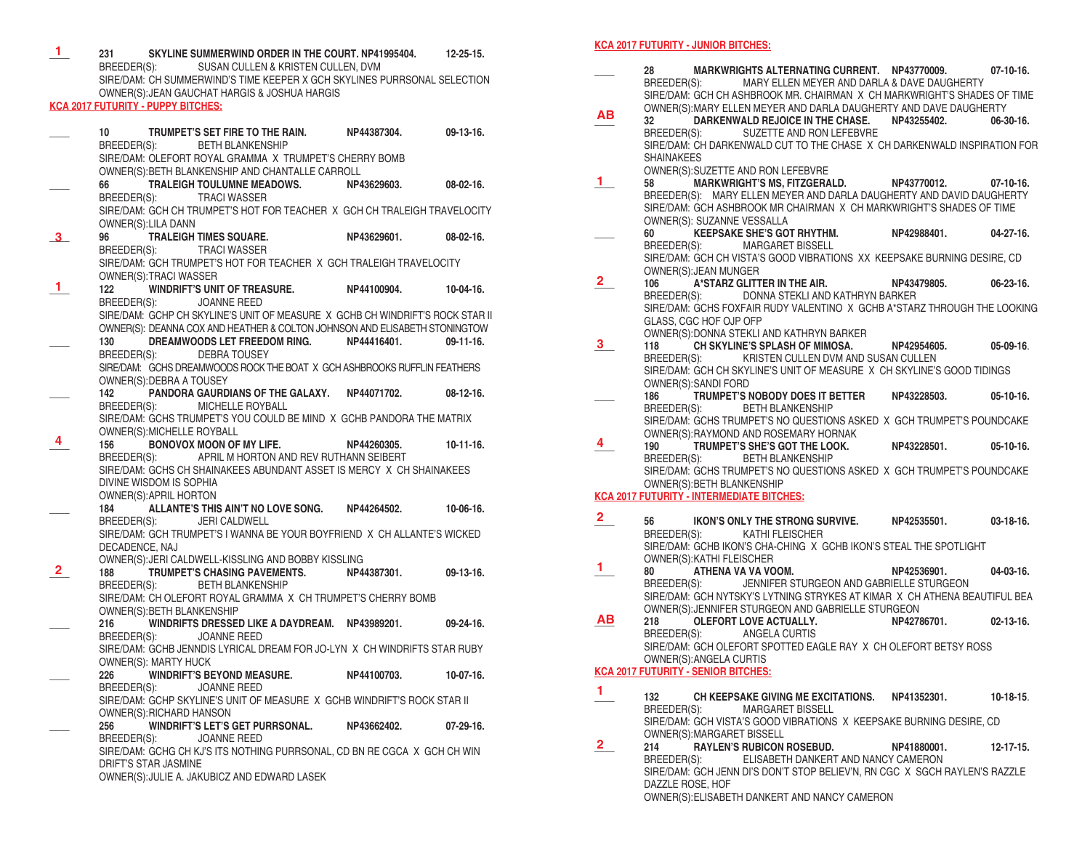**\_\_\_\_ 231 SKYLINE SUMMERWIND ORDER IN THE COURT. NP41995404. 12-25-15.** SUSAN CULLEN & KRISTEN CULLEN, DVM SIRE/DAM: CH SUMMERWIND'S TIME KEEPER X GCH SKYLINES PURRSONAL SELECTION OWNER(S):JEAN GAUCHAT HARGIS & JOSHUA HARGIS **KCA 2017 FUTURITY - PUPPY BITCHES: \_\_\_\_ 10 TRUMPET'S SET FIRE TO THE RAIN. NP44387304. 09-13-16.** BETH BLANKENSHIP SIRE/DAM: OLEFORT ROYAL GRAMMA X TRUMPET'S CHERRY BOMB OWNER(S):BETH BLANKENSHIP AND CHANTALLE CARROLL **\_\_\_\_ 66 TRALEIGH TOULUMNE MEADOWS. NP43629603. 08-02-16.** BREEDER(S): TRACI WASSER SIRE/DAM: GCH CH TRUMPET'S HOT FOR TEACHER X GCH CH TRALEIGH TRAVELOCITY OWNER(S):LILA DANN **\_\_\_\_ 96 TRALEIGH TIMES SQUARE. NP43629601. 08-02-16.** BREEDER(S): TRACI WASSER SIRE/DAM: GCH TRUMPET'S HOT FOR TEACHER X GCH TRALEIGH TRAVELOCITY OWNER(S):TRACI WASSER **\_\_\_\_ 122 WINDRIFT'S UNIT OF TREASURE. NP44100904. 10-04-16.** JOANNE REED SIRE/DAM: GCHP CH SKYLINE'S UNIT OF MEASURE X GCHB CH WINDRIFT'S ROCK STAR II OWNER(S): DEANNA COX AND HEATHER & COLTON JOHNSON AND ELISABETH STONINGTOW<br>130 DREAMWOODS LET FREEDOM RING [19-11-16] **DREAMWOODS LET FREEDOM RING.** BREEDER(S): DEBRA TOUSEY SIRE/DAM: GCHS DREAMWOODS ROCK THE BOAT X GCH ASHBROOKS RUFFLIN FEATHERS OWNER(S):DEBRA A TOUSEY **\_\_\_\_ 142 PANDORA GAURDIANS OF THE GALAXY. NP44071702. 08-12-16.** MICHELLE ROYBALL SIRE/DAM: GCHS TRUMPET'S YOU COULD BE MIND X GCHB PANDORA THE MATRIX OWNER(S):MICHELLE ROYBALL<br>156 BONOVOX MOON OF **BONOVOX MOON OF MY LIFE. NP44260305. 10-11-16.** BREEDER(S): APRIL M HORTON AND REV RUTHANN SEIBERT SIRE/DAM: GCHS CH SHAINAKEES ABUNDANT ASSET IS MERCY X CH SHAINAKEES DIVINE WISDOM IS SOPHIA OWNER(S):APRIL HORTON **\_\_\_\_ 184 ALLANTE'S THIS AIN'T NO LOVE SONG. NP44264502. 10-06-16.**  BREEDER(S): JERI CALDWELL SIRE/DAM: GCH TRUMPET'S I WANNA BE YOUR BOYFRIEND X CH ALLANTE'S WICKED DECADENCE, NAJ OWNER(S):JERI CALDWELL-KISSLING AND BOBBY KISSLING **\_\_\_\_ 188 TRUMPET'S CHASING PAVEMENTS. NP44387301. 09-13-16.** BREEDER(S): BETH BLANKENSHIP SIRE/DAM: CH OLEFORT ROYAL GRAMMA X CH TRUMPET'S CHERRY BOMB OWNER(S):BETH BLANKENSHIP **\_\_\_\_ 216 WINDRIFTS DRESSED LIKE A DAYDREAM. NP43989201. 09-24-16.** JOANNE REED SIRE/DAM: GCHB JENNDIS LYRICAL DREAM FOR JO-LYN X CH WINDRIFTS STAR RUBY OWNER(S): MARTY HUCK **\_\_\_\_ 226 WINDRIFT'S BEYOND MEASURE. NP44100703. 10-07-16.** JOANNE REED SIRE/DAM: GCHP SKYLINE'S UNIT OF MEASURE X GCHB WINDRIFT'S ROCK STAR II OWNER(S): RICHARD HANSON<br>256 WINDRIFT'S LET'S **\_\_\_\_ 256 WINDRIFT'S LET'S GET PURRSONAL. NP43662402. 07-29-16.**  JOANNE REED SIRE/DAM: GCHG CH KJ'S ITS NOTHING PURRSONAL, CD BN RE CGCA X GCH CH WIN DRIFT'S STAR JASMINE OWNER(S):JULIE A. JAKUBICZ AND EDWARD LASEK **3 1 4 2**

**1**

#### **KCA 2017 FUTURITY - JUNIOR BITCHES:**

**\_\_\_\_ 28 MARKWRIGHTS ALTERNATING CURRENT. NP43770009. 07-10-16.**  MARY ELLEN MEYER AND DARLA & DAVE DAUGHERTY SIRE/DAM: GCH CH ASHBROOK MR. CHAIRMAN X CH MARKWRIGHT'S SHADES OF TIME OWNER(S):MARY ELLEN MEYER AND DARLA DAUGHERTY AND DAVE DAUGHERTY **\_\_\_\_ 32 DARKENWALD REJOICE IN THE CHASE. NP43255402. 06-30-16.** BREEDER(S): SUZETTE AND RON LEFEBVRE SIRE/DAM: CH DARKENWALD CUT TO THE CHASE X CH DARKENWALD INSPIRATION FOR SHAINAKEES OWNER(S):SUZETTE AND RON LEFEBVRE<br>58 MARKWRIGHT'S MS. FITZGERA **\_\_\_\_ 58 MARKWRIGHT'S MS, FITZGERALD. NP43770012. 07-10-16.**  BREEDER(S): MARY ELLEN MEYER AND DARLA DAUGHERTY AND DAVID DAUGHERTY SIRE/DAM: GCH ASHBROOK MR CHAIRMAN X CH MARKWRIGHT'S SHADES OF TIME OWNER(S): SUZANNE VESSALLA **\_\_\_\_ 60 KEEPSAKE SHE'S GOT RHYTHM. NP42988401. 04-27-16.** MARGARET BISSELL SIRE/DAM: GCH CH VISTA'S GOOD VIBRATIONS XX KEEPSAKE BURNING DESIRE, CD OWNER(S): JEAN MUNGER<br>106 A\*STARZ GLITT **106 • A\*STARZ GLITTER IN THE AIR. NP43479805. 06-23-16.**<br>RREEDER(S): DONNA STEKLLAND KATHRYN RARKER DONNA STEKLI AND KATHRYN BARKER SIRE/DAM: GCHS FOXFAIR RUDY VALENTINO X GCHB A\*STARZ THROUGH THE LOOKING GLASS, CGC HOF OJP OFP OWNER(S):DONNA STEKLI AND KATHRYN BARKER<br>118 CH SKYLINE'S SPLASH OF MIMOSA. **\_\_\_\_ 118 CH SKYLINE'S SPLASH OF MIMOSA. NP42954605. 05-09-16**. KRISTEN CULLEN DVM AND SUSAN CULLEN SIRE/DAM: GCH CH SKYLINE'S UNIT OF MEASURE X CH SKYLINE'S GOOD TIDINGS OWNER(S):SANDI FORD<br>186 TRUMPET'S N **\_\_\_\_ 186 TRUMPET'S NOBODY DOES IT BETTER NP43228503. 05-10-16.** BREEDER(S): BETH BLANKENSHIP SIRE/DAM: GCHS TRUMPET'S NO QUESTIONS ASKED X GCH TRUMPET'S POUNDCAKE OWNER(S):RAYMOND AND ROSEMARY HORNAK<br>190 TRUMPET'S SHE'S GOT THE LOOK. **\_\_\_\_ 190 TRUMPET'S SHE'S GOT THE LOOK. NP43228501. 05-10-16.** BETH BLANKENSHIP SIRE/DAM: GCHS TRUMPET'S NO QUESTIONS ASKED X GCH TRUMPET'S POUNDCAKE OWNER(S):BETH BLANKENSHIP **KCA 2017 FUTURITY - INTERMEDIATE BITCHES: 2 \_\_\_\_ 56 IKON'S ONLY THE STRONG SURVIVE. NP42535501. 03-18-16.** KATHI FLEISCHER SIRE/DAM: GCHB IKON'S CHA-CHING X GCHB IKON'S STEAL THE SPOTLIGHT OWNER(S):KATHI FLEISCHER<br>80 ATHENA VA VA VO **\_\_\_\_ 80 ATHENA VA VA VOOM. NP42536901. 04-03-16.** JENNIFER STURGEON AND GABRIELLE STURGEON SIRE/DAM: GCH NYTSKY'S LYTNING STRYKES AT KIMAR X CH ATHENA BEAUTIFUL BEA OWNER(S):JENNIFER STURGEON AND GABRIELLE STURGEON 218 **OLEFORT LOVE ACTUALLY. DEVALUATE:** NP42786701. 02-13-16.<br>BREEDER(S): ANGELA CURTIS ANGELA CURTIS SIRE/DAM: GCH OLEFORT SPOTTED EAGLE RAY X CH OLEFORT BETSY ROSS OWNER(S):ANGELA CURTIS **KCA 2017 FUTURITY - SENIOR BITCHES: \_\_\_\_ 132 CH KEEPSAKE GIVING ME EXCITATIONS. NP41352301. 10-18-15**. MARGARET BISSELL SIRE/DAM: GCH VISTA'S GOOD VIBRATIONS X KEEPSAKE BURNING DESIRE, CD OWNER(S):MARGARET BISSELL<br>214 RAYLEN'S RUBICON 214 **RAYLEN'S RUBICON ROSEBUD. NP41880001.** 12-17-15.<br>BREEDER(S): ELISABETH DANKERT AND NANCY CAMERON ELISABETH DANKERT AND NANCY CAMERON SIRE/DAM: GCH JENN DI'S DON'T STOP BELIEV'N, RN CGC X SGCH RAYLEN'S RAZZLE DAZZLE ROSE, HOF **AB 1 2 3 4 1 AB 1 2**

OWNER(S):ELISABETH DANKERT AND NANCY CAMERON